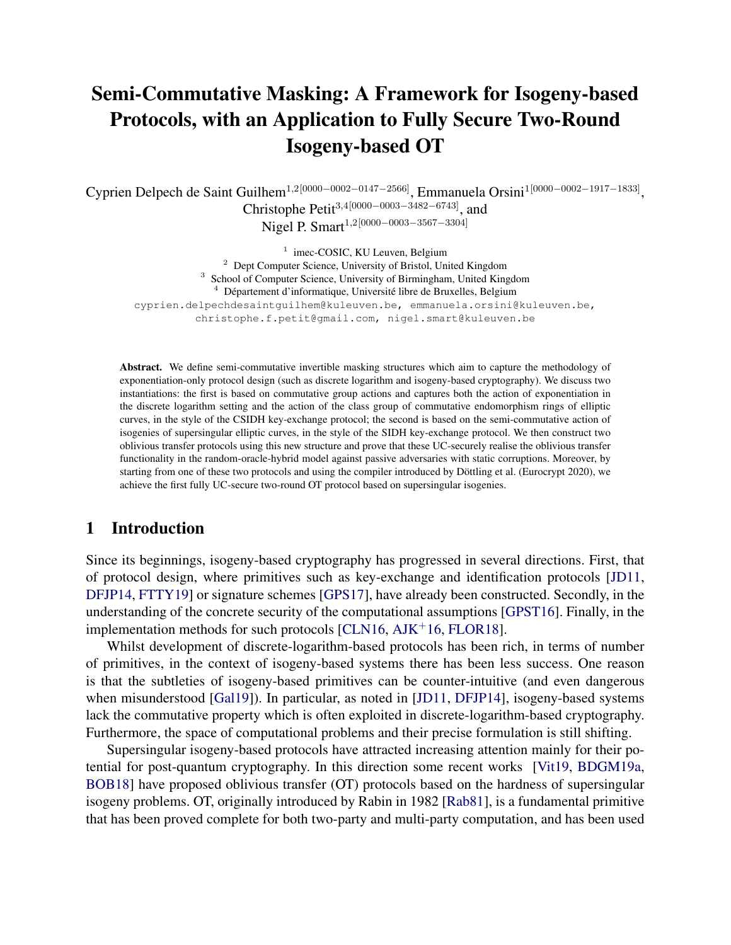# Semi-Commutative Masking: A Framework for Isogeny-based Protocols, with an Application to Fully Secure Two-Round Isogeny-based OT

Cyprien Delpech de Saint Guilhem<sup>1,2[0000–0002–0147–2566]</sup>, Emmanuela Orsini<sup>1[0000–0002–1917–1833],</sup> Christophe Petit<sup>3</sup>,4[0000−0003−3482−6743], and Nigel P. Smart<sup>1,2[0000–0003–3567–3304]</sup>

<sup>1</sup> imec-COSIC, KU Leuven, Belgium <sup>2</sup> Dept Computer Science, University of Bristol, United Kingdom <sup>3</sup> School of Computer Science, University of Birmingham, United Kingdom  $4$  Département d'informatique, Université libre de Bruxelles, Belgium cyprien.delpechdesaintguilhem@kuleuven.be, emmanuela.orsini@kuleuven.be, christophe.f.petit@gmail.com, nigel.smart@kuleuven.be

Abstract. We define semi-commutative invertible masking structures which aim to capture the methodology of exponentiation-only protocol design (such as discrete logarithm and isogeny-based cryptography). We discuss two instantiations: the first is based on commutative group actions and captures both the action of exponentiation in the discrete logarithm setting and the action of the class group of commutative endomorphism rings of elliptic curves, in the style of the CSIDH key-exchange protocol; the second is based on the semi-commutative action of isogenies of supersingular elliptic curves, in the style of the SIDH key-exchange protocol. We then construct two oblivious transfer protocols using this new structure and prove that these UC-securely realise the oblivious transfer functionality in the random-oracle-hybrid model against passive adversaries with static corruptions. Moreover, by starting from one of these two protocols and using the compiler introduced by Döttling et al. (Eurocrypt 2020), we achieve the first fully UC-secure two-round OT protocol based on supersingular isogenies.

# 1 Introduction

Since its beginnings, isogeny-based cryptography has progressed in several directions. First, that of protocol design, where primitives such as key-exchange and identification protocols [\[JD11,](#page-32-0) [DFJP14,](#page-31-0) [FTTY19\]](#page-32-1) or signature schemes [\[GPS17\]](#page-32-2), have already been constructed. Secondly, in the understanding of the concrete security of the computational assumptions [\[GPST16\]](#page-32-3). Finally, in the implementation methods for such protocols  $[CLN16, AIK<sup>+</sup>16, FLOR18]$  $[CLN16, AIK<sup>+</sup>16, FLOR18]$  $[CLN16, AIK<sup>+</sup>16, FLOR18]$ .

Whilst development of discrete-logarithm-based protocols has been rich, in terms of number of primitives, in the context of isogeny-based systems there has been less success. One reason is that the subtleties of isogeny-based primitives can be counter-intuitive (and even dangerous when misunderstood [\[Gal19\]](#page-32-4)). In particular, as noted in [\[JD11,](#page-32-0) [DFJP14\]](#page-31-0), isogeny-based systems lack the commutative property which is often exploited in discrete-logarithm-based cryptography. Furthermore, the space of computational problems and their precise formulation is still shifting.

Supersingular isogeny-based protocols have attracted increasing attention mainly for their potential for post-quantum cryptography. In this direction some recent works [\[Vit19,](#page-32-5) [BDGM19a,](#page-31-4) [BOB18\]](#page-31-5) have proposed oblivious transfer (OT) protocols based on the hardness of supersingular isogeny problems. OT, originally introduced by Rabin in 1982 [\[Rab81\]](#page-32-6), is a fundamental primitive that has been proved complete for both two-party and multi-party computation, and has been used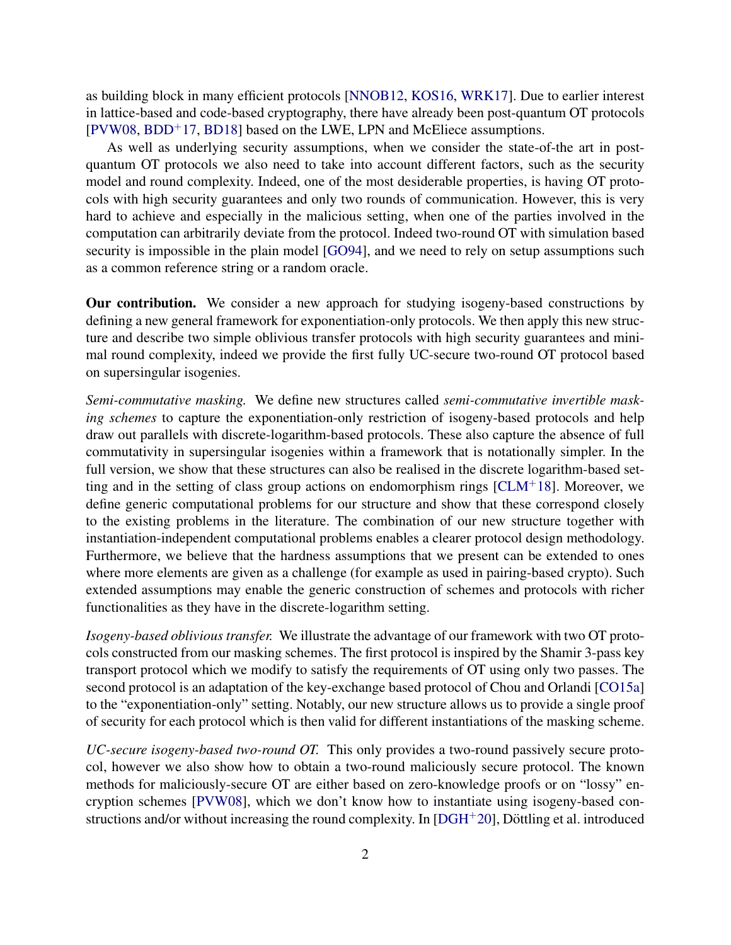as building block in many efficient protocols [\[NNOB12,](#page-32-7) [KOS16,](#page-32-8) [WRK17\]](#page-32-9). Due to earlier interest in lattice-based and code-based cryptography, there have already been post-quantum OT protocols [\[PVW08,](#page-32-10) [BDD](#page-31-6)<sup>+</sup>17, [BD18\]](#page-31-7) based on the LWE, LPN and McEliece assumptions.

As well as underlying security assumptions, when we consider the state-of-the art in postquantum OT protocols we also need to take into account different factors, such as the security model and round complexity. Indeed, one of the most desiderable properties, is having OT protocols with high security guarantees and only two rounds of communication. However, this is very hard to achieve and especially in the malicious setting, when one of the parties involved in the computation can arbitrarily deviate from the protocol. Indeed two-round OT with simulation based security is impossible in the plain model [\[GO94\]](#page-32-11), and we need to rely on setup assumptions such as a common reference string or a random oracle.

Our contribution. We consider a new approach for studying isogeny-based constructions by defining a new general framework for exponentiation-only protocols. We then apply this new structure and describe two simple oblivious transfer protocols with high security guarantees and minimal round complexity, indeed we provide the first fully UC-secure two-round OT protocol based on supersingular isogenies.

*Semi-commutative masking.* We define new structures called *semi-commutative invertible masking schemes* to capture the exponentiation-only restriction of isogeny-based protocols and help draw out parallels with discrete-logarithm-based protocols. These also capture the absence of full commutativity in supersingular isogenies within a framework that is notationally simpler. In the full version, we show that these structures can also be realised in the discrete logarithm-based setting and in the setting of class group actions on endomorphism rings  $[CLM<sup>+</sup>18]$  $[CLM<sup>+</sup>18]$ . Moreover, we define generic computational problems for our structure and show that these correspond closely to the existing problems in the literature. The combination of our new structure together with instantiation-independent computational problems enables a clearer protocol design methodology. Furthermore, we believe that the hardness assumptions that we present can be extended to ones where more elements are given as a challenge (for example as used in pairing-based crypto). Such extended assumptions may enable the generic construction of schemes and protocols with richer functionalities as they have in the discrete-logarithm setting.

*Isogeny-based oblivious transfer.* We illustrate the advantage of our framework with two OT protocols constructed from our masking schemes. The first protocol is inspired by the Shamir 3-pass key transport protocol which we modify to satisfy the requirements of OT using only two passes. The second protocol is an adaptation of the key-exchange based protocol of Chou and Orlandi [\[CO15a\]](#page-31-9) to the "exponentiation-only" setting. Notably, our new structure allows us to provide a single proof of security for each protocol which is then valid for different instantiations of the masking scheme.

*UC-secure isogeny-based two-round OT.* This only provides a two-round passively secure protocol, however we also show how to obtain a two-round maliciously secure protocol. The known methods for maliciously-secure OT are either based on zero-knowledge proofs or on "lossy" encryption schemes [\[PVW08\]](#page-32-10), which we don't know how to instantiate using isogeny-based constructions and/or without increasing the round complexity. In  $[{\rm DGH^+20}]$ , Döttling et al. introduced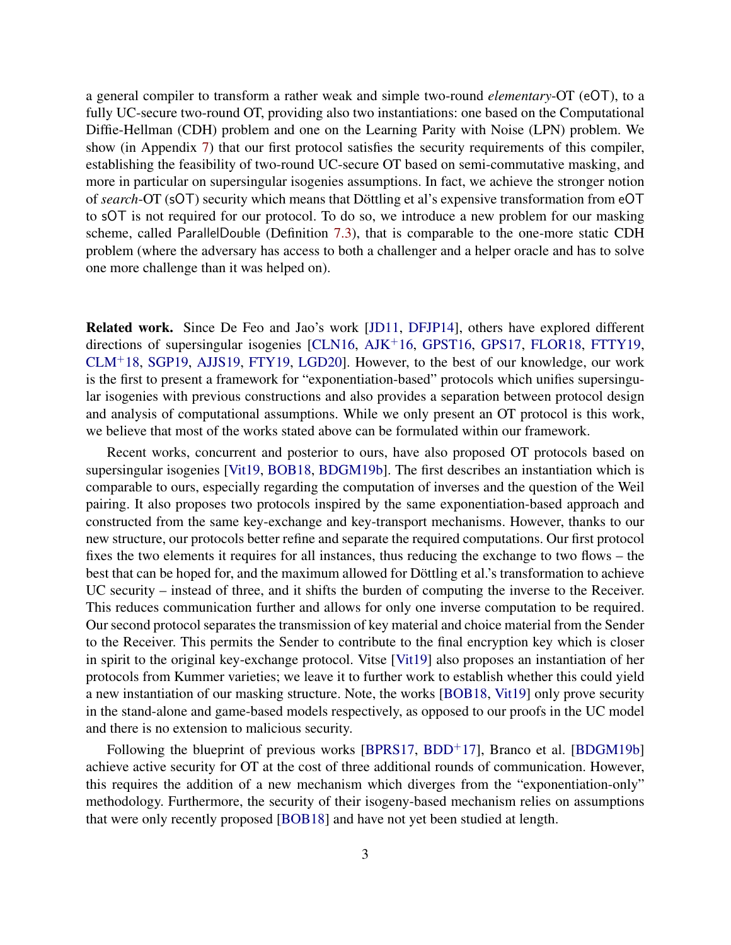a general compiler to transform a rather weak and simple two-round *elementary*-OT (eOT), to a fully UC-secure two-round OT, providing also two instantiations: one based on the Computational Diffie-Hellman (CDH) problem and one on the Learning Parity with Noise (LPN) problem. We show (in Appendix [7\)](#page-28-0) that our first protocol satisfies the security requirements of this compiler, establishing the feasibility of two-round UC-secure OT based on semi-commutative masking, and more in particular on supersingular isogenies assumptions. In fact, we achieve the stronger notion of *search*-OT (sOT) security which means that Döttling et al's expensive transformation from eOT to sOT is not required for our protocol. To do so, we introduce a new problem for our masking scheme, called ParallelDouble (Definition [7.3\)](#page-29-0), that is comparable to the one-more static CDH problem (where the adversary has access to both a challenger and a helper oracle and has to solve one more challenge than it was helped on).

Related work. Since De Feo and Jao's work [\[JD11,](#page-32-0) [DFJP14\]](#page-31-0), others have explored different directions of supersingular isogenies [\[CLN16,](#page-31-1) [AJK](#page-31-2)<sup>+</sup>16, [GPST16,](#page-32-3) [GPS17,](#page-32-2) [FLOR18,](#page-31-3) [FTTY19,](#page-32-1) [CLM](#page-31-8)<sup>+</sup>18, [SGP19,](#page-32-12) [AJJS19,](#page-31-11) [FTY19,](#page-32-13) [LGD20\]](#page-32-14). However, to the best of our knowledge, our work is the first to present a framework for "exponentiation-based" protocols which unifies supersingular isogenies with previous constructions and also provides a separation between protocol design and analysis of computational assumptions. While we only present an OT protocol is this work, we believe that most of the works stated above can be formulated within our framework.

Recent works, concurrent and posterior to ours, have also proposed OT protocols based on supersingular isogenies [\[Vit19,](#page-32-5) [BOB18,](#page-31-5) [BDGM19b\]](#page-31-12). The first describes an instantiation which is comparable to ours, especially regarding the computation of inverses and the question of the Weil pairing. It also proposes two protocols inspired by the same exponentiation-based approach and constructed from the same key-exchange and key-transport mechanisms. However, thanks to our new structure, our protocols better refine and separate the required computations. Our first protocol fixes the two elements it requires for all instances, thus reducing the exchange to two flows – the best that can be hoped for, and the maximum allowed for Döttling et al.'s transformation to achieve UC security – instead of three, and it shifts the burden of computing the inverse to the Receiver. This reduces communication further and allows for only one inverse computation to be required. Our second protocol separates the transmission of key material and choice material from the Sender to the Receiver. This permits the Sender to contribute to the final encryption key which is closer in spirit to the original key-exchange protocol. Vitse [\[Vit19\]](#page-32-5) also proposes an instantiation of her protocols from Kummer varieties; we leave it to further work to establish whether this could yield a new instantiation of our masking structure. Note, the works [\[BOB18,](#page-31-5) [Vit19\]](#page-32-5) only prove security in the stand-alone and game-based models respectively, as opposed to our proofs in the UC model and there is no extension to malicious security.

Following the blueprint of previous works  $[BPRS17, BDD+17]$  $[BPRS17, BDD+17]$  $[BPRS17, BDD+17]$  $[BPRS17, BDD+17]$ , Branco et al.  $[BDGM19b]$ achieve active security for OT at the cost of three additional rounds of communication. However, this requires the addition of a new mechanism which diverges from the "exponentiation-only" methodology. Furthermore, the security of their isogeny-based mechanism relies on assumptions that were only recently proposed [\[BOB18\]](#page-31-5) and have not yet been studied at length.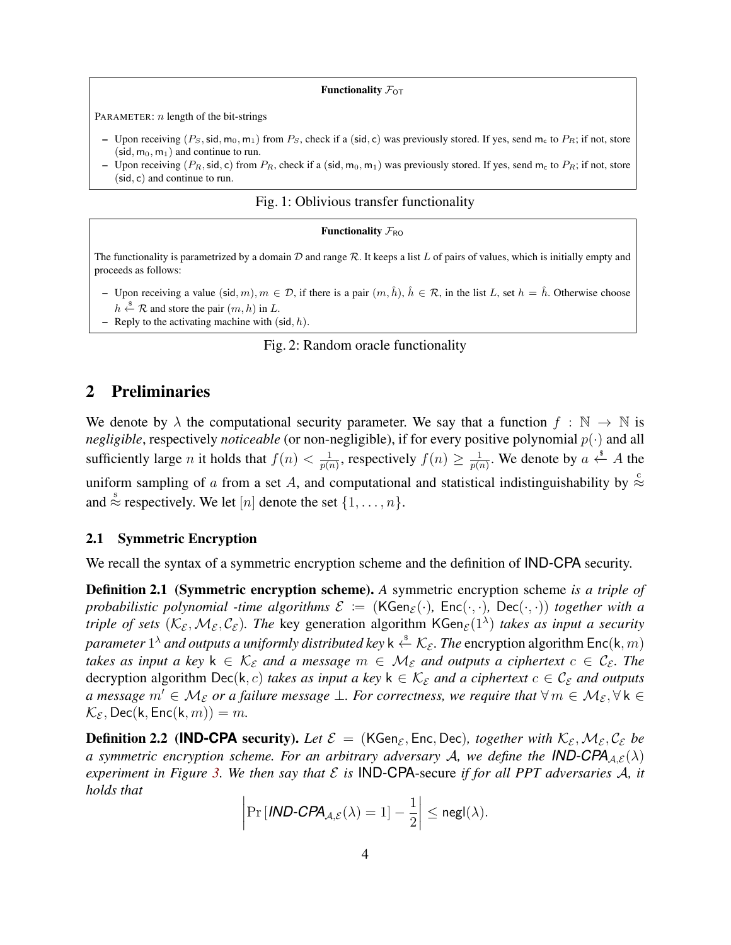#### Functionality  $\mathcal{F}_{OT}$

<span id="page-3-1"></span>PARAMETER:  $n$  length of the bit-strings

- Upon receiving  $(P_S, \text{sid}, m_0, m_1)$  from  $P_S$ , check if a (sid, c) was previously stored. If yes, send  $m_c$  to  $P_R$ ; if not, store  $(\text{sid}, m_0, m_1)$  and continue to run.
- Upon receiving ( $P_R$ , sid, c) from  $P_R$ , check if a (sid, m<sub>0</sub>, m<sub>1</sub>) was previously stored. If yes, send m<sub>c</sub> to  $P_R$ ; if not, store (sid, c) and continue to run.

#### Fig. 1: Oblivious transfer functionality

#### Functionality  $\mathcal{F}_{RO}$

<span id="page-3-0"></span>The functionality is parametrized by a domain  $D$  and range  $R$ . It keeps a list L of pairs of values, which is initially empty and proceeds as follows:

- Upon receiving a value (sid, m),  $m \in \mathcal{D}$ , if there is a pair  $(m, \hat{h})$ ,  $\hat{h} \in \mathcal{R}$ , in the list L, set  $h = \hat{h}$ . Otherwise choose  $h \stackrel{\$}{\leftarrow} \mathcal{R}$  and store the pair  $(m, h)$  in  $L$ .
- Reply to the activating machine with  $(\text{sid}, h)$ .

#### Fig. 2: Random oracle functionality

# 2 Preliminaries

We denote by  $\lambda$  the computational security parameter. We say that a function  $f : \mathbb{N} \to \mathbb{N}$  is *negligible*, respectively *noticeable* (or non-negligible), if for every positive polynomial  $p(\cdot)$  and all sufficiently large *n* it holds that  $f(n) < \frac{1}{n(n)}$  $\frac{1}{p(n)}$ , respectively  $f(n) \geq \frac{1}{p(n)}$  $\frac{1}{p(n)}$ . We denote by  $a \stackrel{\$}{\leftarrow} A$  the uniform sampling of a from a set A, and computational and statistical indistinguishability by  $\stackrel{\circ}{\approx}$ and  $\stackrel{\text{s}}{\approx}$  respectively. We let [n] denote the set  $\{1, \ldots, n\}$ .

#### 2.1 Symmetric Encryption

We recall the syntax of a symmetric encryption scheme and the definition of IND-CPA security.

Definition 2.1 (Symmetric encryption scheme). *A* symmetric encryption scheme *is a triple of probabilistic polynomial -time algorithms*  $\mathcal{E} := (KGen_{\mathcal{E}}(\cdot), Enc(\cdot, \cdot), Dec(\cdot, \cdot))$  *together with a triple of sets*  $(\mathcal{K}_{\varepsilon},\mathcal{M}_{\varepsilon},\mathcal{C}_{\varepsilon})$ . The key generation algorithm KGen $_{\varepsilon}(1^{\lambda})$  *takes as input a security* parameter  $1^\lambda$  and outputs a uniformly distributed key k  $\stackrel{\hspace{0.1em}\mathsf{\scriptscriptstyle\$}}{\leftarrow} \mathcal{K}_\mathcal{E}.$  The  $\text{encryption algorithm}$   $\mathsf{Enc}(\mathsf{k},m)$ *takes as input a key*  $k \in \mathcal{K}_{\varepsilon}$  *and a message*  $m \in \mathcal{M}_{\varepsilon}$  *and outputs a ciphertext*  $c \in \mathcal{C}_{\varepsilon}$ *. The* decryption algorithm Dec(k, c) *takes as input a key*  $k \in K_{\mathcal{E}}$  *and a ciphertext*  $c \in \mathcal{C}_{\mathcal{E}}$  *and outputs a message*  $m' \in M_{\mathcal{E}}$  *or a failure message*  $\perp$ *. For correctness, we require that*  $\forall m \in M_{\mathcal{E}}$ ,  $\forall k \in$  $\mathcal{K}_{\mathcal{E}}$ , Dec(k, Enc(k, m)) = m.

**Definition 2.2 (IND-CPA** security). Let  $\mathcal{E} = (KGen_{\mathcal{E}}, Enc, Dec)$ , together with  $K_{\mathcal{E}}, M_{\mathcal{E}}, C_{\mathcal{E}}$  be *a* symmetric encryption scheme. For an arbitrary adversary A, we define the **IND-CPA** $_{A,\mathcal{E}}(\lambda)$ *experiment in Figure* [3.](#page-4-0) We then say that  $\mathcal E$  is **IND-CPA**-secure *if for all PPT adversaries*  $\mathcal A$ , *it holds that*

$$
\left|\Pr\left[\text{IND-CPA}_{\mathcal{A},\mathcal{E}}(\lambda)=1\right]-\frac{1}{2}\right|\leq \mathsf{negl}(\lambda).
$$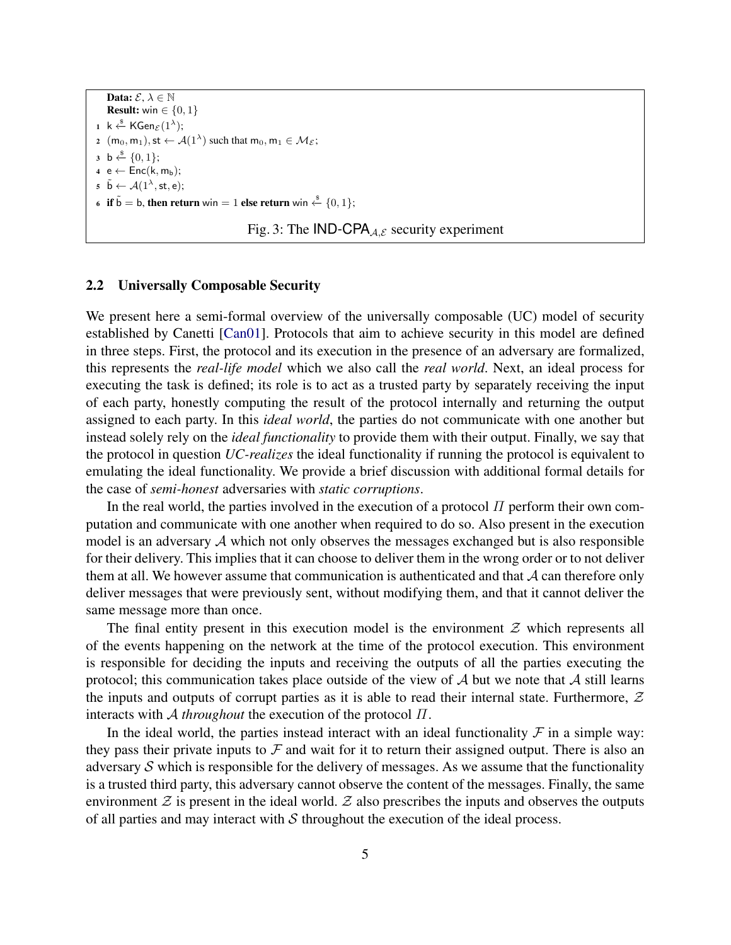<span id="page-4-0"></span>Data:  $\mathcal{E}, \lambda \in \mathbb{N}$ **Result:** win  $\in \{0, 1\}$  $1$  k  $\stackrel{\$}{\leftarrow}$  KGen $_{\mathcal{E}}(1^{\lambda});$ 2  $(m_0, m_1),$  st  $\leftarrow \mathcal{A}(1^{\lambda})$  such that  $m_0, m_1 \in \mathcal{M}_{\mathcal{E}};$  $3 \; b \stackrel{\$}{\leftarrow} \{0,1\};$  $4 e \leftarrow Enc(k, m_b);$  $\tilde{\mathfrak{b}} \leftarrow \mathcal{A}(1^{\lambda}, \mathsf{st}, \mathsf{e});$ 6 if  $\tilde{b} = b$ , then return win = 1 else return win  $\stackrel{\$}{\leftarrow} \{0, 1\};$ 



## 2.2 Universally Composable Security

We present here a semi-formal overview of the universally composable (UC) model of security established by Canetti [\[Can01\]](#page-31-14). Protocols that aim to achieve security in this model are defined in three steps. First, the protocol and its execution in the presence of an adversary are formalized, this represents the *real-life model* which we also call the *real world*. Next, an ideal process for executing the task is defined; its role is to act as a trusted party by separately receiving the input of each party, honestly computing the result of the protocol internally and returning the output assigned to each party. In this *ideal world*, the parties do not communicate with one another but instead solely rely on the *ideal functionality* to provide them with their output. Finally, we say that the protocol in question *UC-realizes* the ideal functionality if running the protocol is equivalent to emulating the ideal functionality. We provide a brief discussion with additional formal details for the case of *semi-honest* adversaries with *static corruptions*.

In the real world, the parties involved in the execution of a protocol  $\Pi$  perform their own computation and communicate with one another when required to do so. Also present in the execution model is an adversary  $A$  which not only observes the messages exchanged but is also responsible for their delivery. This implies that it can choose to deliver them in the wrong order or to not deliver them at all. We however assume that communication is authenticated and that  $A$  can therefore only deliver messages that were previously sent, without modifying them, and that it cannot deliver the same message more than once.

The final entity present in this execution model is the environment  $\mathcal Z$  which represents all of the events happening on the network at the time of the protocol execution. This environment is responsible for deciding the inputs and receiving the outputs of all the parties executing the protocol; this communication takes place outside of the view of  $A$  but we note that  $A$  still learns the inputs and outputs of corrupt parties as it is able to read their internal state. Furthermore,  $Z$ interacts with A *throughout* the execution of the protocol Π.

In the ideal world, the parties instead interact with an ideal functionality  $\mathcal F$  in a simple way: they pass their private inputs to  $\mathcal F$  and wait for it to return their assigned output. There is also an adversary  $S$  which is responsible for the delivery of messages. As we assume that the functionality is a trusted third party, this adversary cannot observe the content of the messages. Finally, the same environment  $\mathcal Z$  is present in the ideal world.  $\mathcal Z$  also prescribes the inputs and observes the outputs of all parties and may interact with  $S$  throughout the execution of the ideal process.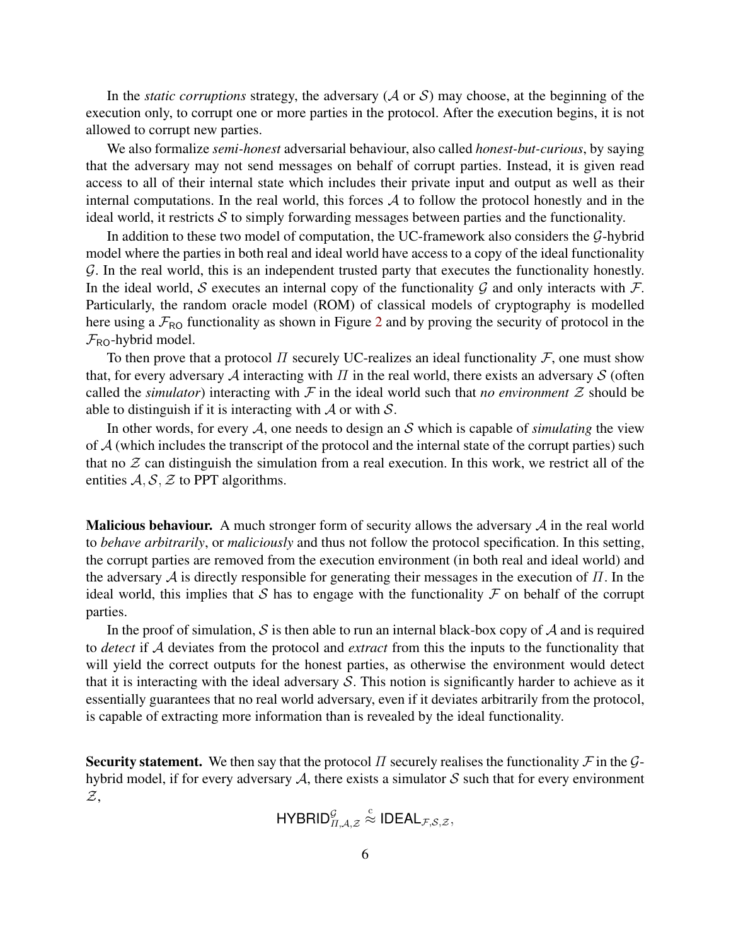In the *static corruptions* strategy, the adversary  $(A \text{ or } S)$  may choose, at the beginning of the execution only, to corrupt one or more parties in the protocol. After the execution begins, it is not allowed to corrupt new parties.

We also formalize *semi-honest* adversarial behaviour, also called *honest-but-curious*, by saying that the adversary may not send messages on behalf of corrupt parties. Instead, it is given read access to all of their internal state which includes their private input and output as well as their internal computations. In the real world, this forces  $A$  to follow the protocol honestly and in the ideal world, it restricts  $S$  to simply forwarding messages between parties and the functionality.

In addition to these two model of computation, the UC-framework also considers the  $G$ -hybrid model where the parties in both real and ideal world have access to a copy of the ideal functionality G. In the real world, this is an independent trusted party that executes the functionality honestly. In the ideal world, S executes an internal copy of the functionality  $\mathcal G$  and only interacts with  $\mathcal F$ . Particularly, the random oracle model (ROM) of classical models of cryptography is modelled here using a  $\mathcal{F}_{\text{RO}}$  functionality as shown in Figure [2](#page-3-0) and by proving the security of protocol in the  $\mathcal{F}_{\text{RO}}$ -hybrid model.

To then prove that a protocol  $\Pi$  securely UC-realizes an ideal functionality  $\mathcal F$ , one must show that, for every adversary A interacting with  $\Pi$  in the real world, there exists an adversary S (often called the *simulator*) interacting with  $\mathcal F$  in the ideal world such that *no environment*  $\mathcal Z$  should be able to distinguish if it is interacting with  $\mathcal A$  or with  $\mathcal S$ .

In other words, for every  $A$ , one needs to design an S which is capable of *simulating* the view of  $A$  (which includes the transcript of the protocol and the internal state of the corrupt parties) such that no  $\mathcal Z$  can distinguish the simulation from a real execution. In this work, we restrict all of the entities  $A, S, Z$  to PPT algorithms.

**Malicious behaviour.** A much stronger form of security allows the adversary  $\mathcal A$  in the real world to *behave arbitrarily*, or *maliciously* and thus not follow the protocol specification. In this setting, the corrupt parties are removed from the execution environment (in both real and ideal world) and the adversary  $\mathcal A$  is directly responsible for generating their messages in the execution of  $\Pi$ . In the ideal world, this implies that S has to engage with the functionality  $\mathcal F$  on behalf of the corrupt parties.

In the proof of simulation, S is then able to run an internal black-box copy of A and is required to *detect* if A deviates from the protocol and *extract* from this the inputs to the functionality that will yield the correct outputs for the honest parties, as otherwise the environment would detect that it is interacting with the ideal adversary  $S$ . This notion is significantly harder to achieve as it essentially guarantees that no real world adversary, even if it deviates arbitrarily from the protocol, is capable of extracting more information than is revealed by the ideal functionality.

Security statement. We then say that the protocol  $\Pi$  securely realises the functionality  $\mathcal F$  in the  $\mathcal G$ hybrid model, if for every adversary  $A$ , there exists a simulator  $S$  such that for every environment  $\mathcal{Z}$ .

> HYBRID $_{\varPi,\mathcal{A},\mathcal{Z}}^{\mathcal{G}}$  $\stackrel{c}{\approx}$  IDEAL $_{\mathcal{F},\mathcal{S},\mathcal{Z}},$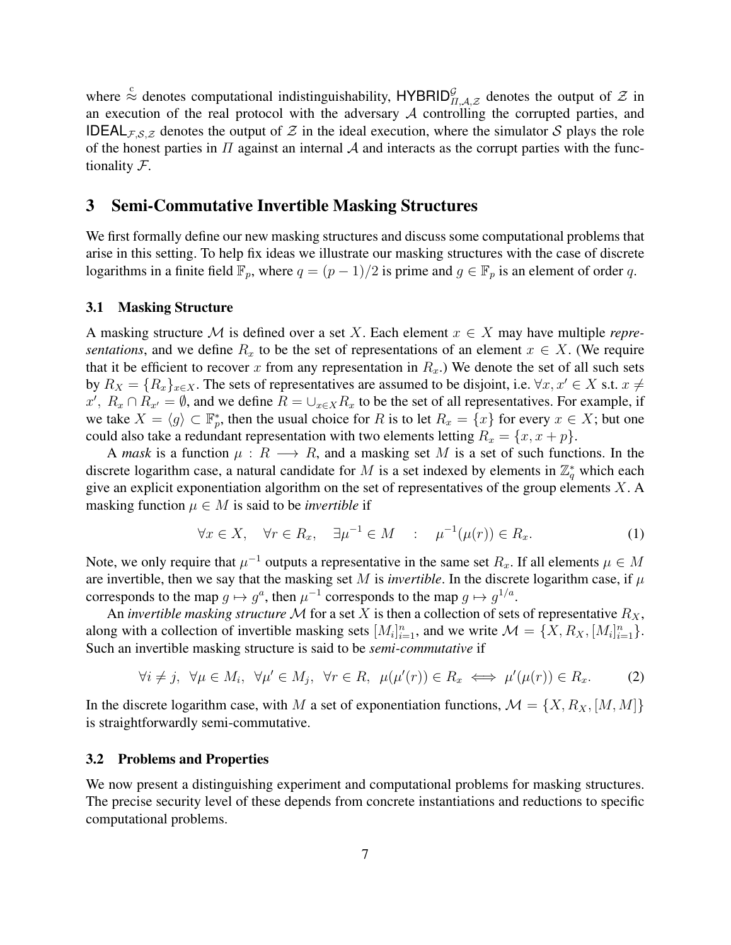where  $\stackrel{c}{\approx}$  denotes computational indistinguishability, HYBRID $_{\Pi,A,Z}^{\mathcal{G}}$  denotes the output of  $\mathcal{Z}$  in an execution of the real protocol with the adversary  $A$  controlling the corrupted parties, and **IDEAL**<sub>F,S,Z</sub> denotes the output of Z in the ideal execution, where the simulator S plays the role of the honest parties in  $\Pi$  against an internal  $\mathcal A$  and interacts as the corrupt parties with the functionality F.

# <span id="page-6-0"></span>3 Semi-Commutative Invertible Masking Structures

We first formally define our new masking structures and discuss some computational problems that arise in this setting. To help fix ideas we illustrate our masking structures with the case of discrete logarithms in a finite field  $\mathbb{F}_p$ , where  $q = (p-1)/2$  is prime and  $g \in \mathbb{F}_p$  is an element of order q.

#### 3.1 Masking Structure

A masking structure M is defined over a set X. Each element  $x \in X$  may have multiple *representations*, and we define  $R_x$  to be the set of representations of an element  $x \in X$ . (We require that it be efficient to recover x from any representation in  $R<sub>x</sub>$ .) We denote the set of all such sets by  $R_X = \{R_x\}_{x \in X}$ . The sets of representatives are assumed to be disjoint, i.e.  $\forall x, x' \in X$  s.t.  $x \neq$  $x', R_x \cap R_{x'} = \emptyset$ , and we define  $R = \bigcup_{x \in X} R_x$  to be the set of all representatives. For example, if we take  $X = \langle g \rangle \subset \mathbb{F}_p^*$ , then the usual choice for R is to let  $R_x = \{x\}$  for every  $x \in X$ ; but one could also take a redundant representation with two elements letting  $R_x = \{x, x + p\}.$ 

A *mask* is a function  $\mu : R \longrightarrow R$ , and a masking set M is a set of such functions. In the discrete logarithm case, a natural candidate for M is a set indexed by elements in  $\mathbb{Z}_q^*$  which each give an explicit exponentiation algorithm on the set of representatives of the group elements  $X$ . A masking function  $\mu \in M$  is said to be *invertible* if

$$
\forall x \in X, \quad \forall r \in R_x, \quad \exists \mu^{-1} \in M \quad : \quad \mu^{-1}(\mu(r)) \in R_x. \tag{1}
$$

Note, we only require that  $\mu^{-1}$  outputs a representative in the same set  $R_x$ . If all elements  $\mu \in M$ are invertible, then we say that the masking set M is *invertible*. In the discrete logarithm case, if  $\mu$ corresponds to the map  $g \mapsto g^a$ , then  $\mu^{-1}$  corresponds to the map  $g \mapsto g^{1/a}$ .

An *invertible masking structure* M for a set X is then a collection of sets of representative  $R_X$ , along with a collection of invertible masking sets  $[M_i]_{i=1}^n$ , and we write  $\mathcal{M} = \{X, R_X, [M_i]_{i=1}^n\}.$ Such an invertible masking structure is said to be *semi-commutative* if

$$
\forall i \neq j, \ \forall \mu \in M_i, \ \forall \mu' \in M_j, \ \forall r \in R, \ \mu(\mu'(r)) \in R_x \iff \mu'(\mu(r)) \in R_x. \tag{2}
$$

In the discrete logarithm case, with M a set of exponentiation functions,  $\mathcal{M} = \{X, R_X, [M, M]\}$ is straightforwardly semi-commutative.

#### 3.2 Problems and Properties

We now present a distinguishing experiment and computational problems for masking structures. The precise security level of these depends from concrete instantiations and reductions to specific computational problems.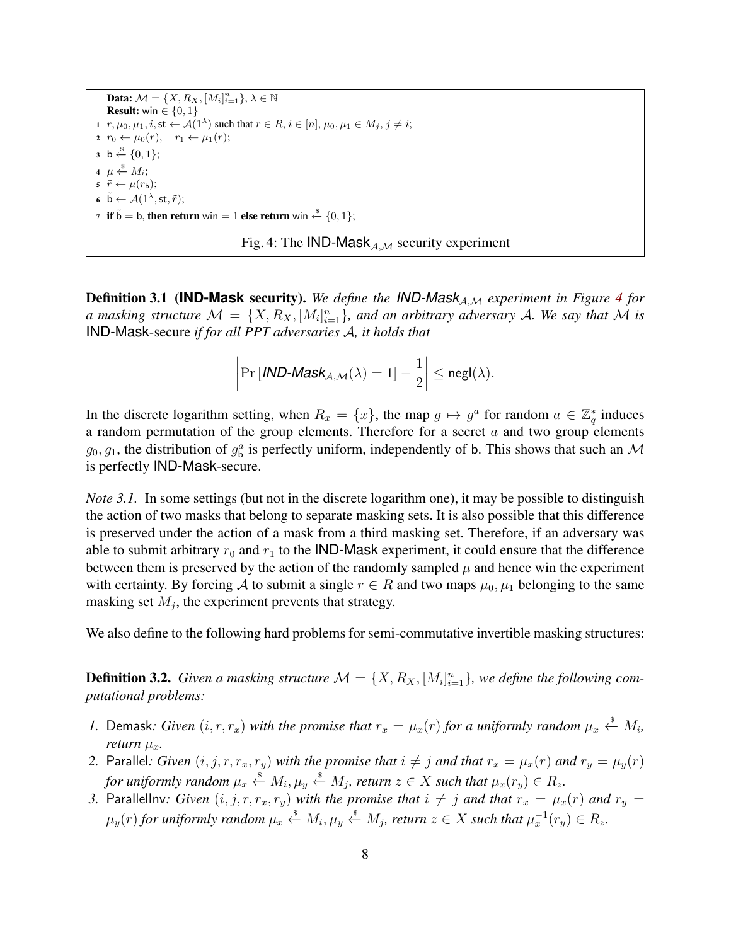<span id="page-7-0"></span>**Data:**  $\mathcal{M} = \{X, R_X, [M_i]_{i=1}^n\}, \lambda \in \mathbb{N}$ **Result:** win  $\in \{0, 1\}$ 1  $r, \mu_0, \mu_1, i, \textsf{st} \leftarrow \mathcal{A}(1^{\lambda})$  such that  $r \in R$ ,  $i \in [n], \mu_0, \mu_1 \in M_j$ ,  $j \neq i$ ; 2  $r_0 \leftarrow \mu_0(r)$ ,  $r_1 \leftarrow \mu_1(r)$ ;  $\mathsf{3} \ \mathsf{b} \stackrel{\$}{\leftarrow} \{0,1\};$ 4  $\mu \overset{\hspace{0.1em}\mathsf{\scriptscriptstyle\$}}{\leftarrow} M_i;$ 5  $\tilde{r} \leftarrow \mu(r_{\rm b});$ 6  $\tilde{\mathsf{b}} \leftarrow \mathcal{A}(1^{\lambda}, \mathsf{st}, \tilde{r});$ 7 if  $\tilde{b} = b$ , then return win = 1 else return win  $\stackrel{\$}{\leftarrow} \{0, 1\};$ 

Fig. 4: The IND-Mask $_{A,M}$  security experiment

**Definition 3.1 (IND-Mask security).** We define the IND-Mask<sub>A,M</sub> experiment in Figure [4](#page-7-0) for *a* masking structure  $\mathcal{M} = \{X, R_X, [M_i]_{i=1}^n\}$ , and an arbitrary adversary A. We say that M is IND-Mask-secure *if for all PPT adversaries* A*, it holds that*

$$
\left|\Pr\left[\textit{IND-Mask}_{\mathcal{A},\mathcal{M}}(\lambda)=1\right]-\frac{1}{2}\right|\leq \mathsf{negl}(\lambda).
$$

In the discrete logarithm setting, when  $R_x = \{x\}$ , the map  $g \mapsto g^a$  for random  $a \in \mathbb{Z}_q^*$  induces a random permutation of the group elements. Therefore for a secret  $a$  and two group elements  $g_0, g_1$ , the distribution of  $g_b^a$  is perfectly uniform, independently of b. This shows that such an M is perfectly IND-Mask-secure.

<span id="page-7-1"></span>*Note 3.1.* In some settings (but not in the discrete logarithm one), it may be possible to distinguish the action of two masks that belong to separate masking sets. It is also possible that this difference is preserved under the action of a mask from a third masking set. Therefore, if an adversary was able to submit arbitrary  $r_0$  and  $r_1$  to the IND-Mask experiment, it could ensure that the difference between them is preserved by the action of the randomly sampled  $\mu$  and hence win the experiment with certainty. By forcing A to submit a single  $r \in R$  and two maps  $\mu_0, \mu_1$  belonging to the same masking set  $M_j$ , the experiment prevents that strategy.

We also define to the following hard problems for semi-commutative invertible masking structures:

**Definition 3.2.** Given a masking structure  $\mathcal{M} = \{X, R_X, [M_i]_{i=1}^n\}$ , we define the following com*putational problems:*

- *1.* Demask: Given  $(i, r, r_x)$  with the promise that  $r_x = \mu_x(r)$  for a uniformly random  $\mu_x \stackrel{\hspace{0.1em}\mathsf{\scriptscriptstyle\$}}{\leftarrow} M_i$ , *return*  $\mu_x$ *.*
- 2. Parallel: *Given*  $(i, j, r, r_x, r_y)$  *with the promise that*  $i \neq j$  *and that*  $r_x = \mu_x(r)$  *and*  $r_y = \mu_y(r)$ for uniformly random  $\mu_x \stackrel{\hspace{0.1em}\mathsf{\scriptscriptstyle\$}}{\leftarrow} M_i, \mu_y \stackrel{\hspace{0.1em}\mathsf{\scriptscriptstyle\$}}{\leftarrow} M_j$ , return  $z \in X$  such that  $\mu_x(r_y) \in R_z$ .
- *3.* Parallellnv: Given  $(i, j, r, r_x, r_y)$  with the promise that  $i \neq j$  and that  $r_x = \mu_x(r)$  and  $r_y =$  $\mu_y(r)$  for uniformly random  $\mu_x \overset{\hspace{0.1em}\mathsf{\scriptscriptstyle\$}}{\leftarrow} M_i, \mu_y \overset{\hspace{0.1em}\mathsf{\scriptscriptstyle\$}}{\leftarrow} M_j,$  return  $z \in X$  such that  $\mu_x^{-1}(r_y) \in R_z.$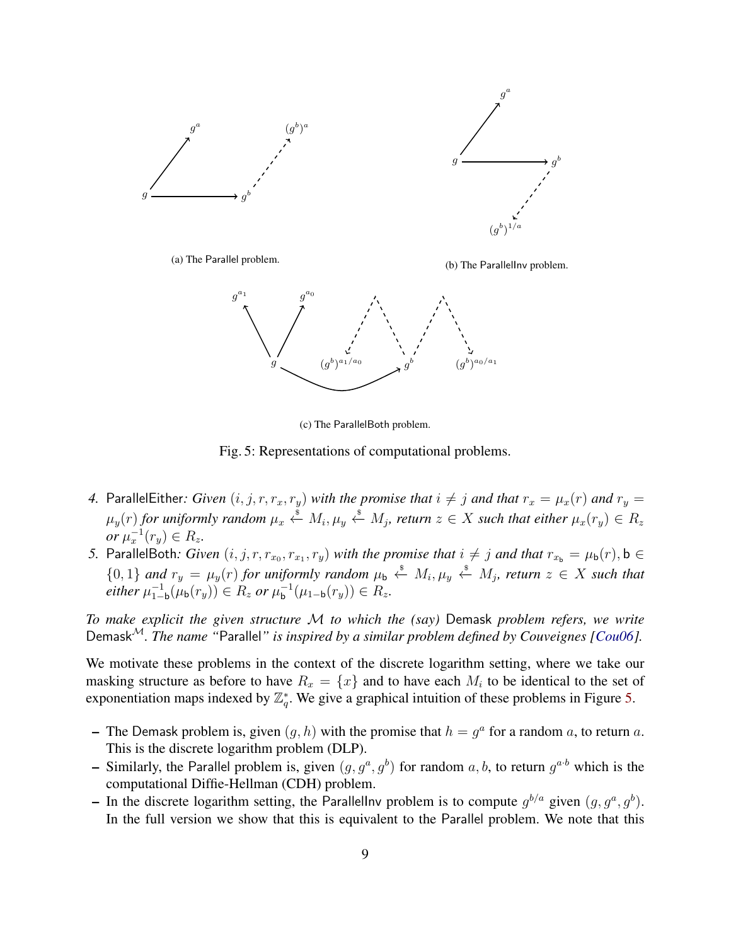<span id="page-8-0"></span>

(c) The ParallelBoth problem.

Fig. 5: Representations of computational problems.

- *4.* ParallelEither: Given  $(i, j, r, r_x, r_y)$  with the promise that  $i \neq j$  and that  $r_x = \mu_x(r)$  and  $r_y =$  $\mu_y(r)$  for uniformly random  $\mu_x \overset{\hspace{0.1em}\mathsf{\scriptscriptstyle\$}}{\leftarrow} M_i, \mu_y \overset{\hspace{0.1em}\mathsf{\scriptscriptstyle\$}}{\leftarrow} M_j,$  return  $z \in X$  such that either  $\mu_x(r_y) \in R_z$ *or*  $\mu_x^{-1}(r_y) \in R_z$ .
- 5. ParallelBoth: *Given*  $(i, j, r, r_{x_0}, r_{x_1}, r_y)$  *with the promise that*  $i \neq j$  *and that*  $r_{x_b} = \mu_b(r)$ ,  $b \in$  ${0, 1}$  *and*  $r_y = \mu_y(r)$  *for uniformly random*  $\mu_b \stackrel{\$}{\leftarrow} M_i$ ,  $\mu_y \stackrel{\$}{\leftarrow} M_j$ , *return*  $z \in X$  *such that*  $\emph{either }\mu _{1-}^{-1}$  $\frac{-1}{1-b}$ (μ<sub>b</sub>(r<sub>y</sub>)) ∈ R<sub>z</sub> or μ<sub>b</sub><sup>-1</sup>  $_{\mathsf{b}}^{-1}(\mu_{1-\mathsf{b}}(r_y)) \in R_z.$

*To make explicit the given structure* M *to which the (say)* Demask *problem refers, we write* Demask<sup>M</sup>*. The name "*Parallel*" is inspired by a similar problem defined by Couveignes [\[Cou06\]](#page-31-15).*

We motivate these problems in the context of the discrete logarithm setting, where we take our masking structure as before to have  $R_x = \{x\}$  and to have each  $M_i$  to be identical to the set of exponentiation maps indexed by  $\mathbb{Z}_q^*$ . We give a graphical intuition of these problems in Figure [5.](#page-8-0)

- The Demask problem is, given  $(g, h)$  with the promise that  $h = g<sup>a</sup>$  for a random a, to return a. This is the discrete logarithm problem (DLP).
- Similarly, the Parallel problem is, given  $(g, g^a, g^b)$  for random  $a, b$ , to return  $g^{a \cdot b}$  which is the computational Diffie-Hellman (CDH) problem.
- In the discrete logarithm setting, the Parallellnv problem is to compute  $g^{b/a}$  given  $(g, g^a, g^b)$ . In the full version we show that this is equivalent to the Parallel problem. We note that this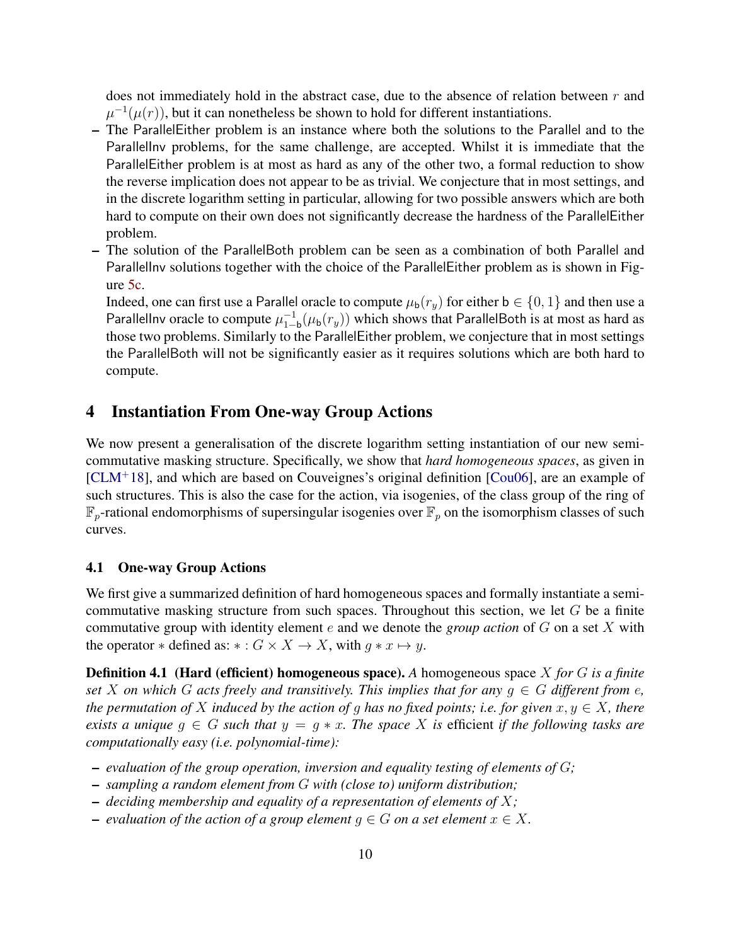does not immediately hold in the abstract case, due to the absence of relation between  $r$  and  $\mu^{-1}(\mu(r))$ , but it can nonetheless be shown to hold for different instantiations.

- The ParallelEither problem is an instance where both the solutions to the Parallel and to the ParallelInv problems, for the same challenge, are accepted. Whilst it is immediate that the ParallelEither problem is at most as hard as any of the other two, a formal reduction to show the reverse implication does not appear to be as trivial. We conjecture that in most settings, and in the discrete logarithm setting in particular, allowing for two possible answers which are both hard to compute on their own does not significantly decrease the hardness of the ParallelEither problem.
- The solution of the ParallelBoth problem can be seen as a combination of both Parallel and ParallelInv solutions together with the choice of the ParallelEither problem as is shown in Figure [5c.](#page-8-0)

Indeed, one can first use a Parallel oracle to compute  $\mu_b(r_y)$  for either  $b \in \{0, 1\}$  and then use a Parallellnv oracle to compute  $\mu_{1-}^{-1}$  $\frac{-1}{1-b}(\mu_b(r_y))$  which shows that ParallelBoth is at most as hard as those two problems. Similarly to the ParallelEither problem, we conjecture that in most settings the ParallelBoth will not be significantly easier as it requires solutions which are both hard to compute.

# 4 Instantiation From One-way Group Actions

We now present a generalisation of the discrete logarithm setting instantiation of our new semicommutative masking structure. Specifically, we show that *hard homogeneous spaces*, as given in [\[CLM](#page-31-8)<sup>+</sup>18], and which are based on Couveignes's original definition [\[Cou06\]](#page-31-15), are an example of such structures. This is also the case for the action, via isogenies, of the class group of the ring of  $\mathbb{F}_p$ -rational endomorphisms of supersingular isogenies over  $\mathbb{F}_p$  on the isomorphism classes of such curves.

#### 4.1 One-way Group Actions

We first give a summarized definition of hard homogeneous spaces and formally instantiate a semicommutative masking structure from such spaces. Throughout this section, we let  $G$  be a finite commutative group with identity element e and we denote the *group action* of G on a set X with the operator  $*$  defined as:  $* : G \times X \to X$ , with  $g * x \mapsto y$ .

Definition 4.1 (Hard (efficient) homogeneous space). *A* homogeneous space X *for* G *is a finite set* X on which G acts freely and transitively. This implies that for any  $q \in G$  different from e, *the permutation of* X *induced by the action of g has no fixed points; i.e. for given*  $x, y \in X$ *, there exists a unique*  $g \in G$  *such that*  $y = g * x$ *. The space* X *is* efficient *if the following tasks are computationally easy (i.e. polynomial-time):*

- *evaluation of the group operation, inversion and equality testing of elements of* G*;*
- *sampling a random element from* G *with (close to) uniform distribution;*
- *deciding membership and equality of a representation of elements of* X*;*
- $−$  *evaluation of the action of a group element*  $q \in G$  *on a set element*  $x \in X$ .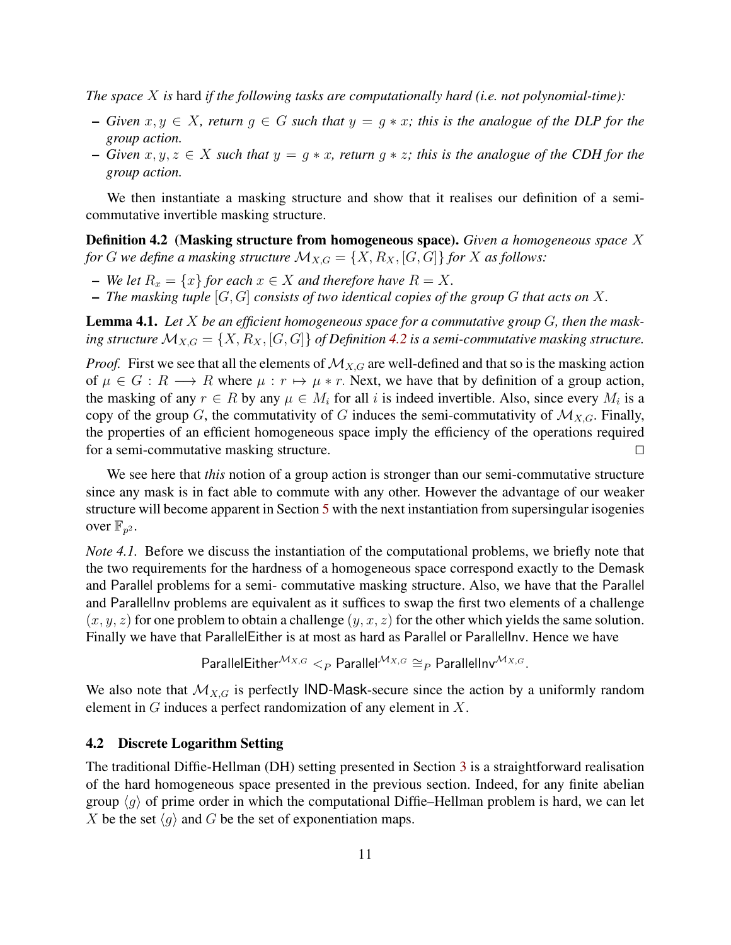*The space* X *is* hard *if the following tasks are computationally hard (i.e. not polynomial-time):*

- *Given* x, y ∈ X*, return* g ∈ G *such that* y = g ∗ x*; this is the analogue of the DLP for the group action.*
- *Given* x, y, z ∈ X *such that* y = g ∗ x*, return* g ∗ z*; this is the analogue of the CDH for the group action.*

We then instantiate a masking structure and show that it realises our definition of a semicommutative invertible masking structure.

<span id="page-10-0"></span>Definition 4.2 (Masking structure from homogeneous space). *Given a homogeneous space* X *for G we define a masking structure*  $\mathcal{M}_{X,G} = \{X, R_X, [G, G]\}$  *for X as follows:* 

- *We let*  $R_x = \{x\}$  *for each*  $x \in X$  *and therefore have*  $R = X$ *.*
- *The masking tuple* [G, G] *consists of two identical copies of the group* G *that acts on* X*.*

Lemma 4.1. *Let* X *be an efficient homogeneous space for a commutative group* G*, then the mask*ing structure  $\mathcal{M}_{X,G} = \{X, R_X, [G, G]\}$  of Definition [4.2](#page-10-0) is a semi-commutative masking structure.

*Proof.* First we see that all the elements of  $\mathcal{M}_{X,G}$  are well-defined and that so is the masking action of  $\mu \in G : R \longrightarrow R$  where  $\mu : r \mapsto \mu * r$ . Next, we have that by definition of a group action, the masking of any  $r \in R$  by any  $\mu \in M_i$  for all i is indeed invertible. Also, since every  $M_i$  is a copy of the group G, the commutativity of G induces the semi-commutativity of  $\mathcal{M}_{X,G}$ . Finally, the properties of an efficient homogeneous space imply the efficiency of the operations required for a semi-commutative masking structure.  $\Box$ 

We see here that *this* notion of a group action is stronger than our semi-commutative structure since any mask is in fact able to commute with any other. However the advantage of our weaker structure will become apparent in Section [5](#page-12-0) with the next instantiation from supersingular isogenies over  $\mathbb{F}_{p^2}$ .

*Note 4.1.* Before we discuss the instantiation of the computational problems, we briefly note that the two requirements for the hardness of a homogeneous space correspond exactly to the Demask and Parallel problems for a semi- commutative masking structure. Also, we have that the Parallel and ParallelInv problems are equivalent as it suffices to swap the first two elements of a challenge  $(x, y, z)$  for one problem to obtain a challenge  $(y, x, z)$  for the other which yields the same solution. Finally we have that ParallelEither is at most as hard as Parallel or ParallelInv. Hence we have

$$
\mathsf{ParallelEither}^{\mathcal{M}_{X,G}} <_{P} \mathsf{Parallel}^{\mathcal{M}_{X,G}} \cong_{P} \mathsf{ParallelInv}^{\mathcal{M}_{X,G}}.
$$

We also note that  $\mathcal{M}_{X,G}$  is perfectly IND-Mask-secure since the action by a uniformly random element in  $G$  induces a perfect randomization of any element in  $X$ .

## 4.2 Discrete Logarithm Setting

The traditional Diffie-Hellman (DH) setting presented in Section [3](#page-6-0) is a straightforward realisation of the hard homogeneous space presented in the previous section. Indeed, for any finite abelian group  $\langle q \rangle$  of prime order in which the computational Diffie–Hellman problem is hard, we can let X be the set  $\langle q \rangle$  and G be the set of exponentiation maps.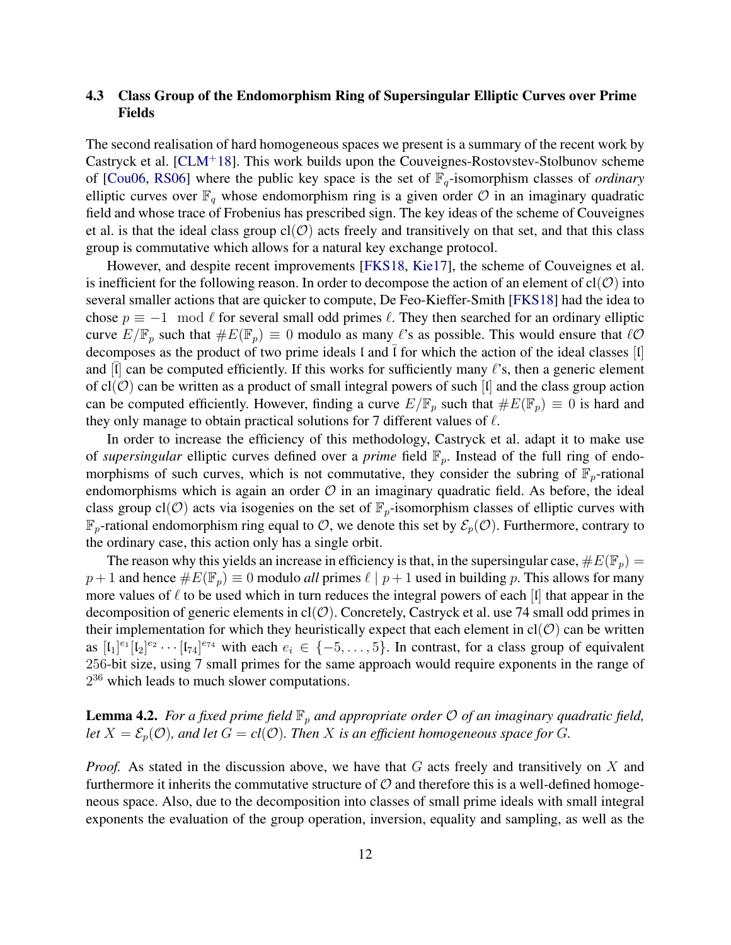# 4.3 Class Group of the Endomorphism Ring of Supersingular Elliptic Curves over Prime Fields

The second realisation of hard homogeneous spaces we present is a summary of the recent work by Castryck et al. [\[CLM](#page-31-8)<sup>+</sup>18]. This work builds upon the Couveignes-Rostovstev-Stolbunov scheme of [\[Cou06,](#page-31-15) [RS06\]](#page-32-15) where the public key space is the set of  $\mathbb{F}_q$ -isomorphism classes of *ordinary* elliptic curves over  $\mathbb{F}_q$  whose endomorphism ring is a given order  $\mathcal O$  in an imaginary quadratic field and whose trace of Frobenius has prescribed sign. The key ideas of the scheme of Couveignes et al. is that the ideal class group  $cl(\mathcal{O})$  acts freely and transitively on that set, and that this class group is commutative which allows for a natural key exchange protocol.

However, and despite recent improvements [\[FKS18,](#page-31-16) [Kie17\]](#page-32-16), the scheme of Couveignes et al. is inefficient for the following reason. In order to decompose the action of an element of  $cl(O)$  into several smaller actions that are quicker to compute, De Feo-Kieffer-Smith [\[FKS18\]](#page-31-16) had the idea to chose  $p \equiv -1 \mod l$  for several small odd primes  $\ell$ . They then searched for an ordinary elliptic curve  $E/\mathbb{F}_p$  such that  $\#E(\mathbb{F}_p) \equiv 0$  modulo as many  $\ell$ 's as possible. This would ensure that  $\ell\mathcal{O}$ decomposes as the product of two prime ideals  $\iota$  and  $\iota$  for which the action of the ideal classes  $\iota$ and  $[\overline{I}]$  can be computed efficiently. If this works for sufficiently many  $\ell$ 's, then a generic element of  $cl(\mathcal{O})$  can be written as a product of small integral powers of such [I] and the class group action can be computed efficiently. However, finding a curve  $E/\mathbb{F}_p$  such that  $\#E(\mathbb{F}_p) \equiv 0$  is hard and they only manage to obtain practical solutions for 7 different values of  $\ell$ .

In order to increase the efficiency of this methodology, Castryck et al. adapt it to make use of *supersingular* elliptic curves defined over a *prime* field  $\mathbb{F}_p$ . Instead of the full ring of endomorphisms of such curves, which is not commutative, they consider the subring of  $\mathbb{F}_p$ -rational endomorphisms which is again an order  $O$  in an imaginary quadratic field. As before, the ideal class group cl(O) acts via isogenies on the set of  $\mathbb{F}_p$ -isomorphism classes of elliptic curves with  $\mathbb{F}_p$ -rational endomorphism ring equal to  $\mathcal{O}$ , we denote this set by  $\mathcal{E}_p(\mathcal{O})$ . Furthermore, contrary to the ordinary case, this action only has a single orbit.

The reason why this yields an increase in efficiency is that, in the supersingular case,  $\#E(\mathbb{F}_p)$  =  $p + 1$  and hence  $\#E(\mathbb{F}_p) \equiv 0$  modulo *all* primes  $\ell \mid p + 1$  used in building p. This allows for many more values of  $\ell$  to be used which in turn reduces the integral powers of each  $\lbrack \mathfrak{l} \rbrack$  that appear in the decomposition of generic elements in  $cl(\mathcal{O})$ . Concretely, Castryck et al. use 74 small odd primes in their implementation for which they heuristically expect that each element in  $cl(O)$  can be written as  $[I_1]^{e_1}[I_2]^{e_2}\cdots [I_{74}]^{e_{74}}$  with each  $e_i \in \{-5,\ldots,5\}$ . In contrast, for a class group of equivalent 256-bit size, using 7 small primes for the same approach would require exponents in the range of  $2^{36}$  which leads to much slower computations.

<span id="page-11-0"></span>**Lemma 4.2.** For a fixed prime field  $\mathbb{F}_p$  and appropriate order  $\mathcal{O}$  of an imaginary quadratic field, *let*  $X = \mathcal{E}_p(\mathcal{O})$ , and let  $G = cl(\mathcal{O})$ . Then X is an efficient homogeneous space for G.

*Proof.* As stated in the discussion above, we have that G acts freely and transitively on X and furthermore it inherits the commutative structure of  $\mathcal O$  and therefore this is a well-defined homogeneous space. Also, due to the decomposition into classes of small prime ideals with small integral exponents the evaluation of the group operation, inversion, equality and sampling, as well as the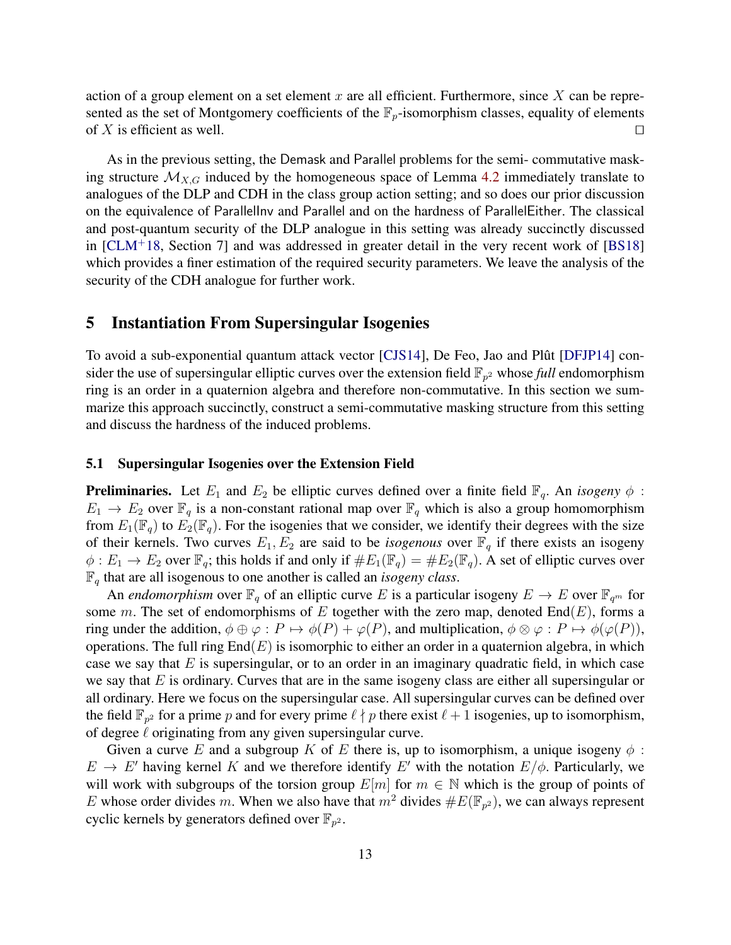action of a group element on a set element x are all efficient. Furthermore, since  $X$  can be represented as the set of Montgomery coefficients of the  $\mathbb{F}_p$ -isomorphism classes, equality of elements of X is efficient as well.

As in the previous setting, the Demask and Parallel problems for the semi- commutative masking structure  $\mathcal{M}_{X,G}$  induced by the homogeneous space of Lemma [4.2](#page-11-0) immediately translate to analogues of the DLP and CDH in the class group action setting; and so does our prior discussion on the equivalence of ParallelInv and Parallel and on the hardness of ParallelEither. The classical and post-quantum security of the DLP analogue in this setting was already succinctly discussed in  $[CLM<sup>+</sup>18$  $[CLM<sup>+</sup>18$ , Section 7] and was addressed in greater detail in the very recent work of  $[BS18]$ which provides a finer estimation of the required security parameters. We leave the analysis of the security of the CDH analogue for further work.

# <span id="page-12-0"></span>5 Instantiation From Supersingular Isogenies

To avoid a sub-exponential quantum attack vector [\[CJS14\]](#page-31-18), De Feo, Jao and Plût [[DFJP14\]](#page-31-0) consider the use of supersingular elliptic curves over the extension field  $\mathbb{F}_{p^2}$  whose *full* endomorphism ring is an order in a quaternion algebra and therefore non-commutative. In this section we summarize this approach succinctly, construct a semi-commutative masking structure from this setting and discuss the hardness of the induced problems.

#### 5.1 Supersingular Isogenies over the Extension Field

**Preliminaries.** Let  $E_1$  and  $E_2$  be elliptic curves defined over a finite field  $\mathbb{F}_q$ . An *isogeny*  $\phi$ :  $E_1 \rightarrow E_2$  over  $\mathbb{F}_q$  is a non-constant rational map over  $\mathbb{F}_q$  which is also a group homomorphism from  $E_1(\mathbb{F}_q)$  to  $E_2(\mathbb{F}_q)$ . For the isogenies that we consider, we identify their degrees with the size of their kernels. Two curves  $E_1, E_2$  are said to be *isogenous* over  $\mathbb{F}_q$  if there exists an isogeny  $\phi: E_1 \to E_2$  over  $\mathbb{F}_q$ ; this holds if and only if  $\#E_1(\mathbb{F}_q) = \#E_2(\mathbb{F}_q)$ . A set of elliptic curves over  $\mathbb{F}_q$  that are all isogenous to one another is called an *isogeny class*.

An *endomorphism* over  $\mathbb{F}_q$  of an elliptic curve E is a particular isogeny  $E \to E$  over  $\mathbb{F}_{q^m}$  for some m. The set of endomorphisms of E together with the zero map, denoted  $\text{End}(E)$ , forms a ring under the addition,  $\phi \oplus \varphi : P \mapsto \phi(P) + \varphi(P)$ , and multiplication,  $\phi \otimes \varphi : P \mapsto \phi(\varphi(P))$ , operations. The full ring  $End(E)$  is isomorphic to either an order in a quaternion algebra, in which case we say that  $E$  is supersingular, or to an order in an imaginary quadratic field, in which case we say that  $E$  is ordinary. Curves that are in the same isogeny class are either all supersingular or all ordinary. Here we focus on the supersingular case. All supersingular curves can be defined over the field  $\mathbb{F}_{p^2}$  for a prime p and for every prime  $\ell \nmid p$  there exist  $\ell + 1$  isogenies, up to isomorphism, of degree  $\ell$  originating from any given supersingular curve.

Given a curve E and a subgroup K of E there is, up to isomorphism, a unique isogeny  $\phi$ :  $E \to E'$  having kernel K and we therefore identify E' with the notation  $E/\phi$ . Particularly, we will work with subgroups of the torsion group  $E[m]$  for  $m \in \mathbb{N}$  which is the group of points of E whose order divides m. When we also have that  $m^2$  divides  $\#E(\mathbb{F}_{p^2})$ , we can always represent cyclic kernels by generators defined over  $\mathbb{F}_{p^2}$ .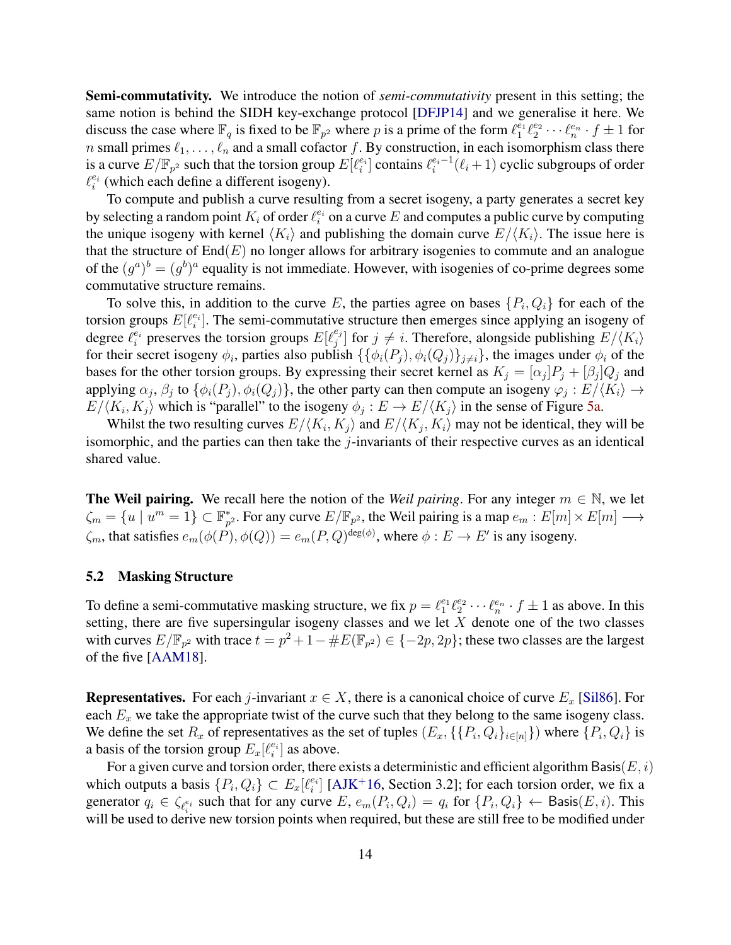Semi-commutativity. We introduce the notion of *semi-commutativity* present in this setting; the same notion is behind the SIDH key-exchange protocol [\[DFJP14\]](#page-31-0) and we generalise it here. We discuss the case where  $\mathbb{F}_q$  is fixed to be  $\mathbb{F}_{p^2}$  where p is a prime of the form  $\ell_1^{e_1}\ell_2^{e_2}\cdots\ell_n^{e_n} \cdot f \pm 1$  for n small primes  $\ell_1, \ldots, \ell_n$  and a small cofactor f. By construction, in each isomorphism class there is a curve  $E/\mathbb{F}_{p^2}$  such that the torsion group  $E[\ell_i^{e_i}]$  contains  $\ell_i^{e_i-1}(\ell_i+1)$  cyclic subgroups of order  $\ell_i^{e_i}$  (which each define a different isogeny).

To compute and publish a curve resulting from a secret isogeny, a party generates a secret key by selecting a random point  $K_i$  of order  $\ell_i^{e_i}$  on a curve  $E$  and computes a public curve by computing the unique isogeny with kernel  $\langle K_i \rangle$  and publishing the domain curve  $E/\langle K_i \rangle$ . The issue here is that the structure of  $End(E)$  no longer allows for arbitrary isogenies to commute and an analogue of the  $(g^a)^b = (g^b)^a$  equality is not immediate. However, with isogenies of co-prime degrees some commutative structure remains.

To solve this, in addition to the curve E, the parties agree on bases  $\{P_i, Q_i\}$  for each of the torsion groups  $E[\ell_i^{e_i}]$ . The semi-commutative structure then emerges since applying an isogeny of degree  $\ell_i^{e_i}$  preserves the torsion groups  $E[\ell_j^{e_j}]$  $j^{e_j}$ ] for  $j \neq i$ . Therefore, alongside publishing  $E/\langle K_i \rangle$ for their secret isogeny  $\phi_i$ , parties also publish  $\{\{\phi_i(P_j), \phi_i(Q_j)\}_{j\neq i}\}$ , the images under  $\phi_i$  of the bases for the other torsion groups. By expressing their secret kernel as  $K_j = [\alpha_j]P_j + [\beta_j]Q_j$  and applying  $\alpha_j$ ,  $\beta_j$  to  $\{\phi_i(P_j), \phi_i(Q_j)\}\$ , the other party can then compute an isogeny  $\varphi_j : E/\langle K_i \rangle \to$  $E/\langle K_i, K_j \rangle$  which is "parallel" to the isogeny  $\phi_j : E \to E/\langle K_j \rangle$  in the sense of Figure [5a.](#page-8-0)

Whilst the two resulting curves  $E/\langle K_i, K_j \rangle$  and  $E/\langle K_j, K_i \rangle$  may not be identical, they will be isomorphic, and the parties can then take the  $j$ -invariants of their respective curves as an identical shared value.

**The Weil pairing.** We recall here the notion of the *Weil pairing*. For any integer  $m \in \mathbb{N}$ , we let  $\zeta_m = \{u \mid u^m = 1\} \subset \mathbb{F}_p^*$  $_{p^2}^*$ . For any curve  $E/\mathbb{F}_{p^2}$ , the Weil pairing is a map  $e_m : E[m] \times E[m] \longrightarrow$  $\zeta_m$ , that satisfies  $e_m(\phi(P), \phi(Q)) = e_m(P, Q)^{\deg(\phi)}$ , where  $\phi : E \to E'$  is any isogeny.

## 5.2 Masking Structure

To define a semi-commutative masking structure, we fix  $p = \ell_1^{e_1} \ell_2^{e_2} \cdots \ell_n^{e_n} \cdot f \pm 1$  as above. In this setting, there are five supersingular isogeny classes and we let  $X$  denote one of the two classes with curves  $E/\mathbb{F}_{p^2}$  with trace  $t = p^2 + 1 - \#E(\mathbb{F}_{p^2}) \in \{-2p, 2p\}$ ; these two classes are the largest of the five [\[AAM18\]](#page-30-0).

**Representatives.** For each j-invariant  $x \in X$ , there is a canonical choice of curve  $E_x$  [\[Sil86\]](#page-32-17). For each  $E_x$  we take the appropriate twist of the curve such that they belong to the same isogeny class. We define the set  $R_x$  of representatives as the set of tuples  $(E_x, \{P_i, Q_i\}_{i \in [n]})$  where  $\{P_i, Q_i\}$  is a basis of the torsion group  $E_x[\ell_i^{e_i}]$  as above.

For a given curve and torsion order, there exists a deterministic and efficient algorithm Basis( $E, i$ ) which outputs a basis  $\{P_i, Q_i\} \subset E_x[\ell_i^{e_i}]$  [\[AJK](#page-31-2)<sup>+</sup>16, Section 3.2]; for each torsion order, we fix a generator  $q_i \in \zeta_{\ell_i^{e_i}}$  such that for any curve  $E$ ,  $e_m(P_i, Q_i) = q_i$  for  $\{P_i, Q_i\} \leftarrow$  Basis $(E, i)$ . This will be used to derive new torsion points when required, but these are still free to be modified under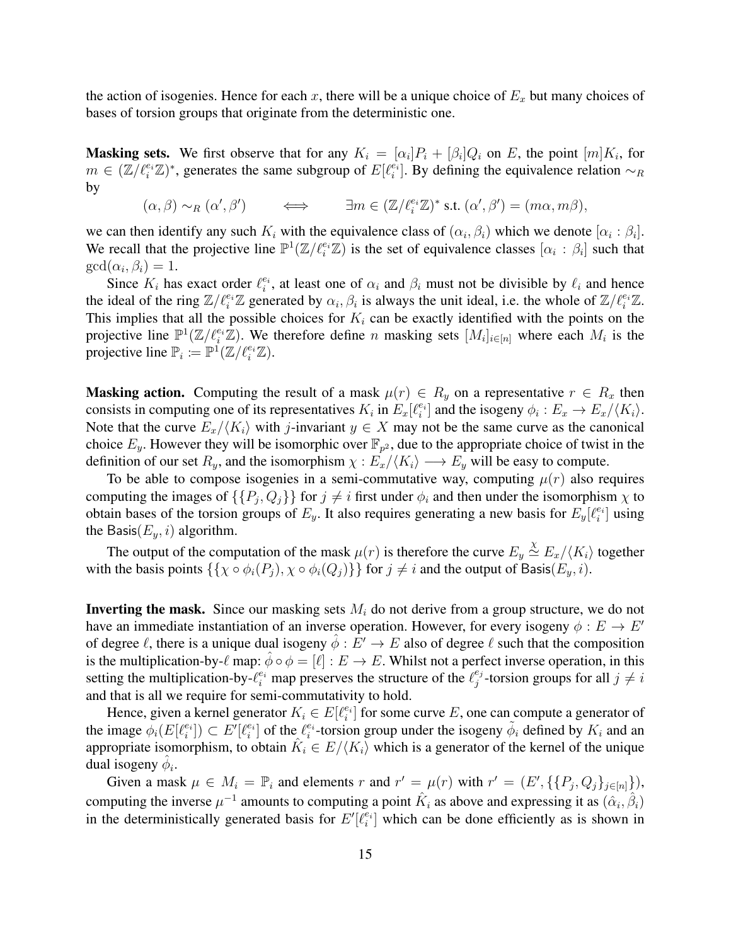the action of isogenies. Hence for each x, there will be a unique choice of  $E<sub>x</sub>$  but many choices of bases of torsion groups that originate from the deterministic one.

**Masking sets.** We first observe that for any  $K_i = [\alpha_i]P_i + [\beta_i]Q_i$  on E, the point  $[m]K_i$ , for  $m \in (\mathbb{Z}/\ell_i^{e_i} \mathbb{Z})^*$ , generates the same subgroup of  $E[\ell_i^{e_i}]$ . By defining the equivalence relation  $\sim_R$ by

 $(\alpha, \beta) \sim_R (\alpha', \beta') \qquad \Longleftrightarrow \qquad \exists m \in (\mathbb{Z}/\ell_i^{e_i} \mathbb{Z})^* \text{ s.t. } (\alpha', \beta') = (m\alpha, m\beta),$ 

we can then identify any such  $K_i$  with the equivalence class of  $(\alpha_i, \beta_i)$  which we denote  $[\alpha_i : \beta_i]$ . We recall that the projective line  $\mathbb{P}^1(\mathbb{Z}/\ell_i^{e_i}\mathbb{Z})$  is the set of equivalence classes  $[\alpha_i : \beta_i]$  such that  $gcd(\alpha_i, \beta_i) = 1.$ 

Since  $K_i$  has exact order  $\ell_i^{e_i}$ , at least one of  $\alpha_i$  and  $\beta_i$  must not be divisible by  $\ell_i$  and hence the ideal of the ring  $\mathbb{Z}/\ell_i^{e_i}\mathbb{Z}$  generated by  $\alpha_i, \beta_i$  is always the unit ideal, i.e. the whole of  $\mathbb{Z}/\ell_i^{e_i}\mathbb{Z}$ . This implies that all the possible choices for  $K_i$  can be exactly identified with the points on the projective line  $\mathbb{P}^1(\mathbb{Z}/\ell_i^{e_i}\mathbb{Z})$ . We therefore define n masking sets  $[M_i]_{i\in[n]}$  where each  $M_i$  is the projective line  $\mathbb{P}_i \coloneqq \mathbb{P}^1(\mathbb{Z}/\ell_i^{e_i}\mathbb{Z}).$ 

**Masking action.** Computing the result of a mask  $\mu(r) \in R_y$  on a representative  $r \in R_x$  then consists in computing one of its representatives  $K_i$  in  $E_x[\ell_i^{e_i}]$  and the isogeny  $\phi_i : E_x \to E_x/\langle K_i \rangle$ . Note that the curve  $E_x/\langle K_i \rangle$  with j-invariant  $y \in X$  may not be the same curve as the canonical choice  $E_y$ . However they will be isomorphic over  $\mathbb{F}_{p^2}$ , due to the appropriate choice of twist in the definition of our set  $R_y$ , and the isomorphism  $\chi : E_x / \langle K_i \rangle \longrightarrow E_y$  will be easy to compute.

To be able to compose isogenies in a semi-commutative way, computing  $\mu(r)$  also requires computing the images of  $\{\{P_j, Q_j\}\}\$ for  $j \neq i$  first under  $\phi_i$  and then under the isomorphism  $\chi$  to obtain bases of the torsion groups of  $E_y$ . It also requires generating a new basis for  $E_y[\ell_i^{e_i}]$  using the Basis $(E_y, i)$  algorithm.

The output of the computation of the mask  $\mu(r)$  is therefore the curve  $E_y \stackrel{\chi}{\simeq} E_x/\langle K_i \rangle$  together with the basis points  $\{\{\chi \circ \phi_i(P_i), \chi \circ \phi_i(Q_i)\}\}\$ for  $j \neq i$  and the output of Basis $(E_y, i)$ .

**Inverting the mask.** Since our masking sets  $M_i$  do not derive from a group structure, we do not have an immediate instantiation of an inverse operation. However, for every isogeny  $\phi : E \to E'$ of degree  $\ell$ , there is a unique dual isogeny  $\hat{\phi}: E' \to E$  also of degree  $\ell$  such that the composition is the multiplication-by- $\ell$  map:  $\hat{\phi} \circ \phi = [\ell] : E \to E$ . Whilst not a perfect inverse operation, in this setting the multiplication-by- $\ell_i^{e_i}$  map preserves the structure of the  $\ell_j^{e_j}$  $j^{e_j}$ -torsion groups for all  $j \neq i$ and that is all we require for semi-commutativity to hold.

Hence, given a kernel generator  $K_i \in E[\ell_i^{e_i}]$  for some curve E, one can compute a generator of the image  $\phi_i(E[\ell_i^{e_i}]) \subset E'[\ell_i^{e_i}]$  of the  $\ell_i^{e_i}$ -torsion group under the isogeny  $\tilde{\phi}_i$  defined by  $K_i$  and an appropriate isomorphism, to obtain  $K_i \in E/\langle K_i \rangle$  which is a generator of the kernel of the unique dual isogeny  $\hat{\phi}_i$ .

Given a mask  $\mu \in M_i = \mathbb{P}_i$  and elements r and  $r' = \mu(r)$  with  $r' = (E', \{ \{P_j, Q_j\}_{j \in [n]} \})$ , computing the inverse  $\mu^{-1}$  amounts to computing a point  $\hat{K}_i$  as above and expressing it as  $(\hat{\alpha}_i, \hat{\beta}_i)$ in the deterministically generated basis for  $E'[\ell_i^{e_i}]$  which can be done efficiently as is shown in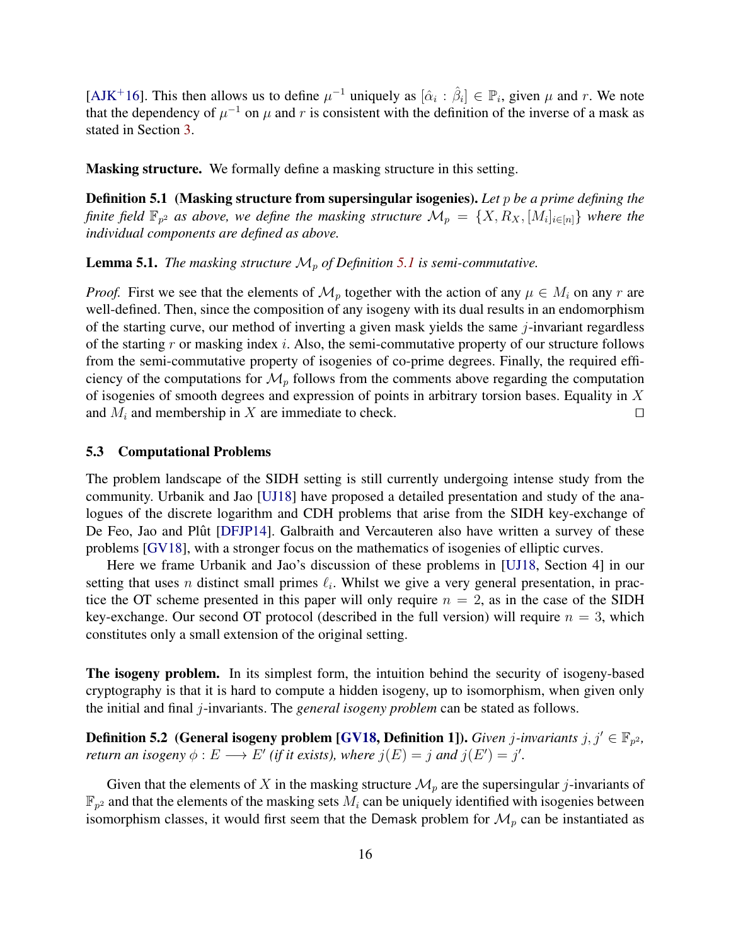[\[AJK](#page-31-2)<sup>+</sup>16]. This then allows us to define  $\mu^{-1}$  uniquely as  $[\hat{\alpha}_i : \hat{\beta}_i] \in \mathbb{P}_i$ , given  $\mu$  and r. We note that the dependency of  $\mu^{-1}$  on  $\mu$  and r is consistent with the definition of the inverse of a mask as stated in Section [3.](#page-6-0)

<span id="page-15-0"></span>Masking structure. We formally define a masking structure in this setting.

Definition 5.1 (Masking structure from supersingular isogenies). *Let* p *be a prime defining the finite field*  $\mathbb{F}_{p^2}$  as above, we define the masking structure  $\mathcal{M}_p = \{X, R_X, [M_i]_{i \in [n]}\}$  where the *individual components are defined as above.*

**Lemma [5.1](#page-15-0).** *The masking structure*  $\mathcal{M}_p$  *of Definition* 5.1 *is semi-commutative.* 

*Proof.* First we see that the elements of  $\mathcal{M}_p$  together with the action of any  $\mu \in M_i$  on any r are well-defined. Then, since the composition of any isogeny with its dual results in an endomorphism of the starting curve, our method of inverting a given mask yields the same  $j$ -invariant regardless of the starting r or masking index i. Also, the semi-commutative property of our structure follows from the semi-commutative property of isogenies of co-prime degrees. Finally, the required efficiency of the computations for  $\mathcal{M}_p$  follows from the comments above regarding the computation of isogenies of smooth degrees and expression of points in arbitrary torsion bases. Equality in X and  $M_i$  and membership in X are immediate to check.  $\square$ 

## 5.3 Computational Problems

The problem landscape of the SIDH setting is still currently undergoing intense study from the community. Urbanik and Jao [\[UJ18\]](#page-32-18) have proposed a detailed presentation and study of the analogues of the discrete logarithm and CDH problems that arise from the SIDH key-exchange of De Feo, Jao and Plût [[DFJP14\]](#page-31-0). Galbraith and Vercauteren also have written a survey of these problems [\[GV18\]](#page-32-19), with a stronger focus on the mathematics of isogenies of elliptic curves.

Here we frame Urbanik and Jao's discussion of these problems in [\[UJ18,](#page-32-18) Section 4] in our setting that uses n distinct small primes  $\ell_i$ . Whilst we give a very general presentation, in practice the OT scheme presented in this paper will only require  $n = 2$ , as in the case of the SIDH key-exchange. Our second OT protocol (described in the full version) will require  $n = 3$ , which constitutes only a small extension of the original setting.

The isogeny problem. In its simplest form, the intuition behind the security of isogeny-based cryptography is that it is hard to compute a hidden isogeny, up to isomorphism, when given only the initial and final j-invariants. The *general isogeny problem* can be stated as follows.

<span id="page-15-1"></span>**Definition 5.2** (General isogeny problem [\[GV18,](#page-32-19) Definition 1]). *Given j-invariants j*,  $j' \in \mathbb{F}_{p^2}$ , *return an isogeny*  $\phi : E \longrightarrow E'$  (*if it exists*), where  $j(E) = j$  *and*  $j(E') = j'$ .

Given that the elements of X in the masking structure  $\mathcal{M}_p$  are the supersingular j-invariants of  $\mathbb{F}_{p^2}$  and that the elements of the masking sets  $M_i$  can be uniquely identified with isogenies between isomorphism classes, it would first seem that the Demask problem for  $\mathcal{M}_p$  can be instantiated as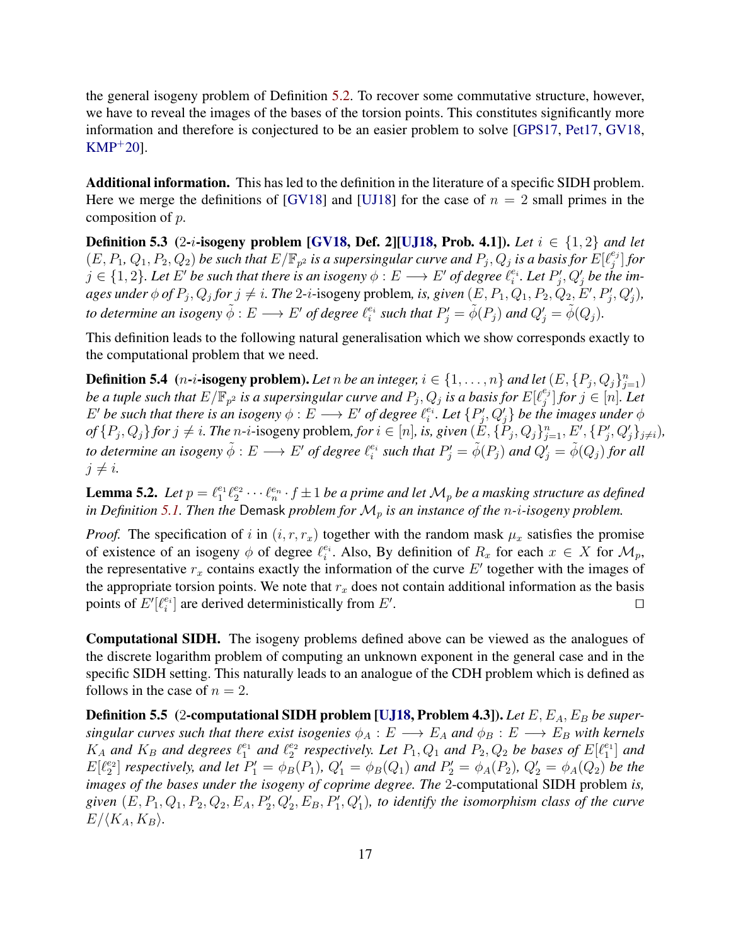the general isogeny problem of Definition [5.2.](#page-15-1) To recover some commutative structure, however, we have to reveal the images of the bases of the torsion points. This constitutes significantly more information and therefore is conjectured to be an easier problem to solve [\[GPS17,](#page-32-2) [Pet17,](#page-32-20) [GV18,](#page-32-19) [KMP](#page-32-21)<sup>+</sup>20].

Additional information. This has led to the definition in the literature of a specific SIDH problem. Here we merge the definitions of [\[GV18\]](#page-32-19) and [\[UJ18\]](#page-32-18) for the case of  $n = 2$  small primes in the composition of p.

**Definition 5.3** (2-*i*-isogeny problem [\[GV18,](#page-32-19) Def. 2][\[UJ18,](#page-32-18) Prob. 4.1]). Let  $i \in \{1,2\}$  and let  $(E, P_1, Q_1, P_2, Q_2)$  be such that  $E/\mathbb{F}_{p^2}$  is a supersingular curve and  $P_j, Q_j$  is a basis for  $E[\ell_j^{e_j}]$  $_{j}^{e_{j}}]$  for  $j \in \{1,2\}$ . Let  $E'$  be such that there is an isogeny  $\phi : E \longrightarrow E'$  of degree  $\ell_i^{e_i}$ . Let  $P'_j, Q'_j$  be the im*ages under*  $\phi$  *of*  $P_j$ *,*  $Q_j$  *for*  $j \neq i$ *. The 2-i-isogeny problem, is, given*  $(E, P_1, Q_1, P_2, Q_2, E', P'_j, Q'_j)$ *, to determine an isogeny*  $\tilde{\phi}: E \longrightarrow E'$  *of degree*  $\ell_i^{e_i}$  *such that*  $P'_j = \tilde{\phi}(P_j)$  *and*  $Q'_j = \tilde{\phi}(Q_j)$ *.* 

This definition leads to the following natural generalisation which we show corresponds exactly to the computational problem that we need.

**Definition 5.4** (*n*-*i*-isogeny problem). Let n be an integer,  $i \in \{1, ..., n\}$  and let  $(E, \{P_j, Q_j\}_{j=1}^n)$ be a tuple such that  $E/\mathbb{F}_{p^2}$  is a supersingular curve and  $P_j, Q_j$  is a basis for  $E[\ell_j^{e_j}]$  $\bigcup_{j=0}^{e_j}$  *for*  $j \in [n]$ *. Let*  $E'$  be such that there is an isogeny  $\phi : E \longrightarrow E'$  of degree  $\ell_i^{e_i}$ . Let  $\{P'_j, Q'_j\}$  be the images under  $\phi$  $of \{P_j, Q_j\}$  for  $j \neq i$ . The n-i-isogeny problem, for  $i \in [n]$ , is, given  $(\check{E}, \{\check{P}_j, Q_j\}_{j=1}^n, E', \{P'_j, Q'_j\}_{j \neq i})$ , to determine an isogeny  $\tilde{\phi}:E\longrightarrow E'$  of degree  $\ell_i^{e_i}$  such that  $P'_j=\tilde{\phi}(P_j)$  and  $Q'_j=\tilde{\phi}(Q_j)$  for all  $j \neq i$ .

<span id="page-16-0"></span>**Lemma 5.2.** Let  $p = \ell_1^{e_1}\ell_2^{e_2}\cdots\ell_n^{e_n}\cdot f \pm 1$  be a prime and let  $\mathcal{M}_p$  be a masking structure as defined *in Definition* [5.1.](#page-15-0) Then the Demask *problem for*  $\mathcal{M}_p$  *is an instance of the n-i-isogeny problem.* 

*Proof.* The specification of i in  $(i, r, r_x)$  together with the random mask  $\mu_x$  satisfies the promise of existence of an isogeny  $\phi$  of degree  $\ell_i^{e_i}$ . Also, By definition of  $R_x$  for each  $x \in X$  for  $\mathcal{M}_p$ , the representative  $r_x$  contains exactly the information of the curve  $E'$  together with the images of the appropriate torsion points. We note that  $r<sub>x</sub>$  does not contain additional information as the basis points of  $E'[\ell_i^{e_i}]$  are derived deterministically from  $E'$ . **In the contract of the contract of the contract of the contract of the contract of the contract of the contract of the contract of the contract of the contract of the contract of the contract of the contract of the cont** 

Computational SIDH. The isogeny problems defined above can be viewed as the analogues of the discrete logarithm problem of computing an unknown exponent in the general case and in the specific SIDH setting. This naturally leads to an analogue of the CDH problem which is defined as follows in the case of  $n = 2$ .

**Definition 5.5** (2-computational SIDH problem [\[UJ18,](#page-32-18) Problem 4.3]). Let E, E<sub>A</sub>, E<sub>B</sub> be super*singular curves such that there exist isogenies*  $\phi_A : E \longrightarrow E_A$  *and*  $\phi_B : E \longrightarrow E_B$  *with kernels*  $K_A$  and  $K_B$  and degrees  $\ell_1^{e_1}$  and  $\ell_2^{e_2}$  respectively. Let  $P_1, Q_1$  and  $P_2, Q_2$  be bases of  $E[\ell_1^{e_1}]$  and  $E[\ell_2^{e_2}]$  respectively, and let  $P'_1 = \phi_B(P_1)$ ,  $Q'_1 = \phi_B(Q_1)$  and  $P'_2 = \phi_A(P_2)$ ,  $Q'_2 = \phi_A(Q_2)$  be the *images of the bases under the isogeny of coprime degree. The* 2-computational SIDH problem *is,* given  $(E, P_1, Q_1, P_2, Q_2, E_A, P'_2, Q'_2, E_B, P'_1, Q'_1)$ , to identify the isomorphism class of the curve  $E/\langle K_A, K_B \rangle.$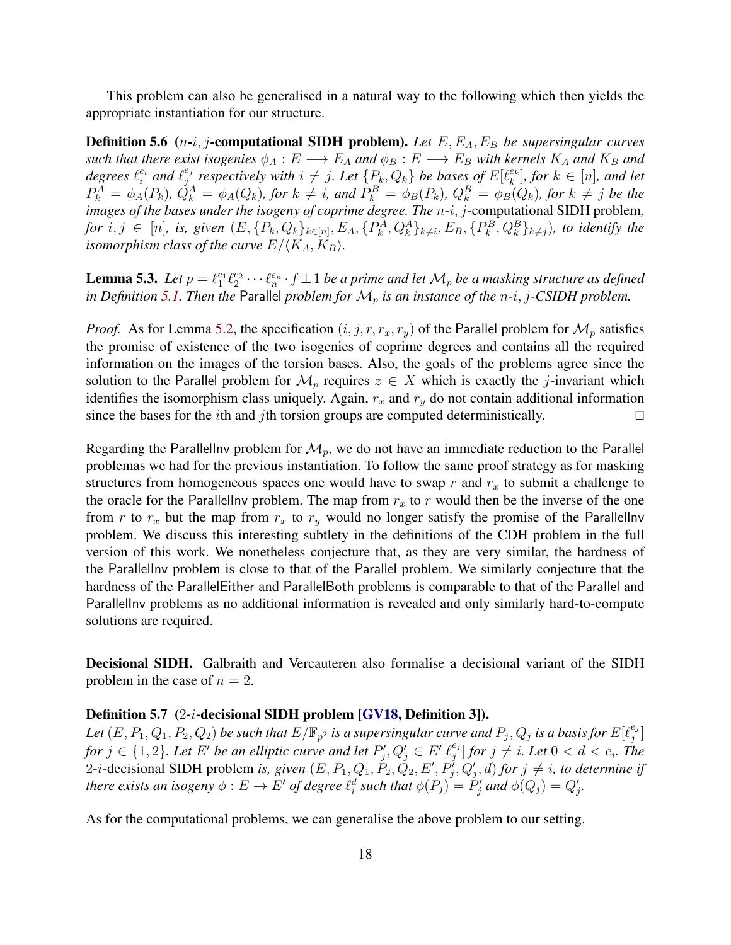This problem can also be generalised in a natural way to the following which then yields the appropriate instantiation for our structure.

**Definition 5.6** (*n-i, j*-computational SIDH problem). Let E, E<sub>A</sub>, E<sub>B</sub> be supersingular curves *such that there exist isogenies*  $\phi_A : E \longrightarrow E_A$  *and*  $\phi_B : E \longrightarrow E_B$  *with kernels*  $K_A$  *and*  $K_B$  *and* degrees  $\ell_i^{e_i}$  and  $\ell_j^{e_j}$  $e_j^{e_j}$  respectively with  $i \neq j$ . Let  $\{P_k, Q_k\}$  be bases of  $E[\ell_k^{e_k}]$ , for  $k \in [n]$ , and let  $P_k^A = \phi_A(P_k)$ ,  $\dot{Q}_k^A = \phi_A(Q_k)$ , for  $k \neq i$ , and  $P_k^B = \phi_B(P_k)$ ,  $Q_k^B = \phi_B(Q_k)$ , for  $k \neq j$  be the *images of the bases under the isogeny of coprime degree. The* n-i, j-computational SIDH problem*,*  $for i, j \in [n]$ , is, given  $(E, \{P_k, Q_k\}_{k \in [n]}, E_A, \{P_k^A, Q_k^A\}_{k \neq i}, E_B, \{P_k^B, Q_k^B\}_{k \neq j})$ , to identify the *isomorphism class of the curve*  $E/\langle K_A, K_B \rangle$ *.* 

**Lemma 5.3.** Let  $p = \ell_1^{e_1}\ell_2^{e_2}\cdots\ell_n^{e_n}\cdot f \pm 1$  be a prime and let  $\mathcal{M}_p$  be a masking structure as defined *in Definition* [5.1.](#page-15-0) Then the Parallel *problem for*  $M_p$  *is an instance of the*  $n-i$ , *j*-CSIDH *problem.* 

*Proof.* As for Lemma [5.2,](#page-16-0) the specification  $(i, j, r, r_x, r_y)$  of the Parallel problem for  $\mathcal{M}_p$  satisfies the promise of existence of the two isogenies of coprime degrees and contains all the required information on the images of the torsion bases. Also, the goals of the problems agree since the solution to the Parallel problem for  $\mathcal{M}_p$  requires  $z \in X$  which is exactly the j-invariant which identifies the isomorphism class uniquely. Again,  $r_x$  and  $r_y$  do not contain additional information since the bases for the *i*th and *j*th torsion groups are computed deterministically.

Regarding the Parallellny problem for  $\mathcal{M}_p$ , we do not have an immediate reduction to the Parallel problemas we had for the previous instantiation. To follow the same proof strategy as for masking structures from homogeneous spaces one would have to swap  $r$  and  $r_x$  to submit a challenge to the oracle for the Parallellny problem. The map from  $r_x$  to r would then be the inverse of the one from r to  $r_x$  but the map from  $r_x$  to  $r_y$  would no longer satisfy the promise of the Parallellnv problem. We discuss this interesting subtlety in the definitions of the CDH problem in the full version of this work. We nonetheless conjecture that, as they are very similar, the hardness of the ParallelInv problem is close to that of the Parallel problem. We similarly conjecture that the hardness of the ParallelEither and ParallelBoth problems is comparable to that of the Parallel and ParallelInv problems as no additional information is revealed and only similarly hard-to-compute solutions are required.

Decisional SIDH. Galbraith and Vercauteren also formalise a decisional variant of the SIDH problem in the case of  $n = 2$ .

#### Definition 5.7 (2-*i*-decisional SIDH problem [\[GV18,](#page-32-19) Definition 3]).

Let  $(E, P_1, Q_1, P_2, Q_2)$  be such that  $E/\mathbb{F}_{p^2}$  is a supersingular curve and  $P_j, Q_j$  is a basis for  $E[\ell_j^{e_j}]$  $\begin{bmatrix} e_j \ j \end{bmatrix}$ *for*  $j \in \{1,2\}$ *. Let*  $E'$  *be an elliptic curve and let*  $P'_j, Q'_j \in E'[l_j^{e_j}]$  $\left\{ \begin{array}{c} e_j \ j \end{array} \right]$  for  $j \neq i.$  Let  $0 < d < e_i.$  The 2-*i*-decisional SIDH problem *is, given*  $(E, P_1, Q_1, P_2, Q_2, E', P'_j, Q'_j, d)$  *for*  $j \neq i$ *, to determine if there exists an isogeny*  $\phi: E \to E'$  *of degree*  $\ell_i^d$  *such that*  $\phi(P_j) = P'_j$  *and*  $\phi(Q_j) = Q'_j$ *.* 

As for the computational problems, we can generalise the above problem to our setting.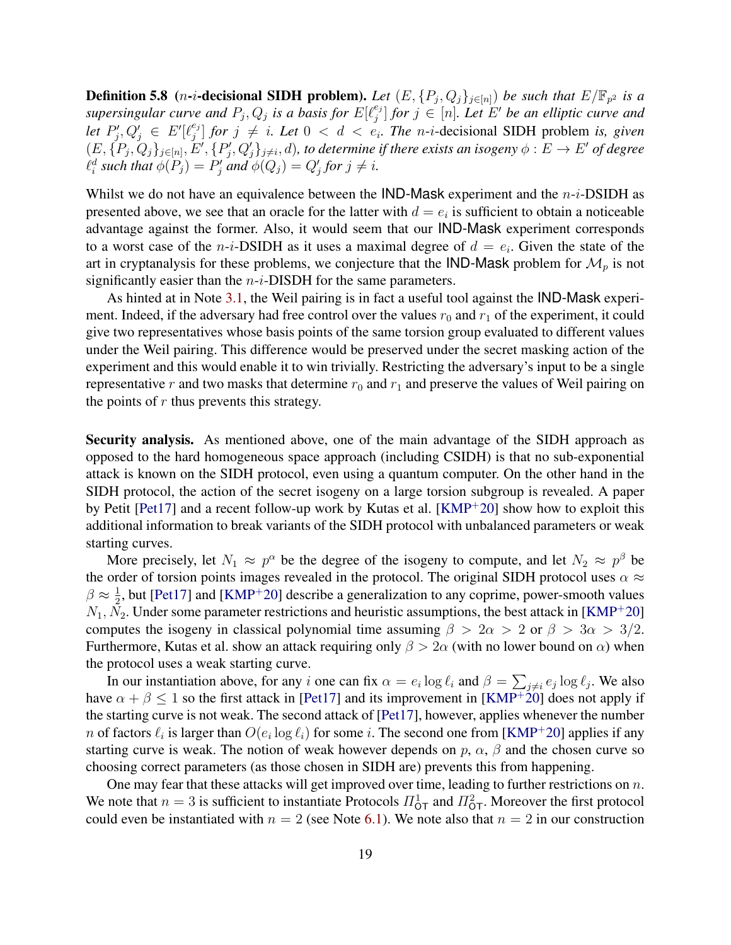**Definition 5.8** (*n*-*i*-**decisional SIDH problem).** Let  $(E, \{P_j, Q_j\}_{j\in[n]})$  be such that  $E/\mathbb{F}_{p^2}$  is a  $s$ upersingular curve and  $P_j, Q_j$  is a basis for  $E[\ell_j^{e_j}]$  $\left\{ \begin{array}{l} e_j \ j \end{array} \right\}$  for  $j \in [n]$ . Let  $E'$  be an elliptic curve and *let*  $P'_j, Q'_j \in E'$ [ $\ell_j^{e_j}$  $\binom{e_j}{j}$  *for*  $j \neq i$ *. Let*  $0 < d < e_i$ *. The n-i-decisional SIDH problem is, given*  $(E,\{P_j,Q_j\}_{j\in[n]},E',\{P'_j,Q'_j\}_{j\neq i},d)$ , to determine if there exists an isogeny  $\phi:E\to E'$  of degree  $\ell_i^d$  such that  $\phi(P_j) = P'_j$  and  $\phi(Q_j) = Q'_j$  for  $j \neq i$ .

Whilst we do not have an equivalence between the  $IND-Mask$  experiment and the  $n-i-DSIDH$  as presented above, we see that an oracle for the latter with  $d = e_i$  is sufficient to obtain a noticeable advantage against the former. Also, it would seem that our IND-Mask experiment corresponds to a worst case of the *n*-*i*-DSIDH as it uses a maximal degree of  $d = e_i$ . Given the state of the art in cryptanalysis for these problems, we conjecture that the IND-Mask problem for  $\mathcal{M}_p$  is not significantly easier than the  $n-i$ -DISDH for the same parameters.

As hinted at in Note [3.1,](#page-7-1) the Weil pairing is in fact a useful tool against the IND-Mask experiment. Indeed, if the adversary had free control over the values  $r_0$  and  $r_1$  of the experiment, it could give two representatives whose basis points of the same torsion group evaluated to different values under the Weil pairing. This difference would be preserved under the secret masking action of the experiment and this would enable it to win trivially. Restricting the adversary's input to be a single representative r and two masks that determine  $r_0$  and  $r_1$  and preserve the values of Weil pairing on the points of  $r$  thus prevents this strategy.

Security analysis. As mentioned above, one of the main advantage of the SIDH approach as opposed to the hard homogeneous space approach (including CSIDH) is that no sub-exponential attack is known on the SIDH protocol, even using a quantum computer. On the other hand in the SIDH protocol, the action of the secret isogeny on a large torsion subgroup is revealed. A paper by Petit [\[Pet17\]](#page-32-20) and a recent follow-up work by Kutas et al. [\[KMP](#page-32-21)<sup>+</sup>20] show how to exploit this additional information to break variants of the SIDH protocol with unbalanced parameters or weak starting curves.

More precisely, let  $N_1 \approx p^{\alpha}$  be the degree of the isogeny to compute, and let  $N_2 \approx p^{\beta}$  be the order of torsion points images revealed in the protocol. The original SIDH protocol uses  $\alpha \approx$  $\beta \approx \frac{1}{2}$  $\frac{1}{2}$ , but [\[Pet17\]](#page-32-20) and [\[KMP](#page-32-21)<sup>+</sup>20] describe a generalization to any coprime, power-smooth values  $N_1, N_2$ . Under some parameter restrictions and heuristic assumptions, the best attack in [\[KMP](#page-32-21)<sup>+</sup>20] computes the isogeny in classical polynomial time assuming  $\beta > 2\alpha > 2$  or  $\beta > 3\alpha > 3/2$ . Furthermore, Kutas et al. show an attack requiring only  $\beta > 2\alpha$  (with no lower bound on  $\alpha$ ) when the protocol uses a weak starting curve.

In our instantiation above, for any i one can fix  $\alpha = e_i \log \ell_i$  and  $\beta = \sum_{j \neq i} e_j \log \ell_j$ . We also have  $\alpha + \beta \leq 1$  so the first attack in [\[Pet17\]](#page-32-20) and its improvement in [\[KMP](#page-32-21)<sup>+20</sup>] does not apply if the starting curve is not weak. The second attack of [\[Pet17\]](#page-32-20), however, applies whenever the number n of factors  $\ell_i$  is larger than  $O(e_i \log \ell_i)$  for some i. The second one from [\[KMP](#page-32-21)<sup>+</sup>20] applies if any starting curve is weak. The notion of weak however depends on p,  $\alpha$ ,  $\beta$  and the chosen curve so choosing correct parameters (as those chosen in SIDH are) prevents this from happening.

One may fear that these attacks will get improved over time, leading to further restrictions on  $n$ . We note that  $n=3$  is sufficient to instantiate Protocols  $\Pi_{\text{OT}}^1$  and  $\Pi_{\text{OT}}^2$ . Moreover the first protocol could even be instantiated with  $n = 2$  (see Note [6.1\)](#page-24-0). We note also that  $n = 2$  in our construction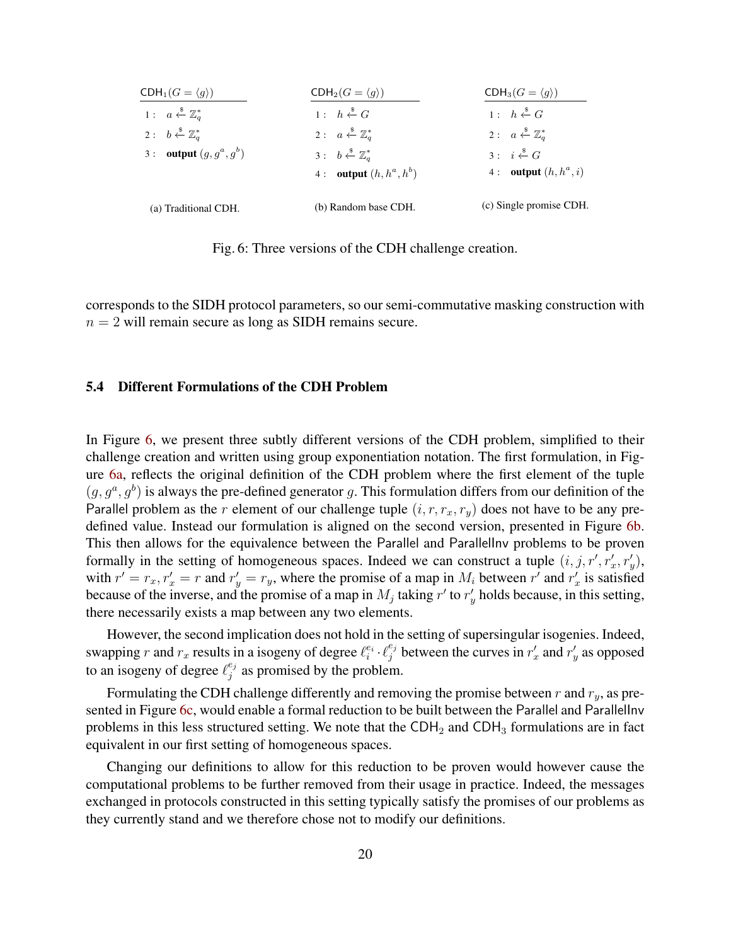<span id="page-19-0"></span>

| $CDH_1(G = \langle g \rangle)$                  | $CDH_2(G = \langle g \rangle)$                  | $CDH_3(G = \langle g \rangle)$                  |
|-------------------------------------------------|-------------------------------------------------|-------------------------------------------------|
| 1: $a \stackrel{\$}{\leftarrow} \mathbb{Z}_q^*$ | 1: $h \stackrel{\$}{\leftarrow} G$              | 1: $h \stackrel{\$}{\leftarrow} G$              |
| 2: $b \stackrel{\$}{\leftarrow} \mathbb{Z}_a^*$ | 2: $a \stackrel{\$}{\leftarrow} \mathbb{Z}_a^*$ | 2: $a \stackrel{\$}{\leftarrow} \mathbb{Z}_q^*$ |
| 3 : <b>output</b> $(g, g^a, g^b)$               | $3: b \stackrel{\$}{\leftarrow} \mathbb{Z}_a^*$ | $3: i \leftarrow G$                             |
|                                                 | 4 : <b>output</b> $(h, h^a, h^b)$               | 4 : <b>output</b> $(h, h^a, i)$                 |
| (a) Traditional CDH.                            | (b) Random base CDH.                            | (c) Single promise CDH.                         |

Fig. 6: Three versions of the CDH challenge creation.

corresponds to the SIDH protocol parameters, so our semi-commutative masking construction with  $n = 2$  will remain secure as long as SIDH remains secure.

## 5.4 Different Formulations of the CDH Problem

In Figure [6,](#page-19-0) we present three subtly different versions of the CDH problem, simplified to their challenge creation and written using group exponentiation notation. The first formulation, in Figure [6a,](#page-19-0) reflects the original definition of the CDH problem where the first element of the tuple  $(g, g^a, g^b)$  is always the pre-defined generator g. This formulation differs from our definition of the Parallel problem as the r element of our challenge tuple  $(i, r, r_x, r_y)$  does not have to be any predefined value. Instead our formulation is aligned on the second version, presented in Figure [6b.](#page-19-0) This then allows for the equivalence between the Parallel and ParallelInv problems to be proven formally in the setting of homogeneous spaces. Indeed we can construct a tuple  $(i, j, r', r'_x, r'_y)$ , with  $r' = r_x, r'_x = r$  and  $r'_y = r_y$ , where the promise of a map in  $M_i$  between  $r'$  and  $r'_x$  is satisfied because of the inverse, and the promise of a map in  $M_j$  taking  $r'$  to  $r'_j$  holds because, in this setting, there necessarily exists a map between any two elements.

However, the second implication does not hold in the setting of supersingular isogenies. Indeed, swapping r and  $r_x$  results in a isogeny of degree  $\ell_i^{e_i} \cdot \ell_j^{e_j}$  $j^{e_j}$  between the curves in  $r'_x$  and  $r'_y$  as opposed to an isogeny of degree  $\ell_j^{e_j}$  $j_j^{e_j}$  as promised by the problem.

Formulating the CDH challenge differently and removing the promise between r and  $r_y$ , as pre-sented in Figure [6c,](#page-19-0) would enable a formal reduction to be built between the Parallel and Parallellnv problems in this less structured setting. We note that the  $CDH<sub>2</sub>$  and  $CDH<sub>3</sub>$  formulations are in fact equivalent in our first setting of homogeneous spaces.

Changing our definitions to allow for this reduction to be proven would however cause the computational problems to be further removed from their usage in practice. Indeed, the messages exchanged in protocols constructed in this setting typically satisfy the promises of our problems as they currently stand and we therefore chose not to modify our definitions.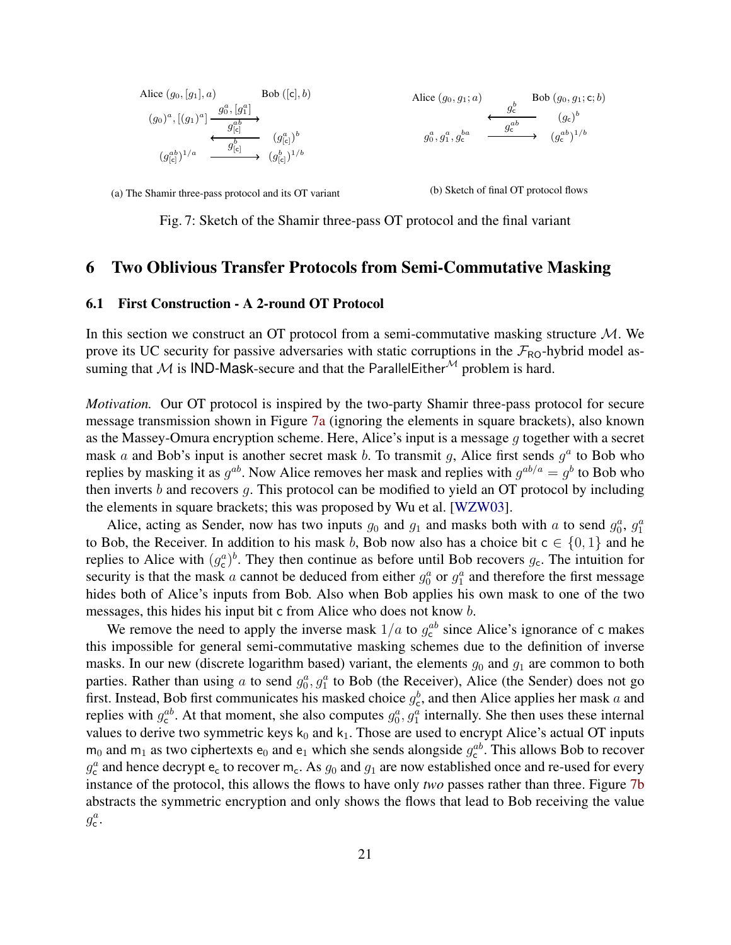<span id="page-20-0"></span>



(a) The Shamir three-pass protocol and its OT variant



Fig. 7: Sketch of the Shamir three-pass OT protocol and the final variant

# 6 Two Oblivious Transfer Protocols from Semi-Commutative Masking

#### <span id="page-20-1"></span>6.1 First Construction - A 2-round OT Protocol

In this section we construct an OT protocol from a semi-commutative masking structure  $M$ . We prove its UC security for passive adversaries with static corruptions in the  $\mathcal{F}_{\text{RO}}$ -hybrid model assuming that M is IND-Mask-secure and that the ParallelEither<sup>M</sup> problem is hard.

*Motivation.* Our OT protocol is inspired by the two-party Shamir three-pass protocol for secure message transmission shown in Figure [7a](#page-20-0) (ignoring the elements in square brackets), also known as the Massey-Omura encryption scheme. Here, Alice's input is a message g together with a secret mask a and Bob's input is another secret mask b. To transmit g, Alice first sends  $g^a$  to Bob who replies by masking it as  $g^{ab}$ . Now Alice removes her mask and replies with  $g^{ab/a} = g^b$  to Bob who then inverts  $b$  and recovers  $g$ . This protocol can be modified to yield an OT protocol by including the elements in square brackets; this was proposed by Wu et al. [\[WZW03\]](#page-33-0).

Alice, acting as Sender, now has two inputs  $g_0$  and  $g_1$  and masks both with a to send  $g_0^a$ ,  $g_1^a$ to Bob, the Receiver. In addition to his mask b, Bob now also has a choice bit  $c \in \{0, 1\}$  and he replies to Alice with  $(g_c^a)^b$ . They then continue as before until Bob recovers  $g_c$ . The intuition for security is that the mask a cannot be deduced from either  $g_0^a$  or  $g_1^a$  and therefore the first message hides both of Alice's inputs from Bob. Also when Bob applies his own mask to one of the two messages, this hides his input bit c from Alice who does not know b.

We remove the need to apply the inverse mask  $1/a$  to  $g_c^{ab}$  since Alice's ignorance of c makes this impossible for general semi-commutative masking schemes due to the definition of inverse masks. In our new (discrete logarithm based) variant, the elements  $g_0$  and  $g_1$  are common to both parties. Rather than using a to send  $g_0^a$ ,  $g_1^a$  to Bob (the Receiver), Alice (the Sender) does not go first. Instead, Bob first communicates his masked choice  $g_c^b$ , and then Alice applies her mask a and replies with  $g_e^{ab}$ . At that moment, she also computes  $g_0^a$ ,  $g_1^a$  internally. She then uses these internal values to derive two symmetric keys  $k_0$  and  $k_1$ . Those are used to encrypt Alice's actual OT inputs  $m_0$  and  $m_1$  as two ciphertexts  $e_0$  and  $e_1$  which she sends alongside  $g_c^{ab}$ . This allows Bob to recover  $g_c^a$  and hence decrypt  $e_c$  to recover  $m_c$ . As  $g_0$  and  $g_1$  are now established once and re-used for every instance of the protocol, this allows the flows to have only *two* passes rather than three. Figure [7b](#page-20-0) abstracts the symmetric encryption and only shows the flows that lead to Bob receiving the value  $g_{\mathsf{c}}^a$ .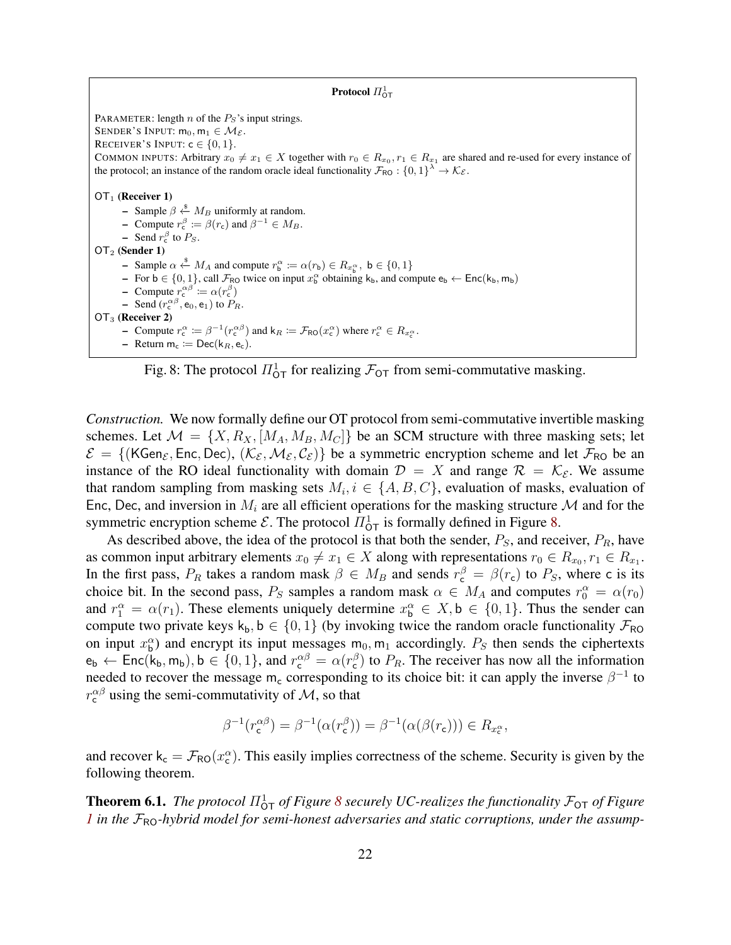#### Protocol  $\Pi^1_{\mathsf{OT}}$

<span id="page-21-0"></span>PARAMETER: length  $n$  of the  $P<sub>S</sub>$ 's input strings. SENDER'S INPUT:  $m_0, m_1 \in \mathcal{M}_{\mathcal{E}}$ . RECEIVER'S INPUT:  $c \in \{0, 1\}$ . COMMON INPUTS: Arbitrary  $x_0 \neq x_1 \in X$  together with  $r_0 \in R_{x_0}, r_1 \in R_{x_1}$  are shared and re-used for every instance of the protocol; an instance of the random oracle ideal functionality  $\mathcal{F}_{\text{RO}}: \{0,1\}^{\lambda} \to \mathcal{K}_{\mathcal{E}}$ .  $OT<sub>1</sub>$  (Receiver 1) – Sample  $\beta \stackrel{\$}{\leftarrow} M_B$  uniformly at random. - Compute  $r_c^{\beta} \coloneqq \beta(r_c)$  and  $\beta^{-1} \in M_B$ .  $\blacksquare$  Send  $r_{\rm c}^{\beta}$  to  $P_S$ . OT<sup>2</sup> (Sender 1) − Sample  $\alpha \stackrel{\$}{\leftarrow} M_A$  and compute  $r_b^{\alpha} := \alpha(r_b) \in R_{x_b^{\alpha}}, b \in \{0, 1\}$ - For  $b \in \{0, 1\}$ , call  $\mathcal{F}_{RO}$  twice on input  $x_6^{\alpha}$  obtaining  $k_b$ , and compute  $e_b \leftarrow Enc(k_b, m_b)$ - Compute  $r_{\rm c}^{\alpha\beta} \coloneqq \alpha(r_{\rm c}^{\beta})$  $\blacksquare$  Send  $(r_c^{\alpha\beta}, e_0, e_1)$  to  $P_R$ . OT<sub>3</sub> (Receiver 2) - Compute  $r_c^{\alpha} := \beta^{-1}(r_c^{\alpha\beta})$  and  $k_R := \mathcal{F}_{RO}(x_c^{\alpha})$  where  $r_c^{\alpha} \in R_{x_c^{\alpha}}$ . - Return  $m_c := \text{Dec}(k_R, e_c)$ .

Fig. 8: The protocol  $\Pi_{\text{OT}}^1$  for realizing  $\mathcal{F}_{\text{OT}}$  from semi-commutative masking.

*Construction.* We now formally define our OT protocol from semi-commutative invertible masking schemes. Let  $\mathcal{M} = \{X, R_X, [M_A, M_B, M_C]\}$  be an SCM structure with three masking sets; let  $\mathcal{E} = \{ (KGen_{\mathcal{E}}, Enc, Dec), (\mathcal{K}_{\mathcal{E}}, \mathcal{M}_{\mathcal{E}}, \mathcal{C}_{\mathcal{E}}) \}$  be a symmetric encryption scheme and let  $\mathcal{F}_{RO}$  be an instance of the RO ideal functionality with domain  $\mathcal{D} = X$  and range  $\mathcal{R} = \mathcal{K}_{\mathcal{E}}$ . We assume that random sampling from masking sets  $M_i$ ,  $i \in \{A, B, C\}$ , evaluation of masks, evaluation of Enc, Dec, and inversion in  $M_i$  are all efficient operations for the masking structure M and for the symmetric encryption scheme  $\mathcal{E}$ . The protocol  $\Pi_{\text{OT}}^1$  is formally defined in Figure [8.](#page-21-0)

As described above, the idea of the protocol is that both the sender,  $P_S$ , and receiver,  $P_R$ , have as common input arbitrary elements  $x_0 \neq x_1 \in X$  along with representations  $r_0 \in R_{x_0}, r_1 \in R_{x_1}$ . In the first pass,  $P_R$  takes a random mask  $\beta \in M_B$  and sends  $r_c^{\beta} = \beta(r_c)$  to  $P_S$ , where c is its choice bit. In the second pass,  $P_S$  samples a random mask  $\alpha \in M_A$  and computes  $r_0^{\alpha} = \alpha(r_0)$ and  $r_1^{\alpha} = \alpha(r_1)$ . These elements uniquely determine  $x_b^{\alpha} \in X$ ,  $b \in \{0, 1\}$ . Thus the sender can compute two private keys  $k_b$ ,  $b \in \{0, 1\}$  (by invoking twice the random oracle functionality  $\mathcal{F}_{\text{RO}}$ on input  $x_6^{\alpha}$ ) and encrypt its input messages  $m_0, m_1$  accordingly.  $P_S$  then sends the ciphertexts  $e_b \leftarrow \text{Enc}(k_b, m_b), b \in \{0, 1\}, \text{ and } r_c^{\alpha \beta} = \alpha(r_c^{\beta}) \text{ to } P_R.$  The receiver has now all the information needed to recover the message m<sub>c</sub> corresponding to its choice bit: it can apply the inverse  $\beta^{-1}$  to  $r_{\rm c}^{\alpha\beta}$  using the semi-commutativity of M, so that

$$
\beta^{-1}(r_{\mathsf{c}}^{\alpha\beta}) = \beta^{-1}(\alpha(r_{\mathsf{c}}^{\beta})) = \beta^{-1}(\alpha(\beta(r_{\mathsf{c}}))) \in R_{x_{\mathsf{c}}^{\alpha}},
$$

and recover  $k_c = \mathcal{F}_{RO}(x_c^{\alpha})$ . This easily implies correctness of the scheme. Security is given by the following theorem.

<span id="page-21-1"></span>**Theorem 6.1.** The protocol  $\Pi_{\text{OT}}^1$  of Figure [8](#page-21-0) securely UC-realizes the functionality  $\mathcal{F}_{\text{OT}}$  of Figure *[1](#page-3-1)* in the  $\mathcal{F}_{\text{RO}}$ -hybrid model for semi-honest adversaries and static corruptions, under the assump-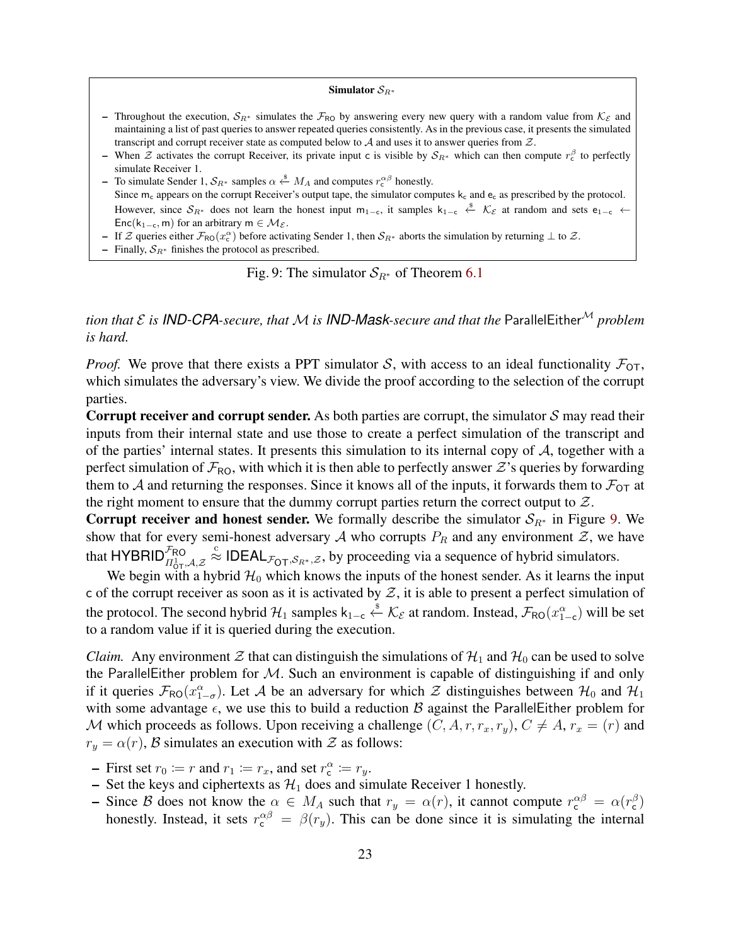#### Simulator  $S_{R^*}$

- <span id="page-22-0"></span>– Throughout the execution,  $S_{R*}$  simulates the  $\mathcal{F}_{RO}$  by answering every new query with a random value from  $\mathcal{K}_{\mathcal{E}}$  and maintaining a list of past queries to answer repeated queries consistently. As in the previous case, it presents the simulated transcript and corrupt receiver state as computed below to  $A$  and uses it to answer queries from  $Z$ .
- When  $\mathcal Z$  activates the corrupt Receiver, its private input c is visible by  $S_{R^*}$  which can then compute  $r_c^{\beta}$  to perfectly simulate Receiver 1.

− To simulate Sender 1,  $S_{R^*}$  samples  $\alpha \stackrel{\$}{\leftarrow} M_A$  and computes  $r_c^{\alpha\beta}$  honestly. Since  $m_c$  appears on the corrupt Receiver's output tape, the simulator computes  $k_c$  and  $e_c$  as prescribed by the protocol. However, since  $S_{R^*}$  does not learn the honest input m<sub>1-c</sub>, it samples  $k_{1-c} \leftarrow \mathcal{K}_{\mathcal{E}}$  at random and sets e<sub>1-c</sub> ← Enc(k<sub>1−c</sub>, m) for an arbitrary m  $\in$  M $\varepsilon$ .

- If Z queries either  $\mathcal{F}_{\text{RO}}(x_c^{\alpha})$  before activating Sender 1, then  $\mathcal{S}_{R^*}$  aborts the simulation by returning  $\perp$  to Z.
- Finally,  $S_{R^*}$  finishes the protocol as prescribed.

Fig. 9: The simulator  $S_{R^*}$  of Theorem [6.1](#page-21-1)

*tion that*  $\mathcal E$  *is IND-CPA-secure, that*  $\mathcal M$  *is IND-Mask-secure and that the* ParallelEither<sup>M</sup> *problem is hard.*

*Proof.* We prove that there exists a PPT simulator S, with access to an ideal functionality  $\mathcal{F}_{OT}$ , which simulates the adversary's view. We divide the proof according to the selection of the corrupt parties.

**Corrupt receiver and corrupt sender.** As both parties are corrupt, the simulator  $S$  may read their inputs from their internal state and use those to create a perfect simulation of the transcript and of the parties' internal states. It presents this simulation to its internal copy of  $A$ , together with a perfect simulation of  $\mathcal{F}_{\text{RO}}$ , with which it is then able to perfectly answer  $\mathcal{Z}'$ 's queries by forwarding them to A and returning the responses. Since it knows all of the inputs, it forwards them to  $\mathcal{F}_{OT}$  at the right moment to ensure that the dummy corrupt parties return the correct output to  $Z$ .

**Corrupt receiver and honest sender.** We formally describe the simulator  $S_{R*}$  in Figure [9.](#page-22-0) We show that for every semi-honest adversary A who corrupts  $P_R$  and any environment  $\mathcal{Z}$ , we have that  $\mathsf{HYBRID}_{\Pi_{\mathrm{QT}}^1,\mathcal{A},\mathcal{Z}}^{\mathcal{F}_{\mathrm{RO}}}$  $\stackrel{\circ}{\approx}$  IDEAL<sub>F<sub>OT</sub>,  $S_{R^*}, \mathcal{Z}$ , by proceeding via a sequence of hybrid simulators.</sub>

We begin with a hybrid  $\mathcal{H}_0$  which knows the inputs of the honest sender. As it learns the input c of the corrupt receiver as soon as it is activated by  $Z$ , it is able to present a perfect simulation of the protocol. The second hybrid  $H_1$  samples  $k_{1-c} \stackrel{\$}{\leftarrow} \mathcal{K}_{\mathcal{E}}$  at random. Instead,  $\mathcal{F}_{RO}(x_{1-c}^{\alpha})$  will be set to a random value if it is queried during the execution.

*Claim.* Any environment  $\mathcal Z$  that can distinguish the simulations of  $\mathcal H_1$  and  $\mathcal H_0$  can be used to solve the ParallelEither problem for  $M$ . Such an environment is capable of distinguishing if and only if it queries  $\mathcal{F}_{RO}(x_{1-\sigma}^{\alpha})$ . Let A be an adversary for which  $\mathcal Z$  distinguishes between  $\mathcal{H}_0$  and  $\mathcal{H}_1$ with some advantage  $\epsilon$ , we use this to build a reduction B against the ParallelEither problem for M which proceeds as follows. Upon receiving a challenge  $(C, A, r, r_x, r_y)$ ,  $C \neq A, r_x = (r)$  and  $r_y = \alpha(r)$ , B simulates an execution with  $\mathcal Z$  as follows:

- First set  $r_0 := r$  and  $r_1 := r_x$ , and set  $r_c^{\alpha} := r_y$ .
- Set the keys and ciphertexts as  $\mathcal{H}_1$  does and simulate Receiver 1 honestly.
- Since B does not know the  $\alpha \in M_A$  such that  $r_y = \alpha(r)$ , it cannot compute  $r_c^{\alpha\beta} = \alpha(r_c^{\beta})$ honestly. Instead, it sets  $r_c^{\alpha\beta} = \beta(r_y)$ . This can be done since it is simulating the internal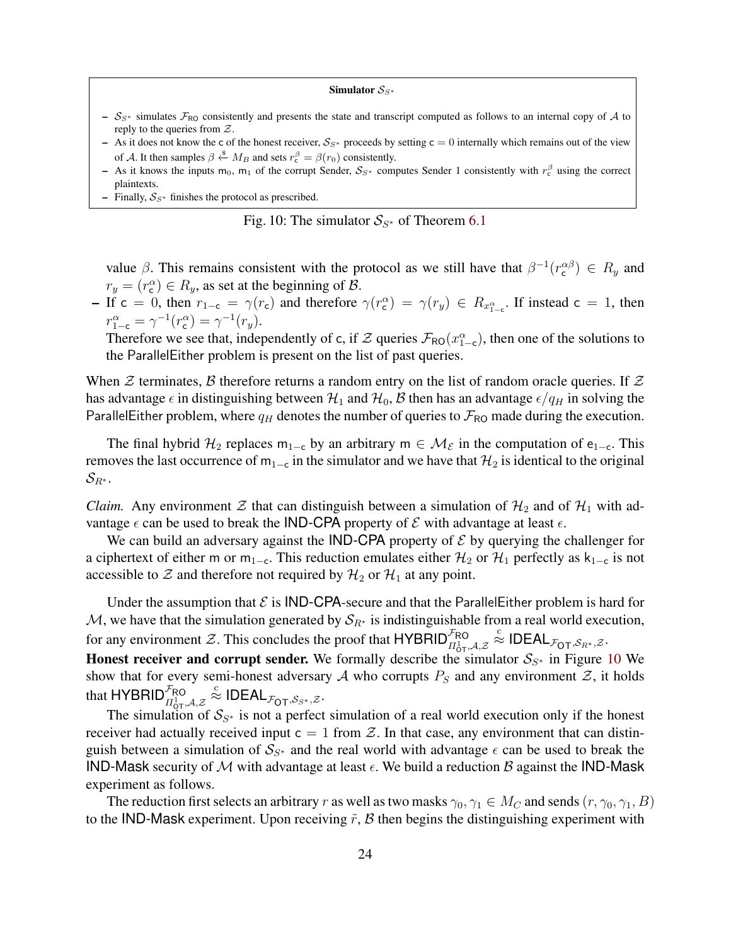#### Simulator  $S_{S^*}$

- <span id="page-23-0"></span>–  $S_{S*}$  simulates  $\mathcal{F}_{RO}$  consistently and presents the state and transcript computed as follows to an internal copy of A to reply to the queries from  $Z$ .
- As it does not know the c of the honest receiver,  $S_{S*}$  proceeds by setting c = 0 internally which remains out of the view of A. It then samples  $\beta \stackrel{\$}{\leftarrow} M_B$  and sets  $r_c^{\beta} = \beta(r_0)$  consistently.
- As it knows the inputs m<sub>0</sub>, m<sub>1</sub> of the corrupt Sender,  $S_{S*}$  computes Sender 1 consistently with  $r_c^{\beta}$  using the correct plaintexts.
- Finally,  $S_{S*}$  finishes the protocol as prescribed.

Fig. 10: The simulator  $S_{S^*}$  of Theorem [6.1](#page-21-1)

value  $\beta$ . This remains consistent with the protocol as we still have that  $\beta^{-1}(r_c^{\alpha\beta}) \in R_y$  and  $r_y = (r_c^{\alpha}) \in R_y$ , as set at the beginning of  $\beta$ .

- If c = 0, then  $r_{1-c} = \gamma(r_c)$  and therefore  $\gamma(r_c^{\alpha}) = \gamma(r_y) \in R_{x_{1-c}^{\alpha}}$ . If instead c = 1, then  $r_{1-c}^{\alpha} = \gamma^{-1}(r_{c}^{\alpha}) = \gamma^{-1}(r_{y}).$ 

Therefore we see that, independently of c, if  $\mathcal Z$  queries  $\mathcal F_{RO}(x_{1-c}^\alpha)$ , then one of the solutions to the ParallelEither problem is present on the list of past queries.

When  $\mathcal Z$  terminates,  $\mathcal B$  therefore returns a random entry on the list of random oracle queries. If  $\mathcal Z$ has advantage  $\epsilon$  in distinguishing between  $\mathcal{H}_1$  and  $\mathcal{H}_0$ ,  $\mathcal{B}$  then has an advantage  $\epsilon/q_H$  in solving the ParallelEither problem, where  $q_H$  denotes the number of queries to  $\mathcal{F}_{RO}$  made during the execution.

The final hybrid  $\mathcal{H}_2$  replaces m<sub>1−c</sub> by an arbitrary m  $\in \mathcal{M}_{\mathcal{E}}$  in the computation of e<sub>1−c</sub>. This removes the last occurrence of  $m_{1-c}$  in the simulator and we have that  $\mathcal{H}_2$  is identical to the original  $\mathcal{S}_{R^*}.$ 

*Claim.* Any environment  $\mathcal Z$  that can distinguish between a simulation of  $\mathcal H_2$  and of  $\mathcal H_1$  with advantage  $\epsilon$  can be used to break the **IND-CPA** property of  $\mathcal E$  with advantage at least  $\epsilon$ .

We can build an adversary against the IND-CPA property of  $\mathcal E$  by querying the challenger for a ciphertext of either m or m<sub>1−c</sub>. This reduction emulates either  $\mathcal{H}_2$  or  $\mathcal{H}_1$  perfectly as k<sub>1−c</sub> is not accessible to  $\mathcal Z$  and therefore not required by  $\mathcal H_2$  or  $\mathcal H_1$  at any point.

Under the assumption that  $\mathcal E$  is **IND-CPA**-secure and that the ParallelEither problem is hard for M, we have that the simulation generated by  $S_{R^*}$  is indistinguishable from a real world execution, for any environment  $\mathcal{Z}$ . This concludes the proof that HYBRID<sup>FRO</sup> $\prod_{\substack{1 \text{of } \mathcal{A}, \mathcal{Z}}}$  $\stackrel{\text{c}}{\approx}$  IDEAL $_{\mathcal{F}_{\text{\text{OT}}}, \mathcal{S}_{R^*}, \mathcal{Z}}.$ 

Honest receiver and corrupt sender. We formally describe the simulator  $S_{S^*}$  in Figure [10](#page-23-0) We show that for every semi-honest adversary A who corrupts  $P_S$  and any environment Z, it holds that  $\mathsf{HYBRID}_{H^1_{\mathbb{Q}\mathsf{T}},\mathcal{A},\mathcal{Z}}^{\mathcal{F}_{\mathsf{RO}}}$  $\stackrel{\text{c}}{\approx}$  IDEAL $_{\mathcal{F}_{\text{\scriptsize{OT}}},\mathcal{S}_{S^*},\mathcal{Z}}.$ 

The simulation of  $S_{S^*}$  is not a perfect simulation of a real world execution only if the honest receiver had actually received input  $c = 1$  from  $\mathcal{Z}$ . In that case, any environment that can distinguish between a simulation of  $S_{S^*}$  and the real world with advantage  $\epsilon$  can be used to break the IND-Mask security of M with advantage at least  $\epsilon$ . We build a reduction B against the IND-Mask experiment as follows.

The reduction first selects an arbitrary r as well as two masks  $\gamma_0, \gamma_1 \in M_C$  and sends  $(r, \gamma_0, \gamma_1, B)$ to the IND-Mask experiment. Upon receiving  $\tilde{r}$ ,  $\tilde{B}$  then begins the distinguishing experiment with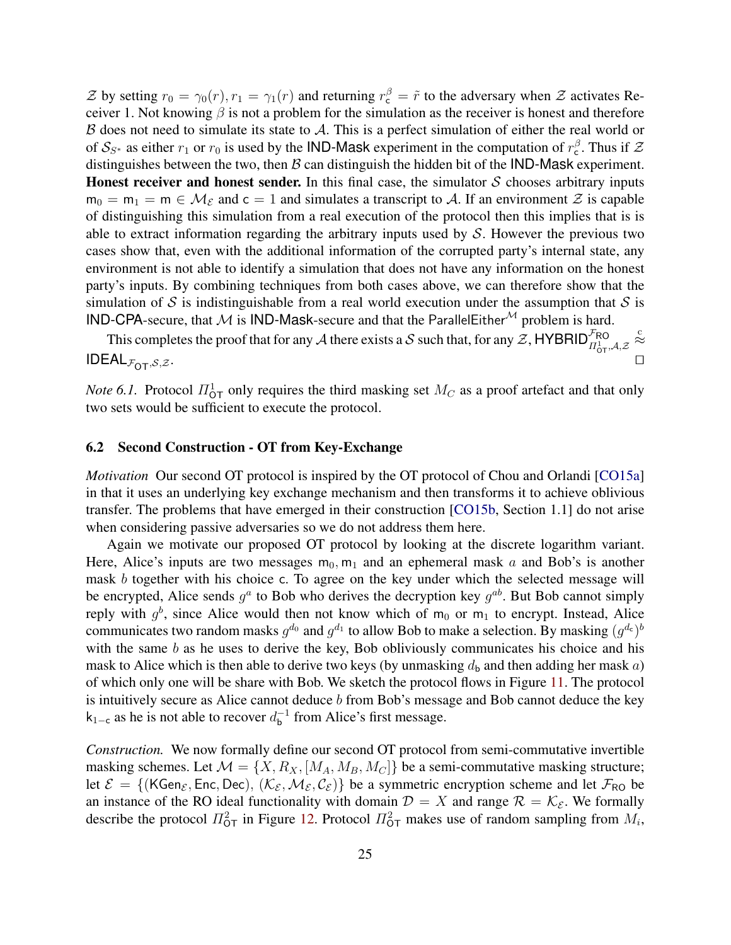Z by setting  $r_0 = \gamma_0(r)$ ,  $r_1 = \gamma_1(r)$  and returning  $r_c^{\beta} = \tilde{r}$  to the adversary when Z activates Receiver 1. Not knowing  $\beta$  is not a problem for the simulation as the receiver is honest and therefore  $\beta$  does not need to simulate its state to  $\mathcal{A}$ . This is a perfect simulation of either the real world or of  $S_{S^*}$  as either  $r_1$  or  $r_0$  is used by the IND-Mask experiment in the computation of  $r_c^{\beta}$ . Thus if  $\mathcal Z$ distinguishes between the two, then  $\beta$  can distinguish the hidden bit of the IND-Mask experiment. Honest receiver and honest sender. In this final case, the simulator  $S$  chooses arbitrary inputs  $m_0 = m_1 = m \in \mathcal{M}_{\mathcal{E}}$  and  $c = 1$  and simulates a transcript to A. If an environment  $\mathcal{Z}$  is capable of distinguishing this simulation from a real execution of the protocol then this implies that is is able to extract information regarding the arbitrary inputs used by  $S$ . However the previous two cases show that, even with the additional information of the corrupted party's internal state, any environment is not able to identify a simulation that does not have any information on the honest party's inputs. By combining techniques from both cases above, we can therefore show that the simulation of S is indistinguishable from a real world execution under the assumption that S is IND-CPA-secure, that M is IND-Mask-secure and that the ParallelEither<sup>M</sup> problem is hard.

This completes the proof that for any A there exists a S such that, for any  $\mathcal{Z}$ , HYBRID<sup>FRO</sup> $\prod_{t=1}^{T} A_t \mathcal{Z}$  $\stackrel{c}{\approx}$  $\mathsf{IDEAL}_{\mathcal{F}_{\mathsf{OT}},\mathcal{S},\mathcal{Z}}.$ 

<span id="page-24-0"></span>*Note* 6.1. Protocol  $\Pi^1_{\text{OT}}$  only requires the third masking set  $M_C$  as a proof artefact and that only two sets would be sufficient to execute the protocol.

#### 6.2 Second Construction - OT from Key-Exchange

*Motivation* Our second OT protocol is inspired by the OT protocol of Chou and Orlandi [\[CO15a\]](#page-31-9) in that it uses an underlying key exchange mechanism and then transforms it to achieve oblivious transfer. The problems that have emerged in their construction [\[CO15b,](#page-31-19) Section 1.1] do not arise when considering passive adversaries so we do not address them here.

Again we motivate our proposed OT protocol by looking at the discrete logarithm variant. Here, Alice's inputs are two messages  $m_0$ ,  $m_1$  and an ephemeral mask a and Bob's is another mask b together with his choice c. To agree on the key under which the selected message will be encrypted, Alice sends  $g^a$  to Bob who derives the decryption key  $g^{ab}$ . But Bob cannot simply reply with  $g^b$ , since Alice would then not know which of m<sub>0</sub> or m<sub>1</sub> to encrypt. Instead, Alice communicates two random masks  $g^{d_0}$  and  $g^{d_1}$  to allow Bob to make a selection. By masking  $(g^{d_c})^b$ with the same  $b$  as he uses to derive the key, Bob obliviously communicates his choice and his mask to Alice which is then able to derive two keys (by unmasking  $d_b$  and then adding her mask a) of which only one will be share with Bob. We sketch the protocol flows in Figure [11.](#page-25-0) The protocol is intuitively secure as Alice cannot deduce  $b$  from Bob's message and Bob cannot deduce the key  $k_{1-c}$  as he is not able to recover  $d_b^{-1}$  $_b^{-1}$  from Alice's first message.

*Construction.* We now formally define our second OT protocol from semi-commutative invertible masking schemes. Let  $\mathcal{M} = \{X, R_X, [M_A, M_B, M_C]\}$  be a semi-commutative masking structure; let  $\mathcal{E} = \{ (KGen_{\mathcal{E}}, Enc, Dec), (\mathcal{K}_{\mathcal{E}}, \mathcal{M}_{\mathcal{E}}, \mathcal{C}_{\mathcal{E}}) \}$  be a symmetric encryption scheme and let  $\mathcal{F}_{RO}$  be an instance of the RO ideal functionality with domain  $\mathcal{D} = X$  and range  $\mathcal{R} = \mathcal{K}_{\varepsilon}$ . We formally describe the protocol  $\Pi_{\text{OT}}^2$  in Figure [12.](#page-25-1) Protocol  $\Pi_{\text{OT}}^2$  makes use of random sampling from  $M_i$ ,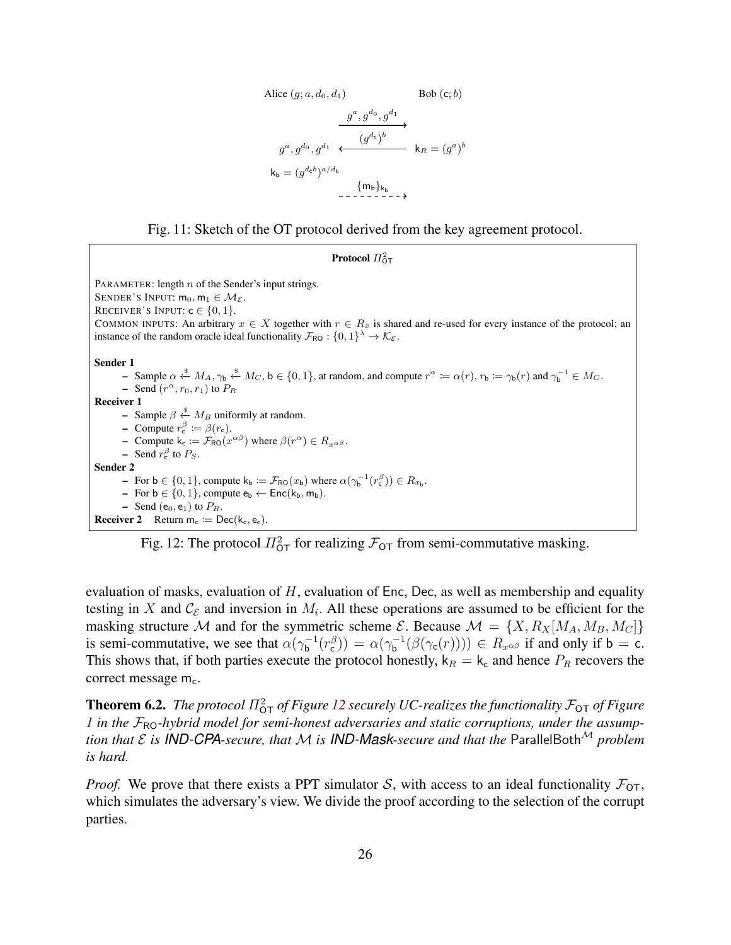Alice 
$$
(g; a, d_0, d_1)
$$
  
\nBob  $(c; b)$   
\n
$$
\xrightarrow{g^a, g^{d_0}, g^{d_1}}
$$
\n
$$
\xrightarrow{g^a, g^{d_0}, g^{d_1}}
$$
\n
$$
\xrightarrow{(g^{d_c})^b}
$$
\n
$$
k_b = (g^{d_c b})^{a/d_b}
$$
\n
$$
\xrightarrow{\{m_b\}_{k_b}}
$$

<span id="page-25-0"></span>

<span id="page-25-1"></span>Protocol  $\Pi_{\mathsf{OT}}^2$ PARAMETER: length  $n$  of the Sender's input strings. SENDER'S INPUT:  $m_0, m_1 \in \mathcal{M}_{\mathcal{E}}$ . RECEIVER'S INPUT:  $c \in \{0, 1\}$ . COMMON INPUTS: An arbitrary  $x \in X$  together with  $r \in R_x$  is shared and re-used for every instance of the protocol; an instance of the random oracle ideal functionality  $\mathcal{F}_{RO}: \{0,1\}^{\lambda} \to \mathcal{K}_{\mathcal{E}}$ . Sender 1 − Sample  $\alpha \stackrel{\$}{\leftarrow} M_A$ ,  $\gamma_b \stackrel{\$}{\leftarrow} M_C$ , b ∈ {0, 1}, at random, and compute  $r^{\alpha} \coloneqq \alpha(r)$ ,  $r_b \coloneqq \gamma_b(r)$  and  $\gamma_b^{-1} \in M_C$ . - Send  $(r^{\alpha}, r_0, r_1)$  to  $P_R$ Receiver 1 – Sample  $\beta \stackrel{\$}{\leftarrow} M_B$  uniformly at random. - Compute  $r_c^{\beta} \coloneqq \beta(r_c)$ . - Compute  $k_c := \mathcal{F}_{RO}(x^{\alpha \beta})$  where  $\beta(r^{\alpha}) \in R_{x^{\alpha \beta}}$ .  $\blacksquare$  Send  $r_{\rm c}^{\beta}$  to  $P_S$ . Sender 2 - For  $\mathbf{b} \in \{0, 1\}$ , compute  $\mathsf{k}_{\mathsf{b}} := \mathcal{F}_{\mathsf{RO}}(x_{\mathsf{b}})$  where  $\alpha(\gamma_{\mathsf{b}}^{-1}(r_{\mathsf{c}}^\beta)) \in R_{x_{\mathsf{b}}}$ . – For  $b \in \{0, 1\}$ , compute  $e_b \leftarrow \text{Enc}(k_b, m_b)$ .  $-$  Send (e<sub>0</sub>, e<sub>1</sub>) to  $P_R$ . **Receiver 2** Return  $m_c := \text{Dec}(k_c, e_c)$ .

Fig. 12: The protocol  $\Pi_{\text{OT}}^2$  for realizing  $\mathcal{F}_{\text{OT}}$  from semi-commutative masking.

evaluation of masks, evaluation of  $H$ , evaluation of Enc, Dec, as well as membership and equality testing in X and  $\mathcal{C}_{\mathcal{E}}$  and inversion in  $M_i$ . All these operations are assumed to be efficient for the masking structure M and for the symmetric scheme  $\mathcal{E}$ . Because  $\mathcal{M} = \{X, R_X | M_A, M_B, M_C]\}$ is semi-commutative, we see that  $\alpha(\gamma_h^{-1})$  $\alpha_{\mathsf{b}}^{(-1}(r_{\mathsf{c}}^{\beta})) = \alpha(\gamma_{\mathsf{b}}^{-1})$  $\int_{\mathbf{b}}^{-1}(\beta(\gamma_{\mathsf{c}}(r)))) \in R_{x^{\alpha\beta}}$  if and only if  $\mathsf{b} = \mathsf{c}$ . This shows that, if both parties execute the protocol honestly,  $k_R = k_c$  and hence  $P_R$  recovers the correct message  $m_c$ .

<span id="page-25-2"></span>**Theorem 6.2.** The protocol  $\Pi_{\text{OT}}^2$  of Figure [12](#page-25-1) securely UC-realizes the functionality  $\mathcal{F}_{\text{OT}}$  of Figure *[1](#page-3-1)* in the  $\mathcal{F}_{\text{RO}}$ -hybrid model for semi-honest adversaries and static corruptions, under the assump*tion that*  $\mathcal E$  *is IND-CPA-secure, that*  $\mathcal M$  *is IND-Mask-secure and that the* ParallelBoth<sup> $M$ </sup> problem *is hard.*

*Proof.* We prove that there exists a PPT simulator S, with access to an ideal functionality  $\mathcal{F}_{\text{OT}}$ , which simulates the adversary's view. We divide the proof according to the selection of the corrupt parties.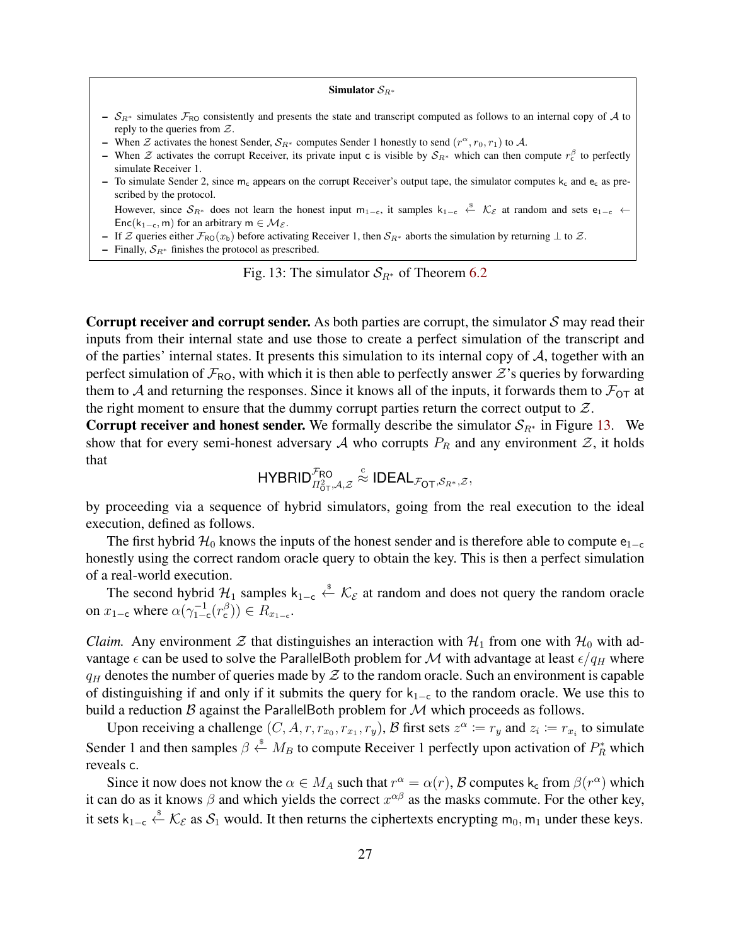#### Simulator  $S_{R^*}$

- <span id="page-26-0"></span>–  $S_{R*}$  simulates  $\mathcal{F}_{RO}$  consistently and presents the state and transcript computed as follows to an internal copy of A to reply to the queries from  $Z$ .
- When  $\mathcal Z$  activates the honest Sender,  $\mathcal S_{R^*}$  computes Sender 1 honestly to send  $(r^{\alpha}, r_0, r_1)$  to  $\mathcal A$ .
- When  $\mathcal Z$  activates the corrupt Receiver, its private input c is visible by  $S_{R^*}$  which can then compute  $r_c^{\beta}$  to perfectly simulate Receiver 1.
- To simulate Sender 2, since  $m_c$  appears on the corrupt Receiver's output tape, the simulator computes  $k_c$  and  $e_c$  as prescribed by the protocol.

However, since  $S_{R^*}$  does not learn the honest input m<sub>1-c</sub>, it samples  $k_{1-c} \leftarrow \mathcal{K}_{\mathcal{E}}$  at random and sets e<sub>1-c</sub> ← Enc(k<sub>1−c</sub>, m) for an arbitrary m  $\in$  M $\varepsilon$ .

- If Z queries either  $\mathcal{F}_{\text{RO}}(x_b)$  before activating Receiver 1, then  $\mathcal{S}_{R^*}$  aborts the simulation by returning  $\perp$  to Z.
- Finally,  $S_{R^*}$  finishes the protocol as prescribed.

Fig. 13: The simulator  $S_{R^*}$  of Theorem [6.2](#page-25-2)

**Corrupt receiver and corrupt sender.** As both parties are corrupt, the simulator  $S$  may read their inputs from their internal state and use those to create a perfect simulation of the transcript and of the parties' internal states. It presents this simulation to its internal copy of  $A$ , together with an perfect simulation of  $\mathcal{F}_{\text{RO}}$ , with which it is then able to perfectly answer  $\mathcal{Z}'$ 's queries by forwarding them to A and returning the responses. Since it knows all of the inputs, it forwards them to  $\mathcal{F}_{OT}$  at the right moment to ensure that the dummy corrupt parties return the correct output to  $Z$ .

Corrupt receiver and honest sender. We formally describe the simulator  $S_{R^*}$  in Figure [13.](#page-26-0) We show that for every semi-honest adversary A who corrupts  $P_R$  and any environment Z, it holds that

$$
\mathsf{HYBRID}^{\mathcal{F}_{\mathsf{RO}}}_{\mathit{\scriptstyle \mathit{\Pi}^2_{\mathsf{OT}},\mathcal{A},\mathcal{Z}}}\stackrel{\text{c}}{\approx}\mathsf{IDEAL}_{\mathcal{F}_{\mathsf{OT}},\mathcal{S}_{\mathit{R}^*},\mathcal{Z}},
$$

by proceeding via a sequence of hybrid simulators, going from the real execution to the ideal execution, defined as follows.

The first hybrid  $\mathcal{H}_0$  knows the inputs of the honest sender and is therefore able to compute e<sub>1−c</sub> honestly using the correct random oracle query to obtain the key. This is then a perfect simulation of a real-world execution.

The second hybrid  $\mathcal{H}_1$  samples  $k_{1-c} \stackrel{\&}{\leftarrow} \mathcal{K}_{\mathcal{E}}$  at random and does not query the random oracle on  $x_{1-c}$  where  $\alpha(\gamma_{1-c}^{-1}(r_{c}^{\beta})) \in R_{x_{1-c}}$ .

*Claim.* Any environment  $\mathcal Z$  that distinguishes an interaction with  $\mathcal H_1$  from one with  $\mathcal H_0$  with advantage  $\epsilon$  can be used to solve the ParallelBoth problem for M with advantage at least  $\epsilon/q_H$  where  $q_H$  denotes the number of queries made by  $\mathcal Z$  to the random oracle. Such an environment is capable of distinguishing if and only if it submits the query for  $k_{1-c}$  to the random oracle. We use this to build a reduction  $\beta$  against the ParallelBoth problem for  $\mathcal M$  which proceeds as follows.

Upon receiving a challenge  $(C, A, r, r_{x_0}, r_{x_1}, r_y)$ ,  $\mathcal{B}$  first sets  $z^{\alpha} \coloneqq r_y$  and  $z_i \coloneqq r_{x_i}$  to simulate Sender 1 and then samples  $\beta \stackrel{\text{s}}{\leftarrow} M_B$  to compute Receiver 1 perfectly upon activation of  $P_R^*$  which reveals c.

Since it now does not know the  $\alpha \in M_A$  such that  $r^{\alpha} = \alpha(r)$ ,  $\beta$  computes  $k_c$  from  $\beta(r^{\alpha})$  which it can do as it knows  $\beta$  and which yields the correct  $x^{\alpha\beta}$  as the masks commute. For the other key, it sets  $k_{1-c} \stackrel{\text{s}}{\leftarrow} K_{\mathcal{E}}$  as  $\mathcal{S}_1$  would. It then returns the ciphertexts encrypting m<sub>0</sub>, m<sub>1</sub> under these keys.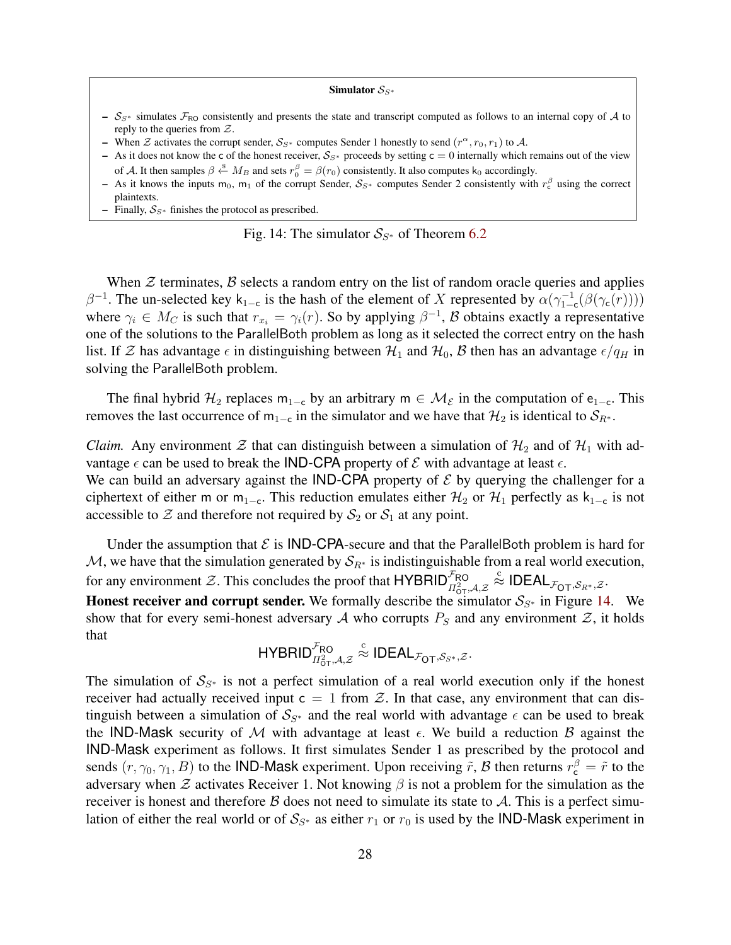#### Simulator  $S_{S^*}$

- <span id="page-27-0"></span>–  $S_{S*}$  simulates  $\mathcal{F}_{RO}$  consistently and presents the state and transcript computed as follows to an internal copy of A to reply to the queries from  $Z$ .
- When  $\mathcal Z$  activates the corrupt sender,  $\mathcal S_{S^*}$  computes Sender 1 honestly to send  $(r^{\alpha}, r_0, r_1)$  to  $\mathcal A$ .
- As it does not know the c of the honest receiver,  $S_{S*}$  proceeds by setting c = 0 internally which remains out of the view of A. It then samples  $\beta \stackrel{\$}{\leftarrow} M_B$  and sets  $r_0^{\beta} = \beta(r_0)$  consistently. It also computes k<sub>0</sub> accordingly.
- As it knows the inputs m<sub>0</sub>, m<sub>1</sub> of the corrupt Sender,  $S_{S^*}$  computes Sender 2 consistently with  $r_c^{\beta}$  using the correct plaintexts.
- Finally,  $S_{S*}$  finishes the protocol as prescribed.

Fig. 14: The simulator 
$$
S_{S^*}
$$
 of Theorem 6.2

When  $\mathcal Z$  terminates,  $\mathcal B$  selects a random entry on the list of random oracle queries and applies  $\beta^{-1}$ . The un-selected key k<sub>1-c</sub> is the hash of the element of X represented by  $\alpha(\gamma_{1-c}^{-1}(\beta(\gamma_c(r))))$ where  $\gamma_i \in M_C$  is such that  $r_{x_i} = \gamma_i(r)$ . So by applying  $\beta^{-1}$ ,  $\beta$  obtains exactly a representative one of the solutions to the ParallelBoth problem as long as it selected the correct entry on the hash list. If Z has advantage  $\epsilon$  in distinguishing between  $\mathcal{H}_1$  and  $\mathcal{H}_0$ , B then has an advantage  $\epsilon/q_H$  in solving the ParallelBoth problem.

The final hybrid  $\mathcal{H}_2$  replaces m<sub>1−c</sub> by an arbitrary m  $\in \mathcal{M}_{\mathcal{E}}$  in the computation of e<sub>1−c</sub>. This removes the last occurrence of m<sub>1−c</sub> in the simulator and we have that  $\mathcal{H}_2$  is identical to  $\mathcal{S}_{R^*}$ .

*Claim.* Any environment  $\mathcal Z$  that can distinguish between a simulation of  $\mathcal H_2$  and of  $\mathcal H_1$  with advantage  $\epsilon$  can be used to break the IND-CPA property of  $\mathcal E$  with advantage at least  $\epsilon$ .

We can build an adversary against the **IND-CPA** property of  $\mathcal{E}$  by querying the challenger for a ciphertext of either m or m<sub>1−c</sub>. This reduction emulates either  $\mathcal{H}_2$  or  $\mathcal{H}_1$  perfectly as k<sub>1−c</sub> is not accessible to  $Z$  and therefore not required by  $S_2$  or  $S_1$  at any point.

Under the assumption that  $\mathcal E$  is IND-CPA-secure and that the ParallelBoth problem is hard for M, we have that the simulation generated by  $S_{R^*}$  is indistinguishable from a real world execution, for any environment  $\mathcal{Z}$ . This concludes the proof that HYBRID $_{\Pi_{0T}^2, \mathcal{A}, \mathcal{Z}}^{\mathcal{F}_{RO}}$  $\stackrel{\text{c}}{\approx}$  IDEAL $_{\mathcal{F}_{\text{\scriptsize{OT}}},\mathcal{S}_{R^*},\mathcal{Z}}.$ 

Honest receiver and corrupt sender. We formally describe the simulator  $S_{S^*}$  in Figure [14.](#page-27-0) We show that for every semi-honest adversary A who corrupts  $P_S$  and any environment Z, it holds that

$$
\mathsf{HYBRID}^{\mathcal{F}_{\mathsf{RO}}}_{\mathcal{I}^2_{\mathsf{OT}},\mathcal{A},\mathcal{Z}} \stackrel{\text{c}}{\approx} \mathsf{IDEAL}_{\mathcal{F}_{\mathsf{OT}},\mathcal{S}_{\mathcal{S}^*},\mathcal{Z}}.
$$

The simulation of  $S_{S^*}$  is not a perfect simulation of a real world execution only if the honest receiver had actually received input  $c = 1$  from  $\mathcal Z$ . In that case, any environment that can distinguish between a simulation of  $S_{S^*}$  and the real world with advantage  $\epsilon$  can be used to break the IND-Mask security of M with advantage at least  $\epsilon$ . We build a reduction B against the IND-Mask experiment as follows. It first simulates Sender 1 as prescribed by the protocol and sends  $(r, \gamma_0, \gamma_1, B)$  to the IND-Mask experiment. Upon receiving  $\tilde{r}$ ,  $B$  then returns  $r_c^{\beta} = \tilde{r}$  to the adversary when  $\mathcal Z$  activates Receiver 1. Not knowing  $\beta$  is not a problem for the simulation as the receiver is honest and therefore  $\beta$  does not need to simulate its state to  $\mathcal{A}$ . This is a perfect simulation of either the real world or of  $S_{S^*}$  as either  $r_1$  or  $r_0$  is used by the **IND-Mask** experiment in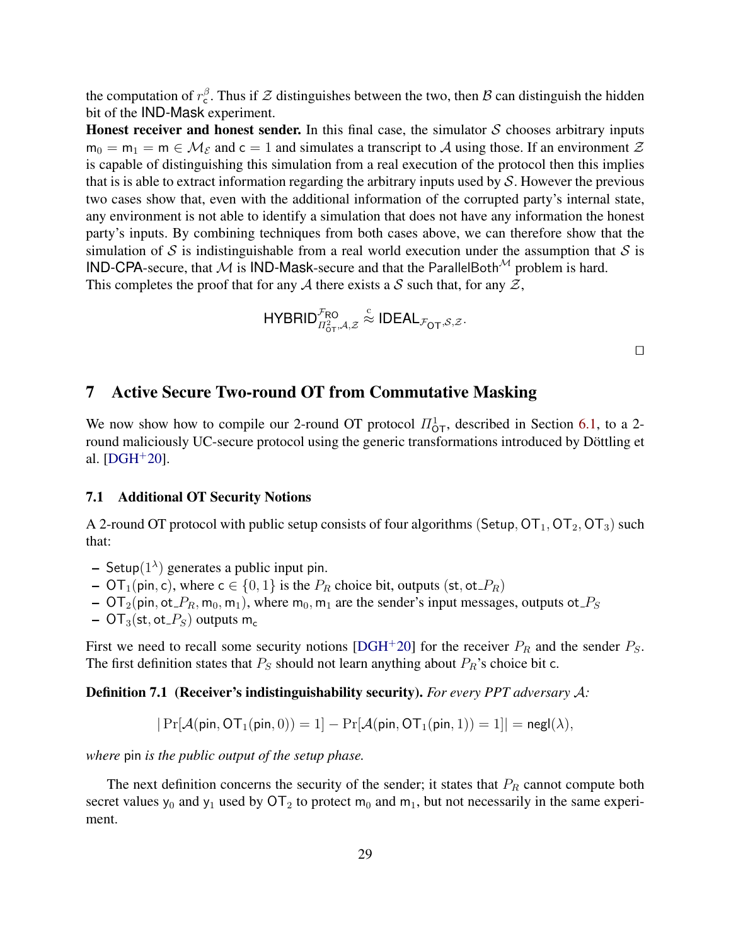the computation of  $r_c^{\beta}$ . Thus if  $\mathcal Z$  distinguishes between the two, then  $\beta$  can distinguish the hidden bit of the IND-Mask experiment.

**Honest receiver and honest sender.** In this final case, the simulator  $S$  chooses arbitrary inputs  $m_0 = m_1 = m \in \mathcal{M}_{\mathcal{E}}$  and  $c = 1$  and simulates a transcript to A using those. If an environment  $\mathcal{Z}$ is capable of distinguishing this simulation from a real execution of the protocol then this implies that is is able to extract information regarding the arbitrary inputs used by  $S$ . However the previous two cases show that, even with the additional information of the corrupted party's internal state, any environment is not able to identify a simulation that does not have any information the honest party's inputs. By combining techniques from both cases above, we can therefore show that the simulation of S is indistinguishable from a real world execution under the assumption that S is IND-CPA-secure, that M is IND-Mask-secure and that the ParallelBoth<sup>M</sup> problem is hard. This completes the proof that for any A there exists a S such that, for any  $\mathcal{Z}$ ,

$$
\mathsf{HYBRID}_{\Pi_{\mathsf{OT}}^2,\mathcal{A},\mathcal{Z}}^{\mathcal{F}_{\mathsf{RO}}}\stackrel{\scriptscriptstyle\mathsf{C}}{\approx}\mathsf{IDEAL}_{\mathcal{F}_{\mathsf{OT}},\mathcal{S},\mathcal{Z}}.
$$

 $\Box$ 

# <span id="page-28-0"></span>7 Active Secure Two-round OT from Commutative Masking

We now show how to compile our 2-round OT protocol  $\Pi^1_{\text{OT}}$ , described in Section [6.1,](#page-20-1) to a 2round maliciously UC-secure protocol using the generic transformations introduced by Döttling et al.  $[{\rm D} \rm{G} \rm{H}^+ 20]$ .

#### 7.1 Additional OT Security Notions

A 2-round OT protocol with public setup consists of four algorithms (Setup,  $OT_1, OT_2, OT_3$ ) such that:

- $-$  Setup $(1^{\lambda})$  generates a public input pin.
- $OT_1(pin, c)$ , where  $c \in \{0, 1\}$  is the  $P_R$  choice bit, outputs  $(st, ot \_R)$
- $OT_2(pin, ot\_P_R, m_0, m_1)$ , where  $m_0, m_1$  are the sender's input messages, outputs ot  $P_S$
- $-$  OT<sub>3</sub>(st, ot<sub>-P<sub>S</sub>)</sub> outputs m<sub>c</sub>

First we need to recall some security notions [\[DGH](#page-31-10)+20] for the receiver  $P_R$  and the sender  $P_S$ . The first definition states that  $P_S$  should not learn anything about  $P_R$ 's choice bit c.

<span id="page-28-1"></span>Definition 7.1 (Receiver's indistinguishability security). *For every PPT adversary* A*:*

$$
|\Pr[\mathcal{A}(\mathsf{pin},\mathsf{OT}_1(\mathsf{pin},0))=1]-\Pr[\mathcal{A}(\mathsf{pin},\mathsf{OT}_1(\mathsf{pin},1))=1]|=\mathsf{negl}(\lambda),
$$

*where* pin *is the public output of the setup phase.*

<span id="page-28-2"></span>The next definition concerns the security of the sender; it states that  $P_R$  cannot compute both secret values  $y_0$  and  $y_1$  used by  $\overline{OT}_2$  to protect  $m_0$  and  $m_1$ , but not necessarily in the same experiment.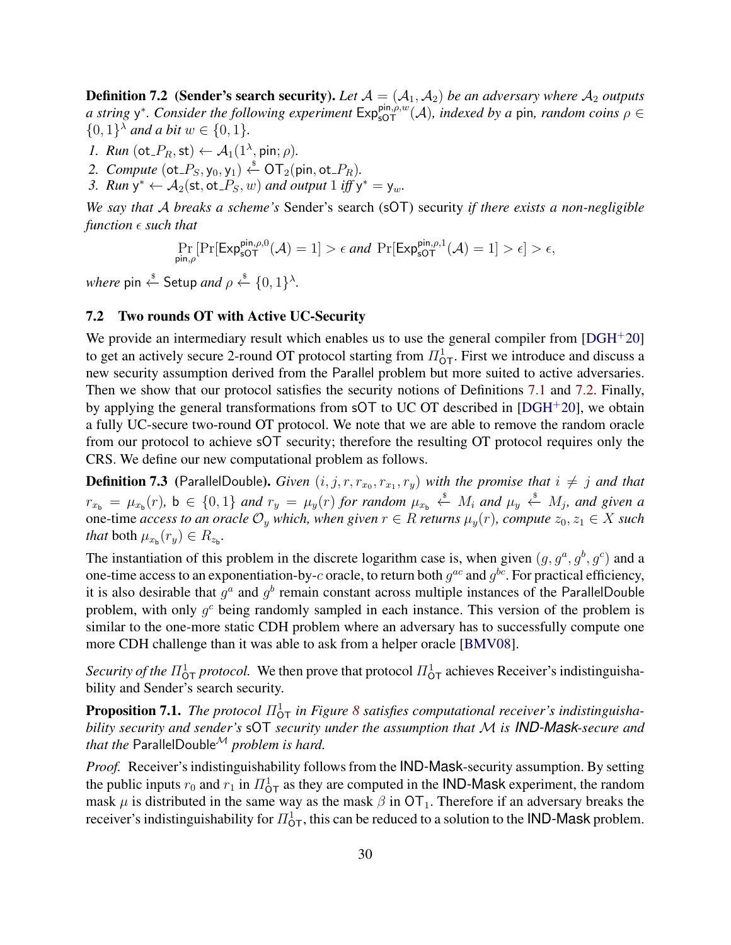**Definition 7.2** (Sender's search security). Let  $A = (A_1, A_2)$  be an adversary where  $A_2$  outputs *a* string y<sup>\*</sup>. Consider the following experiment  $Exp_{sOT}^{\text{pin},\rho,w}(\mathcal{A})$ , indexed by a pin, random coins  $\rho \in$  $\{0,1\}^{\lambda}$  *and a bit*  $w \in \{0,1\}$ *.* 

- *1. Run* (ot\_ $P_R$ , st)  $\leftarrow$   $\mathcal{A}_1(1^{\lambda}, \text{pin}; \rho)$ .
- 2. *Compute*  $(\text{ot}_P, y_0, y_1) \overset{\$}{\leftarrow} \text{OT}_2(\text{pin}, \text{ot}_P, P)$ .
- 3. *Run*  $y^* \leftarrow A_2(\text{st}, \text{ot}_S, w)$  *and output*  $1$  *iff*  $y^* = y_w$ .

*We say that* A *breaks a scheme's* Sender's search (sOT) security *if there exists a non-negligible function*  $\epsilon$  *such that* 

$$
\Pr_{\mathsf{pin},\rho}[\Pr[\mathsf{Exp}_{\mathsf{sOT}}^{\mathsf{pin},\rho,0}(\mathcal{A})=1] > \epsilon \text{ and } \Pr[\mathsf{Exp}_{\mathsf{sOT}}^{\mathsf{pin},\rho,1}(\mathcal{A})=1] > \epsilon] > \epsilon,
$$

*where* pin  $\stackrel{\hspace{0.1em}\mathsf{\scriptscriptstyle\$}}{\leftarrow}$  Setup *and*  $\rho \stackrel{\hspace{0.1em}\mathsf{\scriptscriptstyle\$}}{\leftarrow} \{0,1\}^{\lambda}.$ 

## 7.2 Two rounds OT with Active UC-Security

We provide an intermediary result which enables us to use the general compiler from  $[{\rm DGH^+20}]$ to get an actively secure 2-round OT protocol starting from  $\Pi_{\text{OT}}^1$ . First we introduce and discuss a new security assumption derived from the Parallel problem but more suited to active adversaries. Then we show that our protocol satisfies the security notions of Definitions [7.1](#page-28-1) and [7.2.](#page-28-2) Finally, by applying the general transformations from sOT to UC OT described in [\[DGH](#page-31-10)<sup>+</sup>20], we obtain a fully UC-secure two-round OT protocol. We note that we are able to remove the random oracle from our protocol to achieve sOT security; therefore the resulting OT protocol requires only the CRS. We define our new computational problem as follows.

<span id="page-29-0"></span>**Definition 7.3** (ParallelDouble). *Given*  $(i, j, r, r_{x_0}, r_{x_1}, r_y)$  *with the promise that*  $i \neq j$  *and that*  $r_{x_{b}} = \mu_{x_{b}}(r)$ , b  $\in \{0,1\}$  and  $r_{y} = \mu_{y}(r)$  for random  $\mu_{x_{b}} \stackrel{s}{\leftarrow} M_{i}$  and  $\mu_{y} \stackrel{s}{\leftarrow} M_{j}$ , and given a one-time *access to an oracle*  $\mathcal{O}_y$  *which, when given*  $r \in R$  *returns*  $\mu_y(r)$ *, compute*  $z_0, z_1 \in X$  *such that* both  $\mu_{x_{\mathsf{b}}}(r_y) \in R_{z_{\mathsf{b}}}$ *.* 

The instantiation of this problem in the discrete logarithm case is, when given  $(g, g^a, g^b, g^c)$  and a one-time access to an exponentiation-by-c oracle, to return both  $g^{ac}$  and  $g^{bc}$ . For practical efficiency, it is also desirable that  $g^a$  and  $g^b$  remain constant across multiple instances of the ParallelDouble problem, with only  $g<sup>c</sup>$  being randomly sampled in each instance. This version of the problem is similar to the one-more static CDH problem where an adversary has to successfully compute one more CDH challenge than it was able to ask from a helper oracle [\[BMV08\]](#page-31-20).

*Security of the*  $\Pi_{\text{OT}}^1$  *protocol.* We then prove that protocol  $\Pi_{\text{OT}}^1$  achieves Receiver's indistinguishability and Sender's search security.

**Proposition 7.1.** The protocol  $\Pi_{\text{OT}}^1$  in Figure [8](#page-21-0) satisfies computational receiver's indistinguisha*bility security and sender's* sOT *security under the assumption that* M *is IND-Mask-secure and that the* ParallelDouble<sup> $M$ </sup> problem is hard.

*Proof.* Receiver's indistinguishability follows from the IND-Mask-security assumption. By setting the public inputs  $r_0$  and  $r_1$  in  $\prod_{\substack{1 \text{of } r}} 1$  as they are computed in the IND-Mask experiment, the random mask  $\mu$  is distributed in the same way as the mask  $\beta$  in OT<sub>1</sub>. Therefore if an adversary breaks the receiver's indistinguishability for  $\Pi^1_{\mathsf{OT}}$ , this can be reduced to a solution to the IND-Mask problem.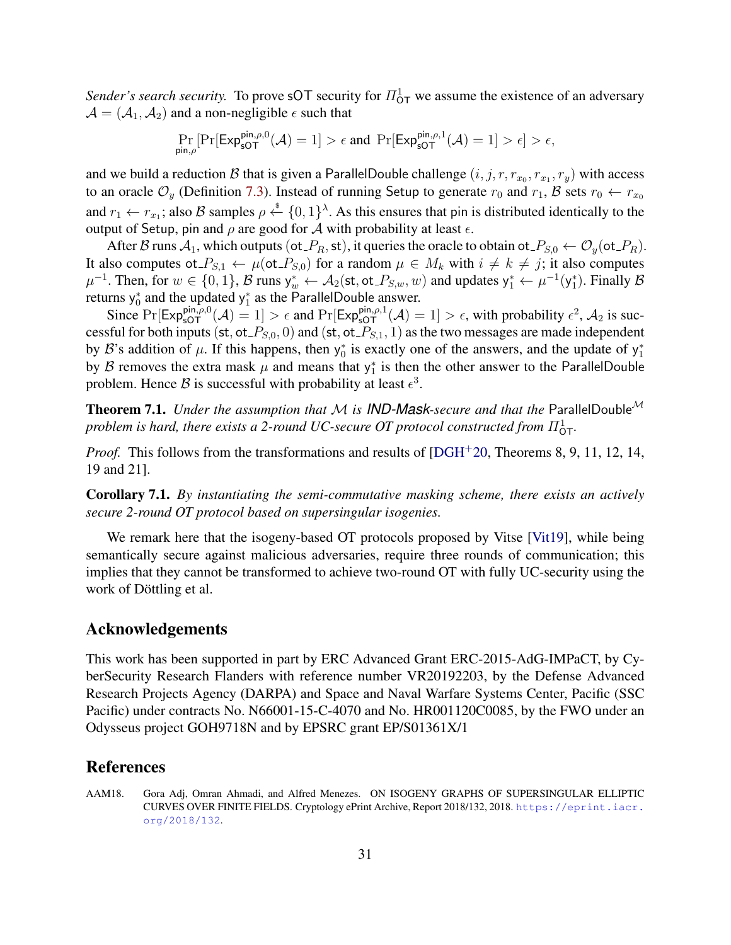*Sender's search security.* To prove sOT security for  $\Pi^1_{\text{OT}}$  we assume the existence of an adversary  $A = (A_1, A_2)$  and a non-negligible  $\epsilon$  such that

$$
\Pr_{\mathsf{pin},\rho}[\Pr[\mathsf{Exp}_{\mathsf{sOT}}^{\mathsf{pin},\rho,0}(\mathcal{A})=1] > \epsilon \text{ and } \Pr[\mathsf{Exp}_{\mathsf{sOT}}^{\mathsf{pin},\rho,1}(\mathcal{A})=1] > \epsilon] > \epsilon,
$$

and we build a reduction  $B$  that is given a ParallelDouble challenge  $(i, j, r, r_{x_0}, r_{x_1}, r_y)$  with access to an oracle  $\mathcal{O}_y$  (Definition [7.3\)](#page-29-0). Instead of running Setup to generate  $r_0$  and  $r_1$ , B sets  $r_0 \leftarrow r_{x_0}$ and  $r_1 \leftarrow r_{x_1}$ ; also B samples  $\rho \leftarrow^{\$} \{0,1\}^{\lambda}$ . As this ensures that pin is distributed identically to the output of Setup, pin and  $\rho$  are good for A with probability at least  $\epsilon$ .

After B runs  $A_1$ , which outputs (ot  $P_R$ , st), it queries the oracle to obtain ot  $P_{S,0} \leftarrow \mathcal{O}_y(\text{ot}_P R)$ . It also computes ot  $P_{S,1} \leftarrow \mu(\text{ot }P_{S,0})$  for a random  $\mu \in M_k$  with  $i \neq k \neq j$ ; it also computes  $\mu^{-1}$ . Then, for  $w \in \{0, 1\}$ ,  $\mathcal{B}$  runs  $y_w^* \leftarrow \mathcal{A}_2(\text{st}, \text{ot}_P P_{S,w}, w)$  and updates  $y_1^* \leftarrow \mu^{-1}(y_1^*)$ . Finally  $\mathcal{B}$ returns  $y_0^*$  and the updated  $y_1^*$  as the ParallelDouble answer.

Since  $Pr[\text{Exp}_{\text{sOT}}^{\text{pin},\rho,0}(\mathcal{A})=1] > \epsilon$  and  $Pr[\text{Exp}_{\text{sOT}}^{\text{pin},\rho,1}(\mathcal{A})=1] > \epsilon$ , with probability  $\epsilon^2$ ,  $\mathcal{A}_2$  is successful for both inputs (st, ot  $P_{S,0}$ , 0) and (st, ot  $P_{S,1}$ , 1) as the two messages are made independent by B's addition of  $\mu$ . If this happens, then  $y_0^*$  is exactly one of the answers, and the update of  $y_1^*$ by B removes the extra mask  $\mu$  and means that  $y_1^*$  is then the other answer to the ParallelDouble problem. Hence B is successful with probability at least  $\epsilon^3$ .

Theorem 7.1. *Under the assumption that* M *is IND-Mask-secure and that the* ParallelDouble<sup>M</sup> problem is hard, there exists a 2-round UC-secure OT protocol constructed from  $\Pi_{\mathsf{OT}}^1$ .

*Proof.* This follows from the transformations and results of [\[DGH](#page-31-10)<sup>+</sup>20, Theorems 8, 9, 11, 12, 14, 19 and 21].

Corollary 7.1. *By instantiating the semi-commutative masking scheme, there exists an actively secure 2-round OT protocol based on supersingular isogenies.*

We remark here that the isogeny-based OT protocols proposed by Vitse [\[Vit19\]](#page-32-5), while being semantically secure against malicious adversaries, require three rounds of communication; this implies that they cannot be transformed to achieve two-round OT with fully UC-security using the work of Döttling et al.

# Acknowledgements

This work has been supported in part by ERC Advanced Grant ERC-2015-AdG-IMPaCT, by CyberSecurity Research Flanders with reference number VR20192203, by the Defense Advanced Research Projects Agency (DARPA) and Space and Naval Warfare Systems Center, Pacific (SSC Pacific) under contracts No. N66001-15-C-4070 and No. HR001120C0085, by the FWO under an Odysseus project GOH9718N and by EPSRC grant EP/S01361X/1

# References

<span id="page-30-0"></span>AAM18. Gora Adj, Omran Ahmadi, and Alfred Menezes. ON ISOGENY GRAPHS OF SUPERSINGULAR ELLIPTIC CURVES OVER FINITE FIELDS. Cryptology ePrint Archive, Report 2018/132, 2018. [https://eprint.iacr.](https://eprint.iacr.org/2018/132) [org/2018/132](https://eprint.iacr.org/2018/132).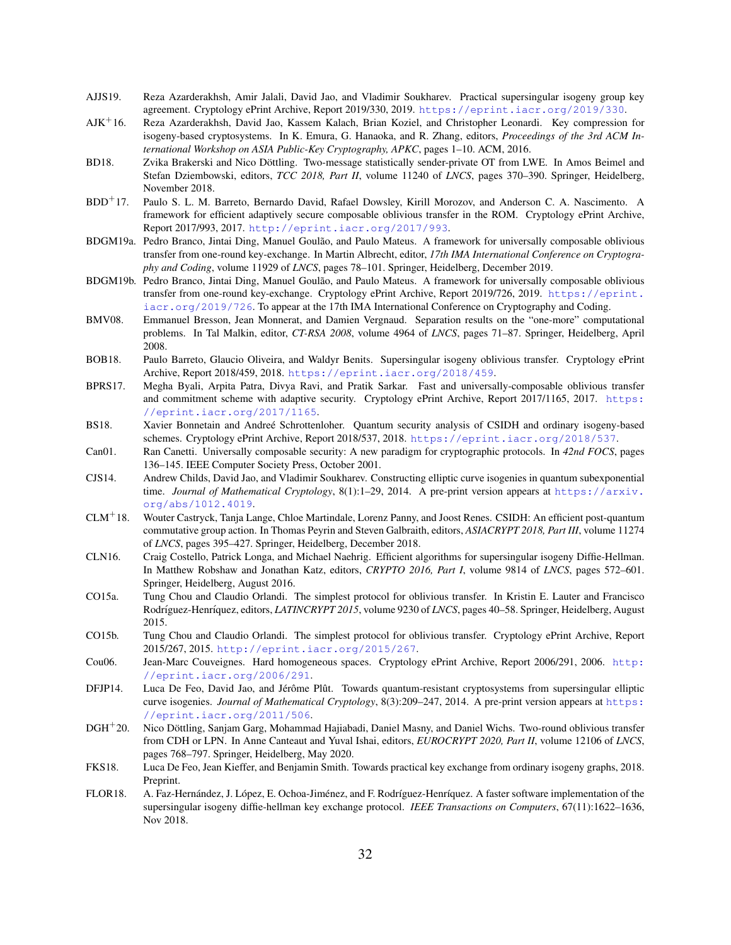- <span id="page-31-11"></span>AJJS19. Reza Azarderakhsh, Amir Jalali, David Jao, and Vladimir Soukharev. Practical supersingular isogeny group key agreement. Cryptology ePrint Archive, Report 2019/330, 2019. <https://eprint.iacr.org/2019/330>.
- <span id="page-31-2"></span>AJK<sup>+</sup>16. Reza Azarderakhsh, David Jao, Kassem Kalach, Brian Koziel, and Christopher Leonardi. Key compression for isogeny-based cryptosystems. In K. Emura, G. Hanaoka, and R. Zhang, editors, *Proceedings of the 3rd ACM International Workshop on ASIA Public-Key Cryptography, APKC*, pages 1–10. ACM, 2016.
- <span id="page-31-7"></span>BD18. Zvika Brakerski and Nico Döttling. Two-message statistically sender-private OT from LWE. In Amos Beimel and Stefan Dziembowski, editors, *TCC 2018, Part II*, volume 11240 of *LNCS*, pages 370–390. Springer, Heidelberg, November 2018.
- <span id="page-31-6"></span>BDD<sup>+</sup>17. Paulo S. L. M. Barreto, Bernardo David, Rafael Dowsley, Kirill Morozov, and Anderson C. A. Nascimento. A framework for efficient adaptively secure composable oblivious transfer in the ROM. Cryptology ePrint Archive, Report 2017/993, 2017. <http://eprint.iacr.org/2017/993>.
- <span id="page-31-4"></span>BDGM19a. Pedro Branco, Jintai Ding, Manuel Goulão, and Paulo Mateus. A framework for universally composable oblivious transfer from one-round key-exchange. In Martin Albrecht, editor, *17th IMA International Conference on Cryptography and Coding*, volume 11929 of *LNCS*, pages 78–101. Springer, Heidelberg, December 2019.
- <span id="page-31-12"></span>BDGM19b. Pedro Branco, Jintai Ding, Manuel Goulão, and Paulo Mateus. A framework for universally composable oblivious transfer from one-round key-exchange. Cryptology ePrint Archive, Report 2019/726, 2019. [https://eprint.](https://eprint.iacr.org/2019/726) [iacr.org/2019/726](https://eprint.iacr.org/2019/726). To appear at the 17th IMA International Conference on Cryptography and Coding.
- <span id="page-31-20"></span>BMV08. Emmanuel Bresson, Jean Monnerat, and Damien Vergnaud. Separation results on the "one-more" computational problems. In Tal Malkin, editor, *CT-RSA 2008*, volume 4964 of *LNCS*, pages 71–87. Springer, Heidelberg, April 2008.
- <span id="page-31-5"></span>BOB18. Paulo Barreto, Glaucio Oliveira, and Waldyr Benits. Supersingular isogeny oblivious transfer. Cryptology ePrint Archive, Report 2018/459, 2018. <https://eprint.iacr.org/2018/459>.
- <span id="page-31-13"></span>BPRS17. Megha Byali, Arpita Patra, Divya Ravi, and Pratik Sarkar. Fast and universally-composable oblivious transfer and commitment scheme with adaptive security. Cryptology ePrint Archive, Report 2017/1165, 2017. [https:](https://eprint.iacr.org/2017/1165) [//eprint.iacr.org/2017/1165](https://eprint.iacr.org/2017/1165).
- <span id="page-31-17"></span>BS18. Xavier Bonnetain and Andree Schrottenloher. Quantum security analysis of CSIDH and ordinary isogeny-based ´ schemes. Cryptology ePrint Archive, Report 2018/537, 2018. <https://eprint.iacr.org/2018/537>.
- <span id="page-31-14"></span>Can01. Ran Canetti. Universally composable security: A new paradigm for cryptographic protocols. In *42nd FOCS*, pages 136–145. IEEE Computer Society Press, October 2001.
- <span id="page-31-18"></span>CJS14. Andrew Childs, David Jao, and Vladimir Soukharev. Constructing elliptic curve isogenies in quantum subexponential time. *Journal of Mathematical Cryptology*, 8(1):1-29, 2014. A pre-print version appears at [https://arxiv.](https://arxiv.org/abs/1012.4019) [org/abs/1012.4019](https://arxiv.org/abs/1012.4019).
- <span id="page-31-8"></span>CLM<sup>+</sup>18. Wouter Castryck, Tanja Lange, Chloe Martindale, Lorenz Panny, and Joost Renes. CSIDH: An efficient post-quantum commutative group action. In Thomas Peyrin and Steven Galbraith, editors, *ASIACRYPT 2018, Part III*, volume 11274 of *LNCS*, pages 395–427. Springer, Heidelberg, December 2018.
- <span id="page-31-1"></span>CLN16. Craig Costello, Patrick Longa, and Michael Naehrig. Efficient algorithms for supersingular isogeny Diffie-Hellman. In Matthew Robshaw and Jonathan Katz, editors, *CRYPTO 2016, Part I*, volume 9814 of *LNCS*, pages 572–601. Springer, Heidelberg, August 2016.
- <span id="page-31-9"></span>CO15a. Tung Chou and Claudio Orlandi. The simplest protocol for oblivious transfer. In Kristin E. Lauter and Francisco Rodríguez-Henríquez, editors, *LATINCRYPT 2015*, volume 9230 of *LNCS*, pages 40–58. Springer, Heidelberg, August 2015.
- <span id="page-31-19"></span>CO15b. Tung Chou and Claudio Orlandi. The simplest protocol for oblivious transfer. Cryptology ePrint Archive, Report 2015/267, 2015. <http://eprint.iacr.org/2015/267>.
- <span id="page-31-15"></span>Cou06. Jean-Marc Couveignes. Hard homogeneous spaces. Cryptology ePrint Archive, Report 2006/291, 2006. [http:](http://eprint.iacr.org/2006/291) [//eprint.iacr.org/2006/291](http://eprint.iacr.org/2006/291).
- <span id="page-31-0"></span>DFJP14. Luca De Feo, David Jao, and Jérôme Plût. Towards quantum-resistant cryptosystems from supersingular elliptic curve isogenies. *Journal of Mathematical Cryptology*, 8(3):209–247, 2014. A pre-print version appears at [https:](https://eprint.iacr.org/2011/506) [//eprint.iacr.org/2011/506](https://eprint.iacr.org/2011/506).
- <span id="page-31-10"></span>DGH<sup>+</sup>20. Nico Döttling, Sanjam Garg, Mohammad Hajiabadi, Daniel Masny, and Daniel Wichs. Two-round oblivious transfer from CDH or LPN. In Anne Canteaut and Yuval Ishai, editors, *EUROCRYPT 2020, Part II*, volume 12106 of *LNCS*, pages 768–797. Springer, Heidelberg, May 2020.
- <span id="page-31-16"></span>FKS18. Luca De Feo, Jean Kieffer, and Benjamin Smith. Towards practical key exchange from ordinary isogeny graphs, 2018. Preprint.
- <span id="page-31-3"></span>FLOR18. A. Faz-Hernández, J. López, E. Ochoa-Jiménez, and F. Rodríguez-Henríquez. A faster software implementation of the supersingular isogeny diffie-hellman key exchange protocol. *IEEE Transactions on Computers*, 67(11):1622–1636, Nov 2018.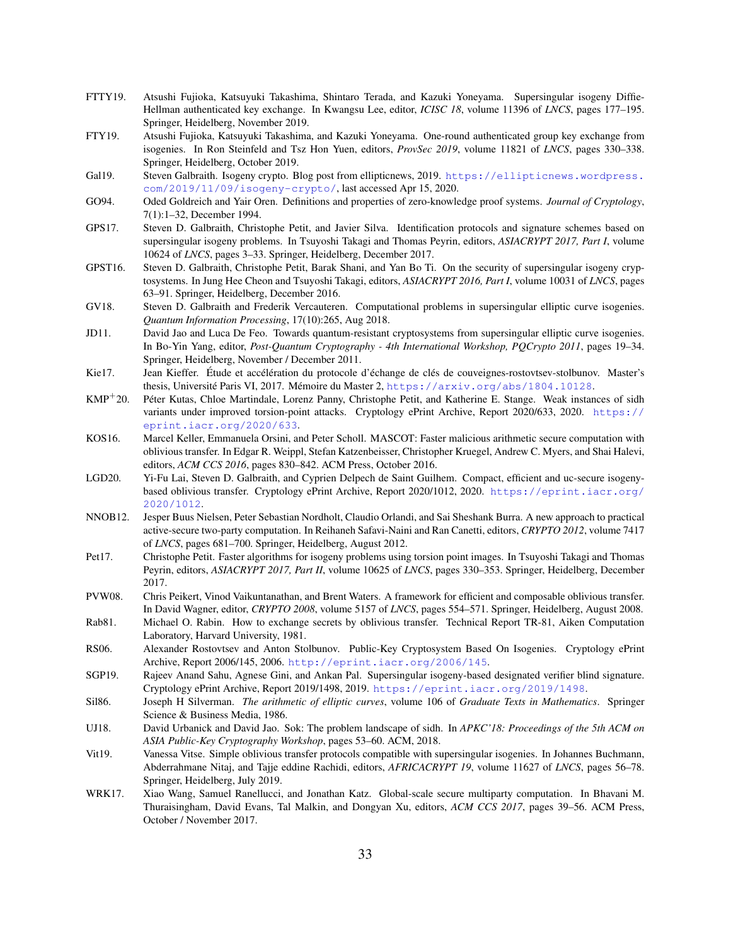- <span id="page-32-1"></span>FTTY19. Atsushi Fujioka, Katsuyuki Takashima, Shintaro Terada, and Kazuki Yoneyama. Supersingular isogeny Diffie-Hellman authenticated key exchange. In Kwangsu Lee, editor, *ICISC 18*, volume 11396 of *LNCS*, pages 177–195. Springer, Heidelberg, November 2019.
- <span id="page-32-13"></span>FTY19. Atsushi Fujioka, Katsuyuki Takashima, and Kazuki Yoneyama. One-round authenticated group key exchange from isogenies. In Ron Steinfeld and Tsz Hon Yuen, editors, *ProvSec 2019*, volume 11821 of *LNCS*, pages 330–338. Springer, Heidelberg, October 2019.
- <span id="page-32-4"></span>Gal19. Steven Galbraith. Isogeny crypto. Blog post from ellipticnews, 2019. [https://ellipticnews.wordpress.](https://ellipticnews.wordpress.com/2019/11/09/isogeny-crypto/) [com/2019/11/09/isogeny-crypto/](https://ellipticnews.wordpress.com/2019/11/09/isogeny-crypto/), last accessed Apr 15, 2020.
- <span id="page-32-11"></span>GO94. Oded Goldreich and Yair Oren. Definitions and properties of zero-knowledge proof systems. *Journal of Cryptology*, 7(1):1–32, December 1994.
- <span id="page-32-2"></span>GPS17. Steven D. Galbraith, Christophe Petit, and Javier Silva. Identification protocols and signature schemes based on supersingular isogeny problems. In Tsuyoshi Takagi and Thomas Peyrin, editors, *ASIACRYPT 2017, Part I*, volume 10624 of *LNCS*, pages 3–33. Springer, Heidelberg, December 2017.
- <span id="page-32-3"></span>GPST16. Steven D. Galbraith, Christophe Petit, Barak Shani, and Yan Bo Ti. On the security of supersingular isogeny cryptosystems. In Jung Hee Cheon and Tsuyoshi Takagi, editors, *ASIACRYPT 2016, Part I*, volume 10031 of *LNCS*, pages 63–91. Springer, Heidelberg, December 2016.
- <span id="page-32-19"></span>GV18. Steven D. Galbraith and Frederik Vercauteren. Computational problems in supersingular elliptic curve isogenies. *Quantum Information Processing*, 17(10):265, Aug 2018.
- <span id="page-32-0"></span>JD11. David Jao and Luca De Feo. Towards quantum-resistant cryptosystems from supersingular elliptic curve isogenies. In Bo-Yin Yang, editor, *Post-Quantum Cryptography - 4th International Workshop, PQCrypto 2011*, pages 19–34. Springer, Heidelberg, November / December 2011.
- <span id="page-32-16"></span>Kie17. Jean Kieffer. Étude et accélération du protocole d'échange de clés de couveignes-rostovtsev-stolbunov. Master's thesis, Université Paris VI, 2017. Mémoire du Master 2, <https://arxiv.org/abs/1804.10128>.
- <span id="page-32-21"></span>KMP<sup>+</sup>20. Peter Kutas, Chloe Martindale, Lorenz Panny, Christophe Petit, and Katherine E. Stange. Weak instances of sidh ´ variants under improved torsion-point attacks. Cryptology ePrint Archive, Report 2020/633, 2020. [https://](https://eprint.iacr.org/2020/633) [eprint.iacr.org/2020/633](https://eprint.iacr.org/2020/633).
- <span id="page-32-8"></span>KOS16. Marcel Keller, Emmanuela Orsini, and Peter Scholl. MASCOT: Faster malicious arithmetic secure computation with oblivious transfer. In Edgar R. Weippl, Stefan Katzenbeisser, Christopher Kruegel, Andrew C. Myers, and Shai Halevi, editors, *ACM CCS 2016*, pages 830–842. ACM Press, October 2016.
- <span id="page-32-14"></span>LGD20. Yi-Fu Lai, Steven D. Galbraith, and Cyprien Delpech de Saint Guilhem. Compact, efficient and uc-secure isogenybased oblivious transfer. Cryptology ePrint Archive, Report 2020/1012, 2020. [https://eprint.iacr.org/](https://eprint.iacr.org/2020/1012) [2020/1012](https://eprint.iacr.org/2020/1012).
- <span id="page-32-7"></span>NNOB12. Jesper Buus Nielsen, Peter Sebastian Nordholt, Claudio Orlandi, and Sai Sheshank Burra. A new approach to practical active-secure two-party computation. In Reihaneh Safavi-Naini and Ran Canetti, editors, *CRYPTO 2012*, volume 7417 of *LNCS*, pages 681–700. Springer, Heidelberg, August 2012.
- <span id="page-32-20"></span>Pet17. Christophe Petit. Faster algorithms for isogeny problems using torsion point images. In Tsuyoshi Takagi and Thomas Peyrin, editors, *ASIACRYPT 2017, Part II*, volume 10625 of *LNCS*, pages 330–353. Springer, Heidelberg, December 2017.
- <span id="page-32-10"></span>PVW08. Chris Peikert, Vinod Vaikuntanathan, and Brent Waters. A framework for efficient and composable oblivious transfer. In David Wagner, editor, *CRYPTO 2008*, volume 5157 of *LNCS*, pages 554–571. Springer, Heidelberg, August 2008.
- <span id="page-32-6"></span>Rab81. Michael O. Rabin. How to exchange secrets by oblivious transfer. Technical Report TR-81, Aiken Computation Laboratory, Harvard University, 1981.
- <span id="page-32-15"></span>RS06. Alexander Rostovtsev and Anton Stolbunov. Public-Key Cryptosystem Based On Isogenies. Cryptology ePrint Archive, Report 2006/145, 2006. <http://eprint.iacr.org/2006/145>.
- <span id="page-32-12"></span>SGP19. Rajeev Anand Sahu, Agnese Gini, and Ankan Pal. Supersingular isogeny-based designated verifier blind signature. Cryptology ePrint Archive, Report 2019/1498, 2019. <https://eprint.iacr.org/2019/1498>.
- <span id="page-32-17"></span>Sil86. Joseph H Silverman. *The arithmetic of elliptic curves*, volume 106 of *Graduate Texts in Mathematics*. Springer Science & Business Media, 1986.
- <span id="page-32-18"></span>UJ18. David Urbanick and David Jao. Sok: The problem landscape of sidh. In *APKC'18: Proceedings of the 5th ACM on ASIA Public-Key Cryptography Workshop*, pages 53–60. ACM, 2018.
- <span id="page-32-5"></span>Vit19. Vanessa Vitse. Simple oblivious transfer protocols compatible with supersingular isogenies. In Johannes Buchmann, Abderrahmane Nitaj, and Tajje eddine Rachidi, editors, *AFRICACRYPT 19*, volume 11627 of *LNCS*, pages 56–78. Springer, Heidelberg, July 2019.
- <span id="page-32-9"></span>WRK17. Xiao Wang, Samuel Ranellucci, and Jonathan Katz. Global-scale secure multiparty computation. In Bhavani M. Thuraisingham, David Evans, Tal Malkin, and Dongyan Xu, editors, *ACM CCS 2017*, pages 39–56. ACM Press, October / November 2017.